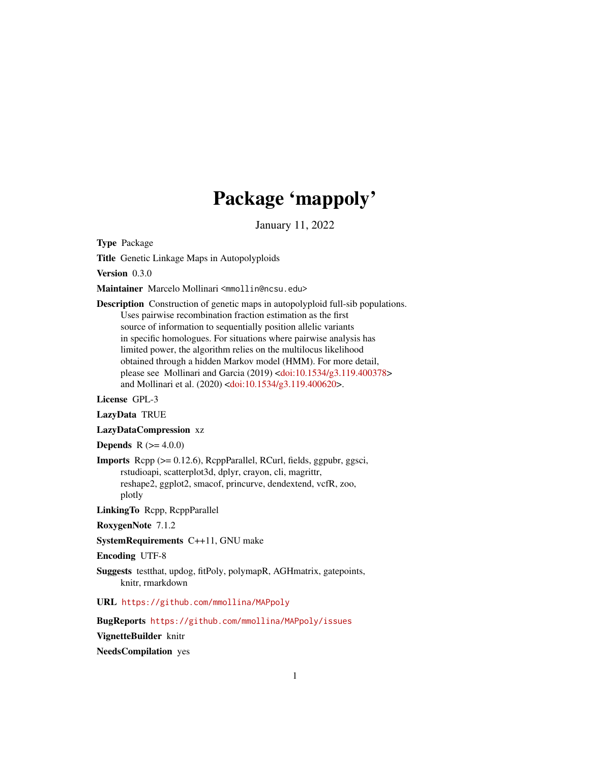# Package 'mappoly'

January 11, 2022

Type Package

Title Genetic Linkage Maps in Autopolyploids

Version 0.3.0

Maintainer Marcelo Mollinari <mmollin@ncsu.edu>

Description Construction of genetic maps in autopolyploid full-sib populations. Uses pairwise recombination fraction estimation as the first source of information to sequentially position allelic variants in specific homologues. For situations where pairwise analysis has limited power, the algorithm relies on the multilocus likelihood obtained through a hidden Markov model (HMM). For more detail, please see Mollinari and Garcia (2019) [<doi:10.1534/g3.119.400378>](https://doi.org/10.1534/g3.119.400378) and Mollinari et al. (2020) [<doi:10.1534/g3.119.400620>](https://doi.org/10.1534/g3.119.400620).

License GPL-3

LazyData TRUE

LazyDataCompression xz

**Depends** R  $(>= 4.0.0)$ 

Imports Rcpp (>= 0.12.6), RcppParallel, RCurl, fields, ggpubr, ggsci, rstudioapi, scatterplot3d, dplyr, crayon, cli, magrittr, reshape2, ggplot2, smacof, princurve, dendextend, vcfR, zoo, plotly

LinkingTo Rcpp, RcppParallel

RoxygenNote 7.1.2

SystemRequirements C++11, GNU make

Encoding UTF-8

Suggests testthat, updog, fitPoly, polymapR, AGHmatrix, gatepoints, knitr, rmarkdown

URL <https://github.com/mmollina/MAPpoly>

BugReports <https://github.com/mmollina/MAPpoly/issues>

VignetteBuilder knitr

NeedsCompilation yes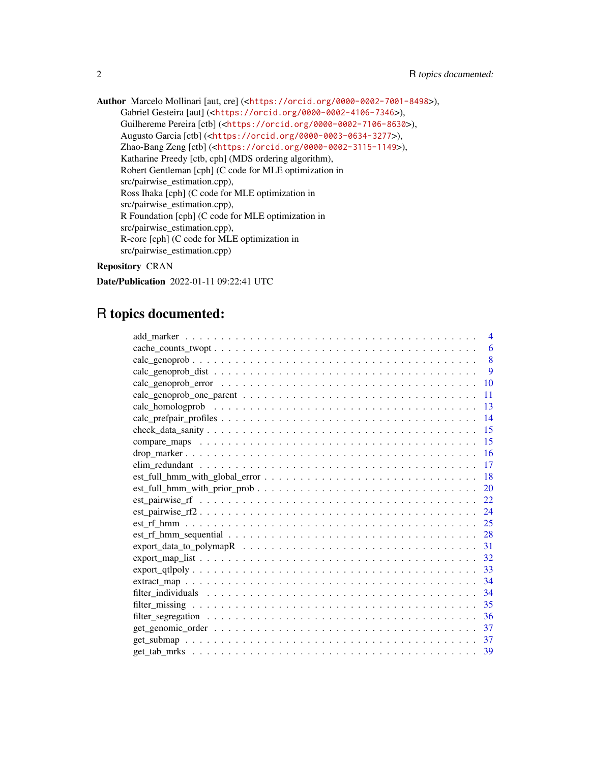Author Marcelo Mollinari [aut, cre] (<<https://orcid.org/0000-0002-7001-8498>>), Gabriel Gesteira [aut] (<<https://orcid.org/0000-0002-4106-7346>>), Guilhereme Pereira [ctb] (<<https://orcid.org/0000-0002-7106-8630>>), Augusto Garcia [ctb] (<<https://orcid.org/0000-0003-0634-3277>>), Zhao-Bang Zeng [ctb] (<<https://orcid.org/0000-0002-3115-1149>>), Katharine Preedy [ctb, cph] (MDS ordering algorithm), Robert Gentleman [cph] (C code for MLE optimization in src/pairwise\_estimation.cpp), Ross Ihaka [cph] (C code for MLE optimization in src/pairwise\_estimation.cpp), R Foundation [cph] (C code for MLE optimization in src/pairwise\_estimation.cpp), R-core [cph] (C code for MLE optimization in src/pairwise\_estimation.cpp)

## Repository CRAN

Date/Publication 2022-01-11 09:22:41 UTC

## R topics documented:

|                                                                                                                       | $\overline{\mathcal{A}}$ |
|-----------------------------------------------------------------------------------------------------------------------|--------------------------|
|                                                                                                                       | 6                        |
|                                                                                                                       | $\overline{8}$           |
|                                                                                                                       | 9                        |
| 10                                                                                                                    |                          |
| 11                                                                                                                    |                          |
| 13                                                                                                                    |                          |
| 14                                                                                                                    |                          |
| 15                                                                                                                    |                          |
| 15                                                                                                                    |                          |
| 16                                                                                                                    |                          |
| 17                                                                                                                    |                          |
| 18<br>$est\_full\_hmm\_with\_global\_error$                                                                           |                          |
| 20                                                                                                                    |                          |
| 22                                                                                                                    |                          |
| $est\_pairwise\_rf2 \ldots \ldots \ldots \ldots \ldots \ldots \ldots \ldots \ldots \ldots \ldots \ldots \ldots$<br>24 |                          |
| 25                                                                                                                    |                          |
| 28<br>$est\_rf\_hmm\_sequential \dots \dots \dots \dots \dots \dots \dots \dots \dots \dots \dots \dots \dots \dots$  |                          |
| 31                                                                                                                    |                          |
| 32                                                                                                                    |                          |
| 33                                                                                                                    |                          |
| 34                                                                                                                    |                          |
| 34                                                                                                                    |                          |
| 35                                                                                                                    |                          |
| 36                                                                                                                    |                          |
| 37                                                                                                                    |                          |
| 37                                                                                                                    |                          |
| - 39                                                                                                                  |                          |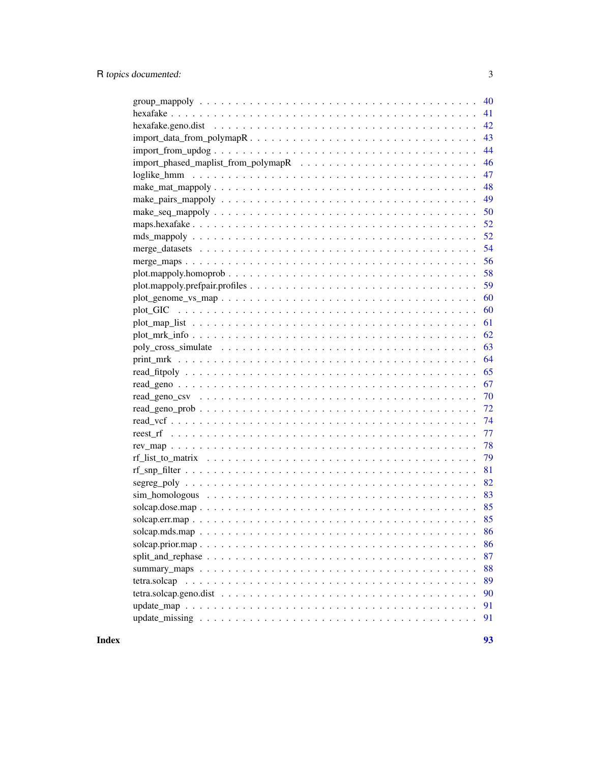| 40<br>41           |
|--------------------|
| 42                 |
| 43                 |
| 44                 |
| 46                 |
|                    |
| 47                 |
| 48                 |
| 49                 |
| 50                 |
| 52                 |
| 52                 |
| 54                 |
| 56                 |
| 58                 |
| 59                 |
| 60                 |
| 60                 |
| 61                 |
| 62                 |
| 63                 |
| 64                 |
| 65                 |
| 67                 |
| 70                 |
|                    |
|                    |
| 77                 |
| 78                 |
| 79                 |
| 81                 |
| 82                 |
| 83                 |
| 85                 |
| 85                 |
| 86                 |
|                    |
| 86                 |
| 87                 |
| 88                 |
| 89<br>tetra.solcap |
| 90                 |
| 91                 |
| 91                 |
|                    |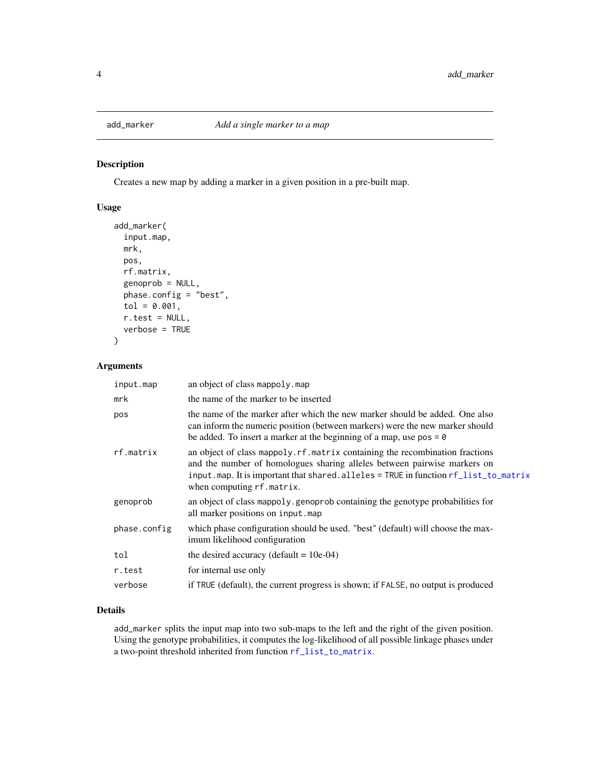<span id="page-3-0"></span>

Creates a new map by adding a marker in a given position in a pre-built map.

## Usage

```
add_marker(
  input.map,
 mrk,
 pos,
 rf.matrix,
  genoprob = NULL,
 phase.config = "best",
  tol = 0.001,r.test = NULL,
  verbose = TRUE
)
```
## Arguments

| input.map    | an object of class mappoly. map                                                                                                                                                                                                                                               |
|--------------|-------------------------------------------------------------------------------------------------------------------------------------------------------------------------------------------------------------------------------------------------------------------------------|
| mrk          | the name of the marker to be inserted                                                                                                                                                                                                                                         |
| pos          | the name of the marker after which the new marker should be added. One also<br>can inform the numeric position (between markers) were the new marker should<br>be added. To insert a marker at the beginning of a map, use $pos = 0$                                          |
| rf.matrix    | an object of class mappoly. rf. matrix containing the recombination fractions<br>and the number of homologues sharing alleles between pairwise markers on<br>input.map. It is important that shared.alleles = TRUE in function rf_list_to_matrix<br>when computing rf.matrix. |
| genoprob     | an object of class mappoly genoprob containing the genotype probabilities for<br>all marker positions on input.map                                                                                                                                                            |
| phase.config | which phase configuration should be used. "best" (default) will choose the max-<br>imum likelihood configuration                                                                                                                                                              |
| tol          | the desired accuracy (default = $10e-04$ )                                                                                                                                                                                                                                    |
| r.test       | for internal use only                                                                                                                                                                                                                                                         |
| verbose      | if TRUE (default), the current progress is shown; if FALSE, no output is produced                                                                                                                                                                                             |

#### Details

add\_marker splits the input map into two sub-maps to the left and the right of the given position. Using the genotype probabilities, it computes the log-likelihood of all possible linkage phases under a two-point threshold inherited from function [rf\\_list\\_to\\_matrix](#page-78-1).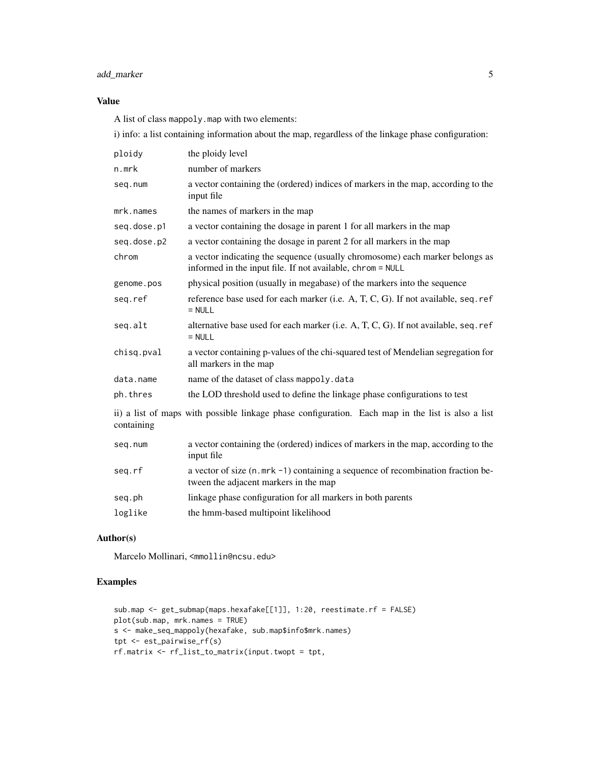## add\_marker 5

## Value

A list of class mappoly.map with two elements:

i) info: a list containing information about the map, regardless of the linkage phase configuration:

| ploidy      | the ploidy level                                                                                                                           |
|-------------|--------------------------------------------------------------------------------------------------------------------------------------------|
| n.mrk       | number of markers                                                                                                                          |
| seq.num     | a vector containing the (ordered) indices of markers in the map, according to the<br>input file                                            |
| mrk.names   | the names of markers in the map                                                                                                            |
| seq.dose.p1 | a vector containing the dosage in parent 1 for all markers in the map                                                                      |
| seq.dose.p2 | a vector containing the dosage in parent 2 for all markers in the map                                                                      |
| chrom       | a vector indicating the sequence (usually chromosome) each marker belongs as<br>informed in the input file. If not available, chrom = NULL |
| genome.pos  | physical position (usually in megabase) of the markers into the sequence                                                                   |
| seq.ref     | reference base used for each marker (i.e. A, T, C, G). If not available, seq. ref<br>$=$ NULL                                              |
| seq.alt     | alternative base used for each marker (i.e. A, T, C, G). If not available, seq. ref<br>$=$ NULL                                            |
| chisq.pval  | a vector containing p-values of the chi-squared test of Mendelian segregation for<br>all markers in the map                                |
| data.name   | name of the dataset of class mappoly.data                                                                                                  |
| ph.thres    | the LOD threshold used to define the linkage phase configurations to test                                                                  |
| containing  | ii) a list of maps with possible linkage phase configuration. Each map in the list is also a list                                          |
| seg.num     | a vector containing the (ordered) indices of markers in the map, according to the<br>input file                                            |
| seg.rf      | a vector of size (n.mrk -1) containing a sequence of recombination fraction be-<br>tween the adjacent markers in the map                   |
| seg.ph      | linkage phase configuration for all markers in both parents                                                                                |

loglike the hmm-based multipoint likelihood

#### Author(s)

Marcelo Mollinari, <mmollin@ncsu.edu>

```
sub.map <- get_submap(maps.hexafake[[1]], 1:20, reestimate.rf = FALSE)
plot(sub.map, mrk.names = TRUE)
s <- make_seq_mappoly(hexafake, sub.map$info$mrk.names)
tpt <- est_pairwise_rf(s)
rf.matrix <- rf_list_to_matrix(input.twopt = tpt,
```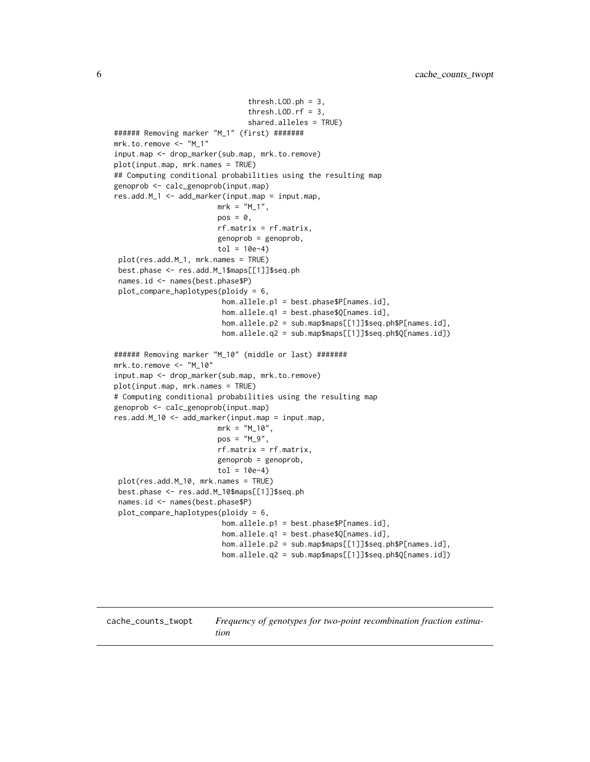```
thresh.LOD.ph = 3,
                               thresh.LOD.rf = 3,
                               shared.alleles = TRUE)
###### Removing marker "M_1" (first) #######
mrk.to.remove <- "M_1"
input.map <- drop_marker(sub.map, mrk.to.remove)
plot(input.map, mrk.names = TRUE)
## Computing conditional probabilities using the resulting map
genoprob <- calc_genoprob(input.map)
res.add.M_1 <- add_marker(input.map = input.map,
                        mrk = "M_1",pos = 0,rf.matrix = rf.matrix,
                        genoprob = genoprob,
                        tol = 10e-4plot(res.add.M_1, mrk.names = TRUE)
 best.phase <- res.add.M_1$maps[[1]]$seq.ph
 names.id <- names(best.phase$P)
 plot_compare_haplotypes(ploidy = 6,
                         hom.allele.p1 = best.phase$P[names.id],
                         hom.allele.q1 = best.phase$Q[names.id],
                         hom.allele.p2 = sub.map$maps[[1]]$seq.ph$P[names.id],
                         hom.allele.q2 = sub.map$maps[[1]]$seq.ph$Q[names.id])
###### Removing marker "M_10" (middle or last) #######
mrk.to.remove <- "M_10"
input.map <- drop_marker(sub.map, mrk.to.remove)
plot(input.map, mrk.names = TRUE)
# Computing conditional probabilities using the resulting map
genoprob <- calc_genoprob(input.map)
res.add.M_10 <- add_marker(input.map = input.map,
                       mrk = "M_10",pos = "M_9",rf.matrix = rf.matrix,
                        genoprob = genoprob,
                        tol = 10e-4plot(res.add.M_10, mrk.names = TRUE)
 best.phase <- res.add.M_10$maps[[1]]$seq.ph
 names.id <- names(best.phase$P)
 plot_compare_haplotypes(ploidy = 6,
                         hom.allele.p1 = best.phase$P[names.id],
                         hom.allele.q1 = best.phase$Q[names.id],
                         hom.allele.p2 = sub.map$maps[[1]]$seq.ph$P[names.id],
                         hom.allele.q2 = sub.map$maps[[1]]$seq.ph$Q[names.id])
```
<span id="page-5-1"></span>cache\_counts\_twopt *Frequency of genotypes for two-point recombination fraction estimation*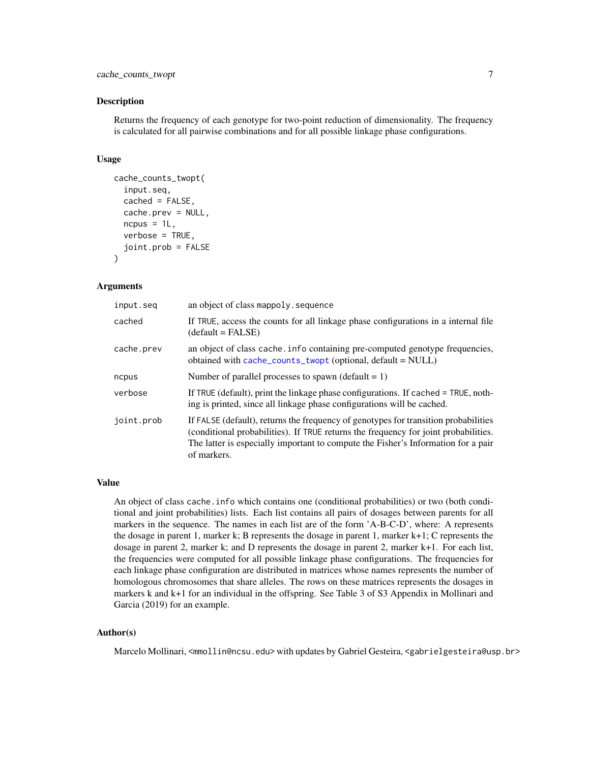Returns the frequency of each genotype for two-point reduction of dimensionality. The frequency is calculated for all pairwise combinations and for all possible linkage phase configurations.

#### Usage

```
cache_counts_twopt(
  input.seq,
  cached = FALSE,cache.prev = NULL,
  ncpus = 1L,
  verbose = TRUE,
  joint.prob = FALSE
)
```
#### Arguments

| an object of class mappoly . sequence                                                                                                                                                                                                                                          |
|--------------------------------------------------------------------------------------------------------------------------------------------------------------------------------------------------------------------------------------------------------------------------------|
| If TRUE, access the counts for all linkage phase configurations in a internal file<br>$(detault = FALSE)$                                                                                                                                                                      |
| an object of class cache. info containing pre-computed genotype frequencies,<br>obtained with $cache_counts_twopt$ (optional, $default = NULL$ )                                                                                                                               |
| Number of parallel processes to spawn (default $= 1$ )                                                                                                                                                                                                                         |
| If TRUE (default), print the linkage phase configurations. If cached = TRUE, noth-<br>ing is printed, since all linkage phase configurations will be cached.                                                                                                                   |
| If FALSE (default), returns the frequency of genotypes for transition probabilities<br>(conditional probabilities). If TRUE returns the frequency for joint probabilities.<br>The latter is especially important to compute the Fisher's Information for a pair<br>of markers. |
|                                                                                                                                                                                                                                                                                |

#### Value

An object of class cache.info which contains one (conditional probabilities) or two (both conditional and joint probabilities) lists. Each list contains all pairs of dosages between parents for all markers in the sequence. The names in each list are of the form 'A-B-C-D', where: A represents the dosage in parent 1, marker k; B represents the dosage in parent 1, marker k+1; C represents the dosage in parent 2, marker k; and D represents the dosage in parent 2, marker k+1. For each list, the frequencies were computed for all possible linkage phase configurations. The frequencies for each linkage phase configuration are distributed in matrices whose names represents the number of homologous chromosomes that share alleles. The rows on these matrices represents the dosages in markers k and k+1 for an individual in the offspring. See Table 3 of S3 Appendix in Mollinari and Garcia (2019) for an example.

#### Author(s)

Marcelo Mollinari, <mmollin@ncsu.edu> with updates by Gabriel Gesteira, <gabrielgesteira@usp.br>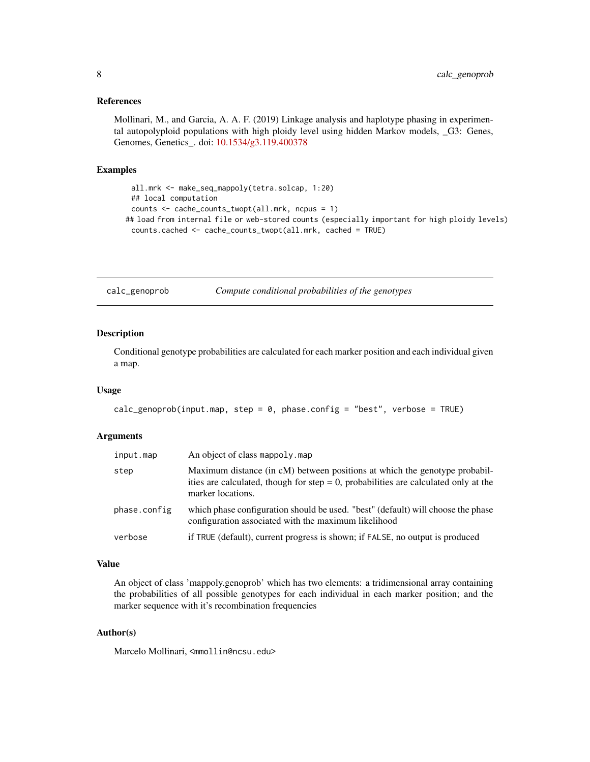#### <span id="page-7-0"></span>References

Mollinari, M., and Garcia, A. A. F. (2019) Linkage analysis and haplotype phasing in experimental autopolyploid populations with high ploidy level using hidden Markov models, \_G3: Genes, Genomes, Genetics\_. doi: [10.1534/g3.119.400378](https://doi.org/10.1534/g3.119.400378)

#### Examples

```
all.mrk <- make_seq_mappoly(tetra.solcap, 1:20)
 ## local computation
 counts <- cache_counts_twopt(all.mrk, ncpus = 1)
## load from internal file or web-stored counts (especially important for high ploidy levels)
 counts.cached <- cache_counts_twopt(all.mrk, cached = TRUE)
```
calc\_genoprob *Compute conditional probabilities of the genotypes*

## Description

Conditional genotype probabilities are calculated for each marker position and each individual given a map.

#### Usage

```
calc_genoprob(input.map, step = \theta, phase.config = "best", verbose = TRUE)
```
#### Arguments

| input.map    | An object of class mappoly, map                                                                                                                                                           |
|--------------|-------------------------------------------------------------------------------------------------------------------------------------------------------------------------------------------|
| step         | Maximum distance (in cM) between positions at which the genotype probabil-<br>ities are calculated, though for step $= 0$ , probabilities are calculated only at the<br>marker locations. |
| phase.config | which phase configuration should be used. "best" (default) will choose the phase<br>configuration associated with the maximum likelihood                                                  |
| verbose      | if TRUE (default), current progress is shown; if FALSE, no output is produced                                                                                                             |

#### Value

An object of class 'mappoly.genoprob' which has two elements: a tridimensional array containing the probabilities of all possible genotypes for each individual in each marker position; and the marker sequence with it's recombination frequencies

## Author(s)

Marcelo Mollinari, <mmollin@ncsu.edu>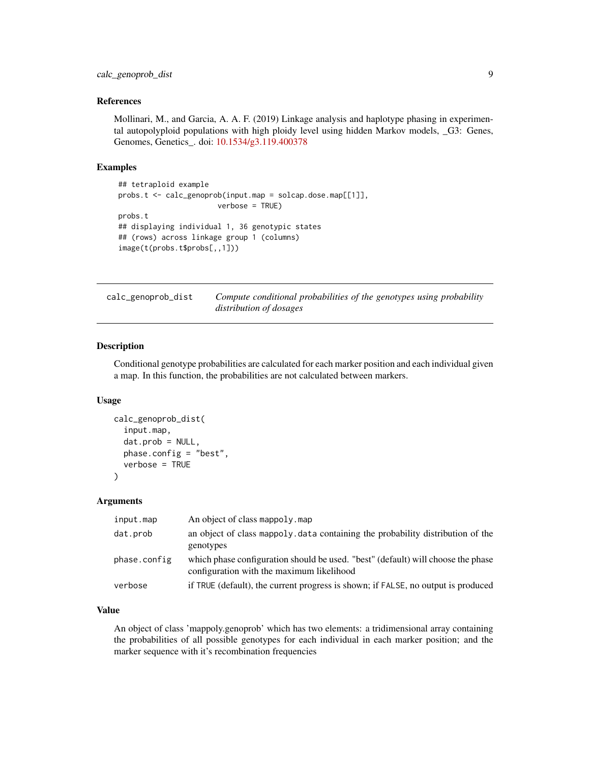## <span id="page-8-0"></span>calc\_genoprob\_dist 9

#### References

Mollinari, M., and Garcia, A. A. F. (2019) Linkage analysis and haplotype phasing in experimental autopolyploid populations with high ploidy level using hidden Markov models, \_G3: Genes, Genomes, Genetics\_. doi: [10.1534/g3.119.400378](https://doi.org/10.1534/g3.119.400378)

#### Examples

```
## tetraploid example
probs.t <- calc_genoprob(input.map = solcap.dose.map[[1]],
                       verbose = TRUE)
probs.t
## displaying individual 1, 36 genotypic states
## (rows) across linkage group 1 (columns)
image(t(probs.t$probs[,,1]))
```
calc\_genoprob\_dist *Compute conditional probabilities of the genotypes using probability distribution of dosages*

#### Description

Conditional genotype probabilities are calculated for each marker position and each individual given a map. In this function, the probabilities are not calculated between markers.

#### Usage

```
calc_genoprob_dist(
  input.map,
  dat.prob = NULL,phase.config = "best",
  verbose = TRUE
\mathcal{L}
```
## Arguments

| input.map    | An object of class mappoly, map                                                                                               |
|--------------|-------------------------------------------------------------------------------------------------------------------------------|
| dat.prob     | an object of class mappoly, data containing the probability distribution of the<br>genotypes                                  |
| phase.config | which phase configuration should be used. "best" (default) will choose the phase<br>configuration with the maximum likelihood |
| verbose      | if TRUE (default), the current progress is shown; if FALSE, no output is produced                                             |

#### Value

An object of class 'mappoly.genoprob' which has two elements: a tridimensional array containing the probabilities of all possible genotypes for each individual in each marker position; and the marker sequence with it's recombination frequencies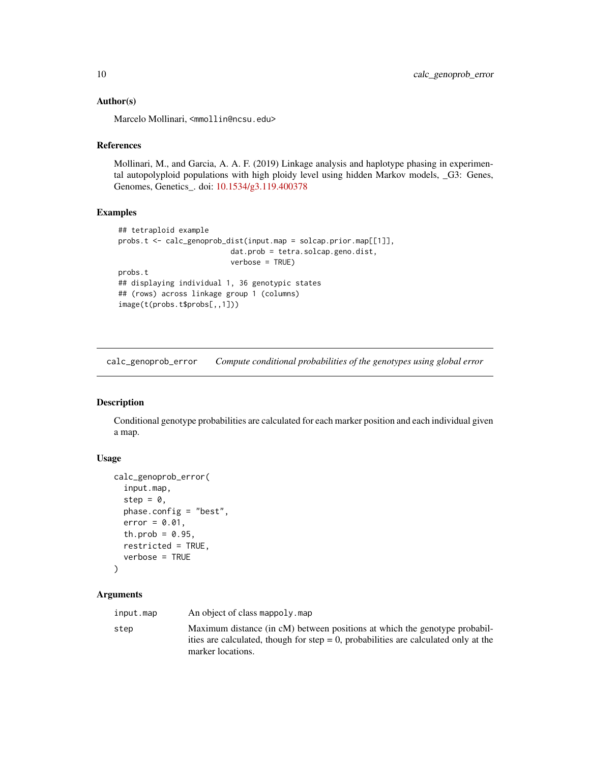#### <span id="page-9-0"></span>Author(s)

Marcelo Mollinari, <mmollin@ncsu.edu>

#### References

Mollinari, M., and Garcia, A. A. F. (2019) Linkage analysis and haplotype phasing in experimental autopolyploid populations with high ploidy level using hidden Markov models, \_G3: Genes, Genomes, Genetics\_. doi: [10.1534/g3.119.400378](https://doi.org/10.1534/g3.119.400378)

## Examples

```
## tetraploid example
probs.t <- calc_genoprob_dist(input.map = solcap.prior.map[[1]],
                         dat.prob = tetra.solcap.geno.dist,
                          verbose = TRUE)
probs.t
## displaying individual 1, 36 genotypic states
## (rows) across linkage group 1 (columns)
image(t(probs.t$probs[,,1]))
```
calc\_genoprob\_error *Compute conditional probabilities of the genotypes using global error*

## Description

Conditional genotype probabilities are calculated for each marker position and each individual given a map.

#### Usage

```
calc_genoprob_error(
  input.map,
  step = 0,
  phase.config = "best",
  error = 0.01,th.prob = 0.95,
  restricted = TRUE,
  verbose = TRUE
)
```
## Arguments

| input.map | An object of class mappoly, map                                                                                                                                                           |
|-----------|-------------------------------------------------------------------------------------------------------------------------------------------------------------------------------------------|
| step      | Maximum distance (in cM) between positions at which the genotype probabil-<br>ities are calculated, though for step $= 0$ , probabilities are calculated only at the<br>marker locations. |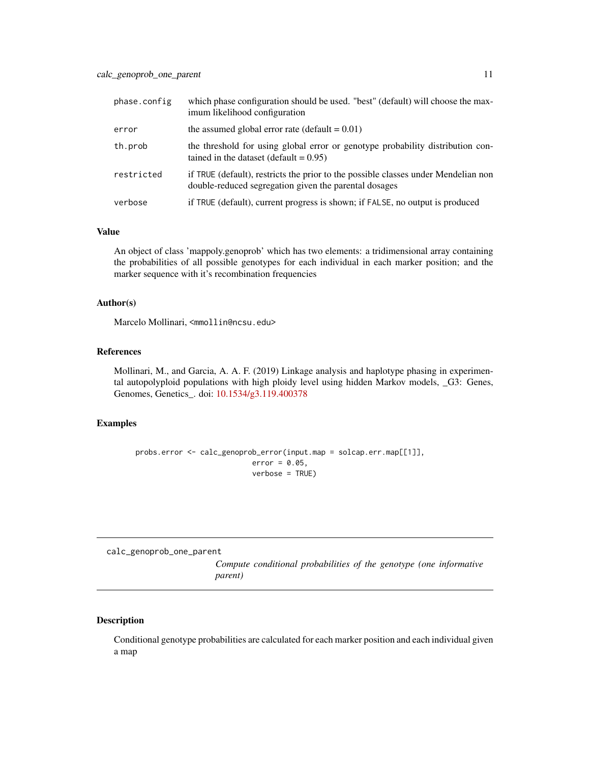<span id="page-10-0"></span>

| phase.config | which phase configuration should be used. "best" (default) will choose the max-<br>imum likelihood configuration                            |
|--------------|---------------------------------------------------------------------------------------------------------------------------------------------|
| error        | the assumed global error rate (default $= 0.01$ )                                                                                           |
| th.prob      | the threshold for using global error or genotype probability distribution con-<br>tained in the dataset (default = $0.95$ )                 |
| restricted   | if TRUE (default), restricts the prior to the possible classes under Mendelian non<br>double-reduced segregation given the parental dosages |
| verbose      | if TRUE (default), current progress is shown; if FALSE, no output is produced                                                               |

#### Value

An object of class 'mappoly.genoprob' which has two elements: a tridimensional array containing the probabilities of all possible genotypes for each individual in each marker position; and the marker sequence with it's recombination frequencies

## Author(s)

Marcelo Mollinari, <mmollin@ncsu.edu>

#### References

Mollinari, M., and Garcia, A. A. F. (2019) Linkage analysis and haplotype phasing in experimental autopolyploid populations with high ploidy level using hidden Markov models, \_G3: Genes, Genomes, Genetics\_. doi: [10.1534/g3.119.400378](https://doi.org/10.1534/g3.119.400378)

## Examples

```
probs.error <- calc_genoprob_error(input.map = solcap.err.map[[1]],
                           error = 0.05,
                           verbose = TRUE)
```
calc\_genoprob\_one\_parent

*Compute conditional probabilities of the genotype (one informative parent)*

## Description

Conditional genotype probabilities are calculated for each marker position and each individual given a map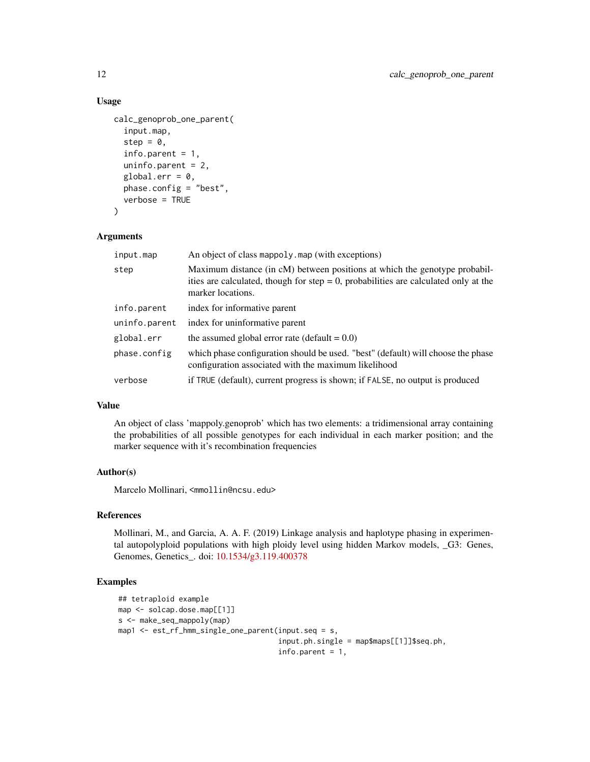## Usage

```
calc_genoprob_one_parent(
  input.map,
  step = 0,info.parent = 1,
  uninfo.parent = 2,
  global.err = 0,
  phase.config = "best",
  verbose = TRUE
\mathcal{L}
```
#### Arguments

| input.map     | An object of class mappoly, map (with exceptions)                                                                                                                                         |
|---------------|-------------------------------------------------------------------------------------------------------------------------------------------------------------------------------------------|
| step          | Maximum distance (in cM) between positions at which the genotype probabil-<br>ities are calculated, though for step $= 0$ , probabilities are calculated only at the<br>marker locations. |
| info.parent   | index for informative parent                                                                                                                                                              |
| uninfo.parent | index for uninformative parent                                                                                                                                                            |
| global.err    | the assumed global error rate (default $= 0.0$ )                                                                                                                                          |
| phase.config  | which phase configuration should be used. "best" (default) will choose the phase<br>configuration associated with the maximum likelihood                                                  |
| verbose       | if TRUE (default), current progress is shown; if FALSE, no output is produced                                                                                                             |

#### Value

An object of class 'mappoly.genoprob' which has two elements: a tridimensional array containing the probabilities of all possible genotypes for each individual in each marker position; and the marker sequence with it's recombination frequencies

#### Author(s)

Marcelo Mollinari, <mmollin@ncsu.edu>

#### References

Mollinari, M., and Garcia, A. A. F. (2019) Linkage analysis and haplotype phasing in experimental autopolyploid populations with high ploidy level using hidden Markov models, \_G3: Genes, Genomes, Genetics\_. doi: [10.1534/g3.119.400378](https://doi.org/10.1534/g3.119.400378)

```
## tetraploid example
map <- solcap.dose.map[[1]]
s <- make_seq_mappoly(map)
map1 <- est_rf_hmm_single_one_parent(input.seq = s,
                                     input.ph.single = map$maps[[1]]$seq.ph,
                                     info.parent = 1,
```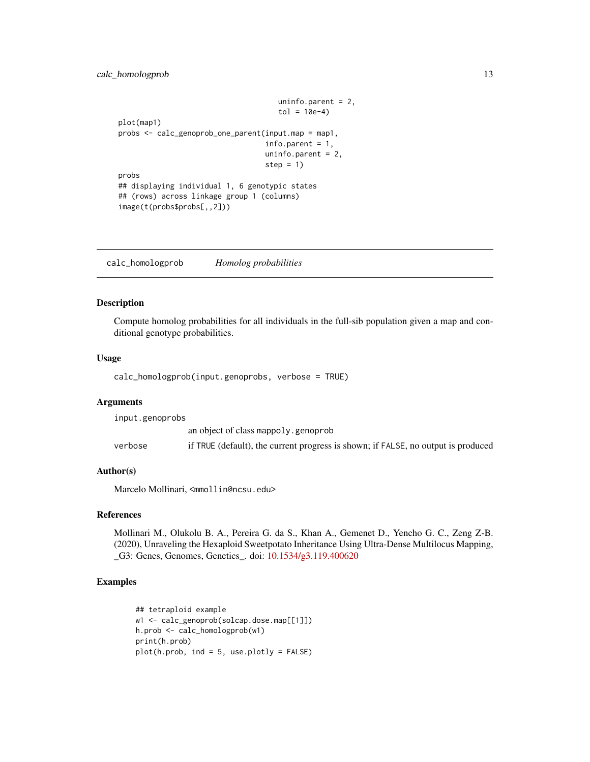```
uninfo.parent = 2,
                                     tol = 10e-4plot(map1)
probs <- calc_genoprob_one_parent(input.map = map1,
                                  info.parent = 1,
                                  uninfo.parent = 2,
                                  step = 1)
probs
## displaying individual 1, 6 genotypic states
## (rows) across linkage group 1 (columns)
image(t(probs$probs[,,2]))
```
calc\_homologprob *Homolog probabilities*

#### Description

Compute homolog probabilities for all individuals in the full-sib population given a map and conditional genotype probabilities.

#### Usage

calc\_homologprob(input.genoprobs, verbose = TRUE)

## Arguments

input.genoprobs an object of class mappoly.genoprob verbose if TRUE (default), the current progress is shown; if FALSE, no output is produced

#### Author(s)

Marcelo Mollinari, <mmollin@ncsu.edu>

#### References

Mollinari M., Olukolu B. A., Pereira G. da S., Khan A., Gemenet D., Yencho G. C., Zeng Z-B. (2020), Unraveling the Hexaploid Sweetpotato Inheritance Using Ultra-Dense Multilocus Mapping, \_G3: Genes, Genomes, Genetics\_. doi: [10.1534/g3.119.400620](https://doi.org/10.1534/g3.119.400620)

```
## tetraploid example
w1 <- calc_genoprob(solcap.dose.map[[1]])
h.prob <- calc_homologprob(w1)
print(h.prob)
plot(h.prob, ind = 5, use.plotly = FALSE)
```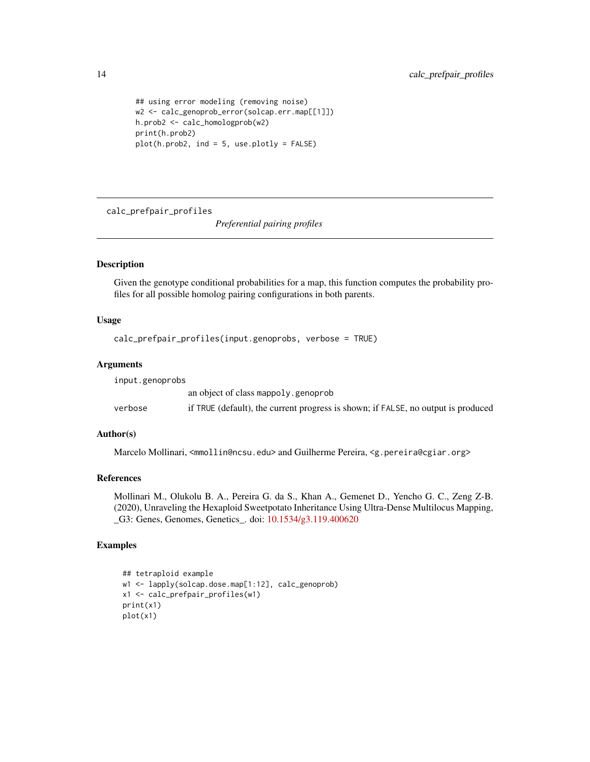```
## using error modeling (removing noise)
w2 <- calc_genoprob_error(solcap.err.map[[1]])
h.prob2 <- calc_homologprob(w2)
print(h.prob2)
plot(h.prob2, ind = 5, use.plotly = FALSE)
```
calc\_prefpair\_profiles

*Preferential pairing profiles*

## Description

Given the genotype conditional probabilities for a map, this function computes the probability profiles for all possible homolog pairing configurations in both parents.

#### Usage

```
calc_prefpair_profiles(input.genoprobs, verbose = TRUE)
```
## Arguments

input.genoprobs

|         | an object of class mappoly genoprob                                               |
|---------|-----------------------------------------------------------------------------------|
| verbose | if TRUE (default), the current progress is shown; if FALSE, no output is produced |

## Author(s)

Marcelo Mollinari, <mmollin@ncsu.edu> and Guilherme Pereira, <g.pereira@cgiar.org>

## References

Mollinari M., Olukolu B. A., Pereira G. da S., Khan A., Gemenet D., Yencho G. C., Zeng Z-B. (2020), Unraveling the Hexaploid Sweetpotato Inheritance Using Ultra-Dense Multilocus Mapping, \_G3: Genes, Genomes, Genetics\_. doi: [10.1534/g3.119.400620](https://doi.org/10.1534/g3.119.400620)

```
## tetraploid example
w1 <- lapply(solcap.dose.map[1:12], calc_genoprob)
x1 <- calc_prefpair_profiles(w1)
print(x1)
plot(x1)
```
<span id="page-13-0"></span>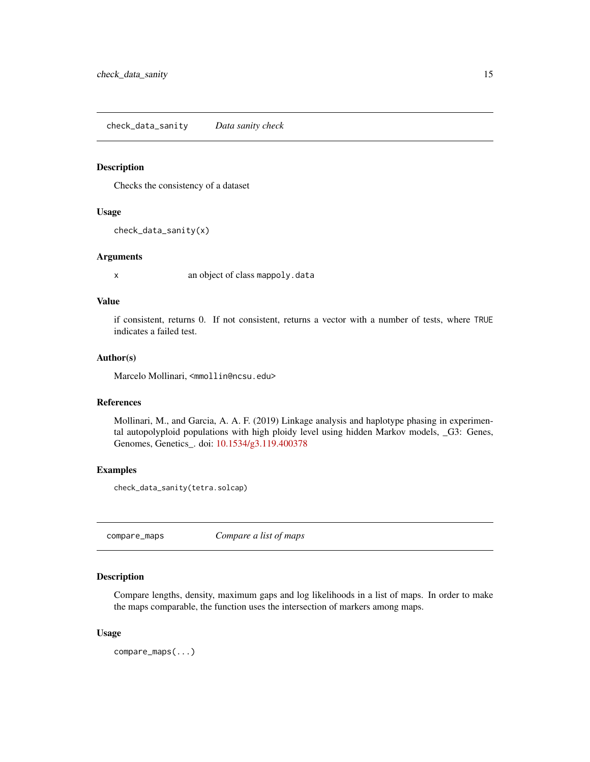<span id="page-14-0"></span>check\_data\_sanity *Data sanity check*

#### Description

Checks the consistency of a dataset

## Usage

check\_data\_sanity(x)

#### Arguments

x an object of class mappoly.data

#### Value

if consistent, returns 0. If not consistent, returns a vector with a number of tests, where TRUE indicates a failed test.

#### Author(s)

Marcelo Mollinari, <mmollin@ncsu.edu>

## References

Mollinari, M., and Garcia, A. A. F. (2019) Linkage analysis and haplotype phasing in experimental autopolyploid populations with high ploidy level using hidden Markov models, \_G3: Genes, Genomes, Genetics\_. doi: [10.1534/g3.119.400378](https://doi.org/10.1534/g3.119.400378)

## Examples

check\_data\_sanity(tetra.solcap)

compare\_maps *Compare a list of maps*

## Description

Compare lengths, density, maximum gaps and log likelihoods in a list of maps. In order to make the maps comparable, the function uses the intersection of markers among maps.

#### Usage

compare\_maps(...)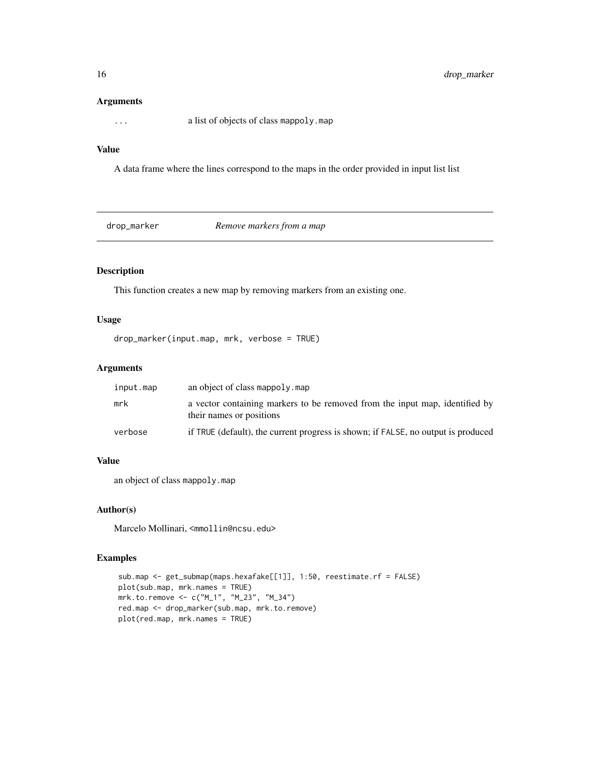#### Arguments

... a list of objects of class mappoly.map

## Value

A data frame where the lines correspond to the maps in the order provided in input list list

drop\_marker *Remove markers from a map*

## Description

This function creates a new map by removing markers from an existing one.

#### Usage

```
drop_marker(input.map, mrk, verbose = TRUE)
```
#### Arguments

| input.map | an object of class mappoly, map                                                                         |
|-----------|---------------------------------------------------------------------------------------------------------|
| mrk       | a vector containing markers to be removed from the input map, identified by<br>their names or positions |
| verbose   | if TRUE (default), the current progress is shown; if FALSE, no output is produced                       |

#### Value

an object of class mappoly.map

## Author(s)

Marcelo Mollinari, <mmollin@ncsu.edu>

```
sub.map <- get_submap(maps.hexafake[[1]], 1:50, reestimate.rf = FALSE)
plot(sub.map, mrk.names = TRUE)
mrk.to.remove <- c("M_1", "M_23", "M_34")
red.map <- drop_marker(sub.map, mrk.to.remove)
plot(red.map, mrk.names = TRUE)
```
<span id="page-15-0"></span>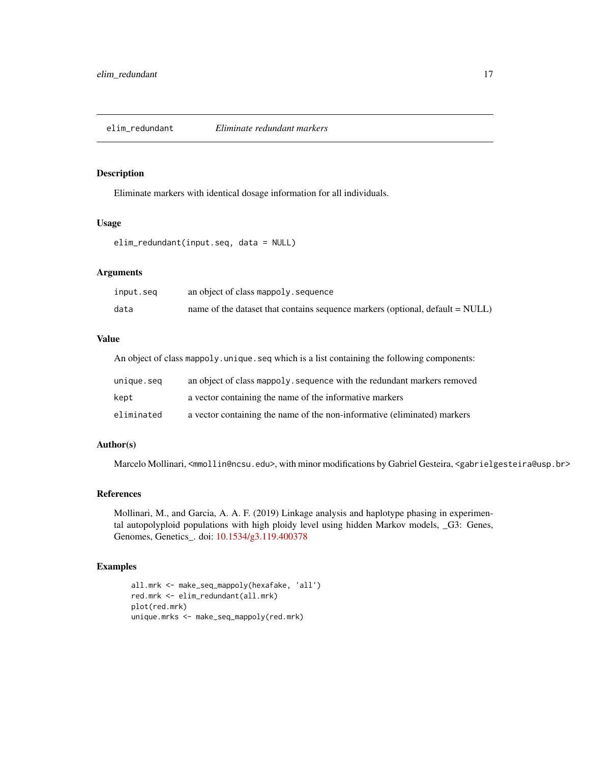<span id="page-16-0"></span>

Eliminate markers with identical dosage information for all individuals.

#### Usage

```
elim_redundant(input.seq, data = NULL)
```
## Arguments

| input.seq | an object of class mappoly sequence                                                            |
|-----------|------------------------------------------------------------------------------------------------|
| data      | name of the dataset that contains sequence markers (optional, $\text{default} = \text{NULL}$ ) |

## Value

An object of class mappoly.unique.seq which is a list containing the following components:

| unique.seq | an object of class mappoly, sequence with the redundant markers removed  |
|------------|--------------------------------------------------------------------------|
| kept       | a vector containing the name of the informative markers                  |
| eliminated | a vector containing the name of the non-informative (eliminated) markers |

## Author(s)

Marcelo Mollinari, <mmollin@ncsu.edu>, with minor modifications by Gabriel Gesteira, <gabrielgesteira@usp.br>

### References

Mollinari, M., and Garcia, A. A. F. (2019) Linkage analysis and haplotype phasing in experimental autopolyploid populations with high ploidy level using hidden Markov models, \_G3: Genes, Genomes, Genetics\_. doi: [10.1534/g3.119.400378](https://doi.org/10.1534/g3.119.400378)

```
all.mrk <- make_seq_mappoly(hexafake, 'all')
red.mrk <- elim_redundant(all.mrk)
plot(red.mrk)
unique.mrks <- make_seq_mappoly(red.mrk)
```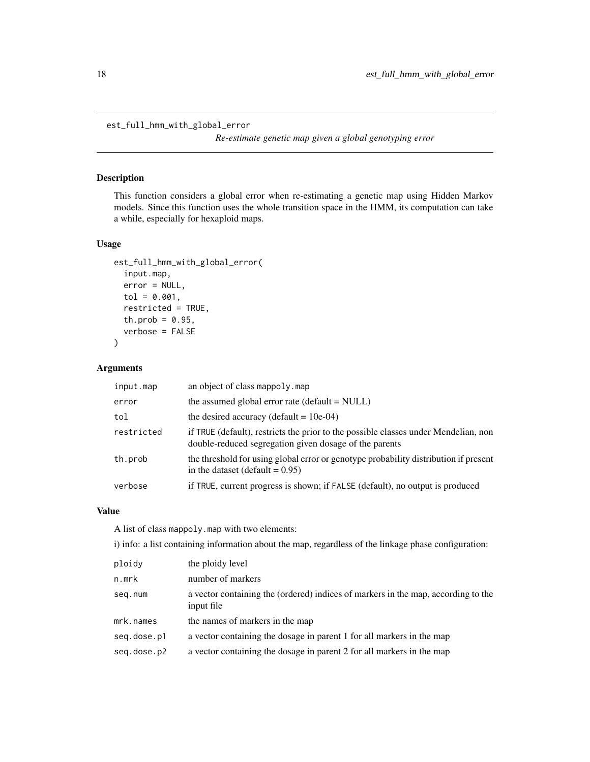<span id="page-17-0"></span>est\_full\_hmm\_with\_global\_error

*Re-estimate genetic map given a global genotyping error*

## Description

This function considers a global error when re-estimating a genetic map using Hidden Markov models. Since this function uses the whole transition space in the HMM, its computation can take a while, especially for hexaploid maps.

## Usage

```
est_full_hmm_with_global_error(
  input.map,
  error = NULL,
  tol = 0.001,restricted = TRUE,
  th.prob = 0.95,
  verbose = FALSE
)
```
#### Arguments

| input.map  | an object of class mappoly, map                                                                                                               |
|------------|-----------------------------------------------------------------------------------------------------------------------------------------------|
| error      | the assumed global error rate (default $=$ NULL)                                                                                              |
| tol        | the desired accuracy (default = $10e-04$ )                                                                                                    |
| restricted | if TRUE (default), restricts the prior to the possible classes under Mendelian, non<br>double-reduced segregation given dosage of the parents |
| th.prob    | the threshold for using global error or genotype probability distribution if present<br>in the dataset (default = $0.95$ )                    |
| verbose    | if TRUE, current progress is shown; if FALSE (default), no output is produced                                                                 |

## Value

A list of class mappoly.map with two elements:

i) info: a list containing information about the map, regardless of the linkage phase configuration:

| number of markers<br>n.mrk<br>a vector containing the (ordered) indices of markers in the map, according to the<br>seg.num |  |
|----------------------------------------------------------------------------------------------------------------------------|--|
|                                                                                                                            |  |
| input file                                                                                                                 |  |
| mrk.names<br>the names of markers in the map                                                                               |  |
| a vector containing the dosage in parent 1 for all markers in the map<br>seg.dose.p1                                       |  |
| a vector containing the dosage in parent 2 for all markers in the map<br>seg.dose.p2                                       |  |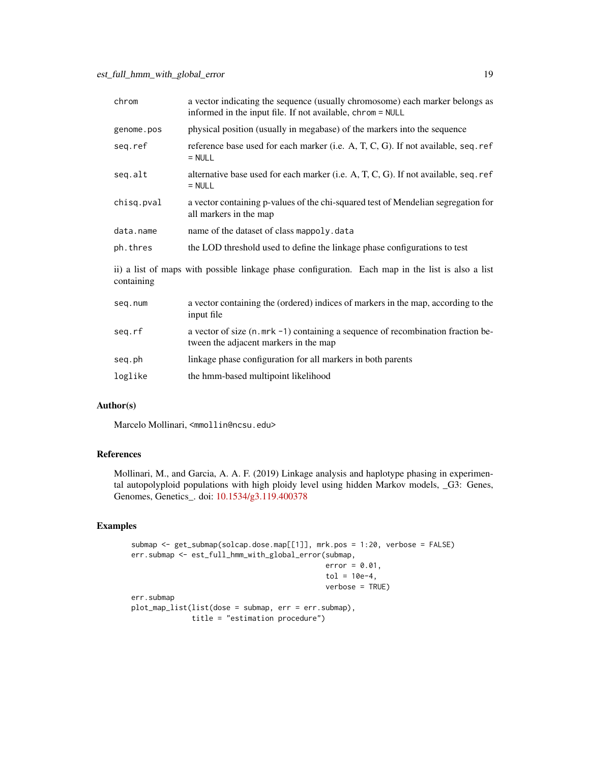| chrom      | a vector indicating the sequence (usually chromosome) each marker belongs as<br>informed in the input file. If not available, chrom = NULL |
|------------|--------------------------------------------------------------------------------------------------------------------------------------------|
| genome.pos | physical position (usually in megabase) of the markers into the sequence                                                                   |
| seq.ref    | reference base used for each marker (i.e. A, T, C, G). If not available, seq. ref<br>$= NULL$                                              |
| seq.alt    | alternative base used for each marker (i.e. A, T, C, G). If not available, seq. ref<br>$= NULL$                                            |
| chisq.pval | a vector containing p-values of the chi-squared test of Mendelian segregation for<br>all markers in the map                                |
| data.name  | name of the dataset of class mappoly. data                                                                                                 |
| ph.thres   | the LOD threshold used to define the linkage phase configurations to test                                                                  |
| containing | ii) a list of maps with possible linkage phase configuration. Each map in the list is also a list                                          |
| seq.num    | a vector containing the (ordered) indices of markers in the map, according to the<br>input file                                            |
| seq.rf     | a vector of size (n. mrk -1) containing a sequence of recombination fraction be-<br>tween the adjacent markers in the map                  |
| seq.ph     | linkage phase configuration for all markers in both parents                                                                                |
| loglike    | the hmm-based multipoint likelihood                                                                                                        |

## Author(s)

Marcelo Mollinari, <mmollin@ncsu.edu>

## References

Mollinari, M., and Garcia, A. A. F. (2019) Linkage analysis and haplotype phasing in experimental autopolyploid populations with high ploidy level using hidden Markov models, \_G3: Genes, Genomes, Genetics\_. doi: [10.1534/g3.119.400378](https://doi.org/10.1534/g3.119.400378)

```
submap <- get_submap(solcap.dose.map[[1]], mrk.pos = 1:20, verbose = FALSE)
err.submap <- est_full_hmm_with_global_error(submap,
                                            error = 0.01,tol = 10e-4,verbose = TRUE)
err.submap
plot_map_list(list(dose = submap, err = err.submap),
             title = "estimation procedure")
```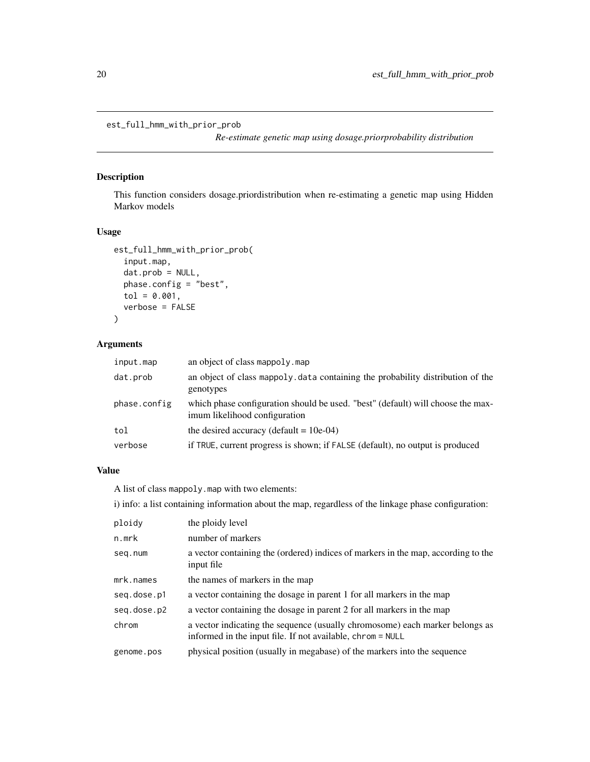<span id="page-19-0"></span>est\_full\_hmm\_with\_prior\_prob

*Re-estimate genetic map using dosage.priorprobability distribution*

## Description

This function considers dosage.priordistribution when re-estimating a genetic map using Hidden Markov models

#### Usage

```
est_full_hmm_with_prior_prob(
  input.map,
  dat.prob = NULL,
  phase.config = "best",
  tol = 0.001,verbose = FALSE
\mathcal{L}
```
## Arguments

| input.map    | an object of class mappoly.map                                                                                   |
|--------------|------------------------------------------------------------------------------------------------------------------|
| dat.prob     | an object of class mappoly data containing the probability distribution of the<br>genotypes                      |
| phase.config | which phase configuration should be used. "best" (default) will choose the max-<br>imum likelihood configuration |
| tol          | the desired accuracy (default = $10e-04$ )                                                                       |
| verbose      | if TRUE, current progress is shown; if FALSE (default), no output is produced                                    |
|              |                                                                                                                  |

## Value

A list of class mappoly.map with two elements:

i) info: a list containing information about the map, regardless of the linkage phase configuration:

| ploidy      | the ploidy level                                                                                                                           |
|-------------|--------------------------------------------------------------------------------------------------------------------------------------------|
| n.mrk       | number of markers                                                                                                                          |
| seg.num     | a vector containing the (ordered) indices of markers in the map, according to the<br>input file                                            |
| mrk.names   | the names of markers in the map                                                                                                            |
| seq.dose.p1 | a vector containing the dosage in parent 1 for all markers in the map                                                                      |
| seq.dose.p2 | a vector containing the dosage in parent 2 for all markers in the map                                                                      |
| chrom       | a vector indicating the sequence (usually chromosome) each marker belongs as<br>informed in the input file. If not available, chrom = NULL |
| genome.pos  | physical position (usually in megabase) of the markers into the sequence                                                                   |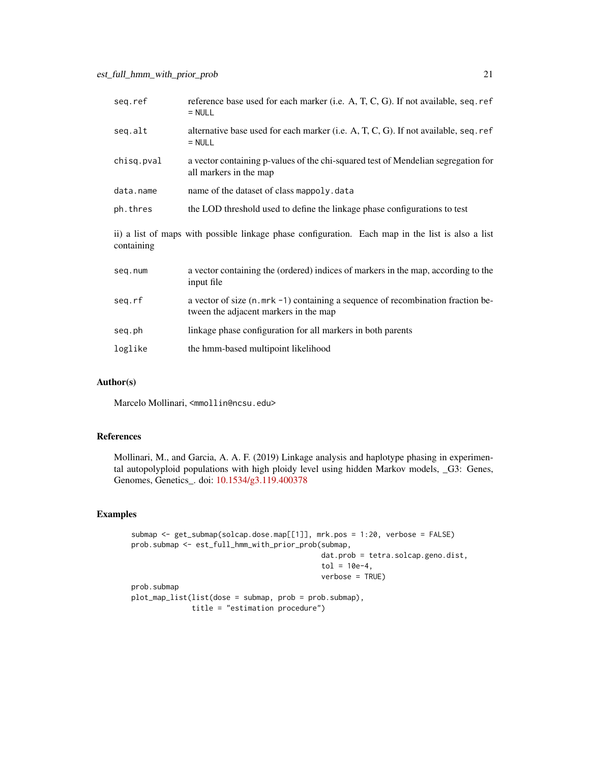| seg.ref    | reference base used for each marker (i.e. A, T, C, G). If not available, seq. ref<br>$=$ NULL                               |
|------------|-----------------------------------------------------------------------------------------------------------------------------|
| seq.alt    | alternative base used for each marker (i.e. A, T, C, G). If not available, seq. ref<br>$=$ NULL                             |
| chisq.pval | a vector containing p-values of the chi-squared test of Mendelian segregation for<br>all markers in the map                 |
| data.name  | name of the dataset of class mappoly.data                                                                                   |
| ph.thres   | the LOD threshold used to define the linkage phase configurations to test                                                   |
| containing | ii) a list of maps with possible linkage phase configuration. Each map in the list is also a list                           |
| seq.num    | a vector containing the (ordered) indices of markers in the map, according to the<br>input file                             |
| seq.rf     | a vector of size $(n.mrk - 1)$ containing a sequence of recombination fraction be-<br>tween the adjacent markers in the map |
| seq.ph     | linkage phase configuration for all markers in both parents                                                                 |
| loglike    | the hmm-based multipoint likelihood                                                                                         |

#### Author(s)

Marcelo Mollinari, <mmollin@ncsu.edu>

#### References

Mollinari, M., and Garcia, A. A. F. (2019) Linkage analysis and haplotype phasing in experimental autopolyploid populations with high ploidy level using hidden Markov models, \_G3: Genes, Genomes, Genetics\_. doi: [10.1534/g3.119.400378](https://doi.org/10.1534/g3.119.400378)

```
submap <- get_submap(solcap.dose.map[[1]], mrk.pos = 1:20, verbose = FALSE)
prob.submap <- est_full_hmm_with_prior_prob(submap,
                                            dat.prob = tetra.solcap.geno.dist,
                                            tol = 10e-4,verbose = TRUE)
prob.submap
plot_map_list(list(dose = submap, prob = prob.submap),
             title = "estimation procedure")
```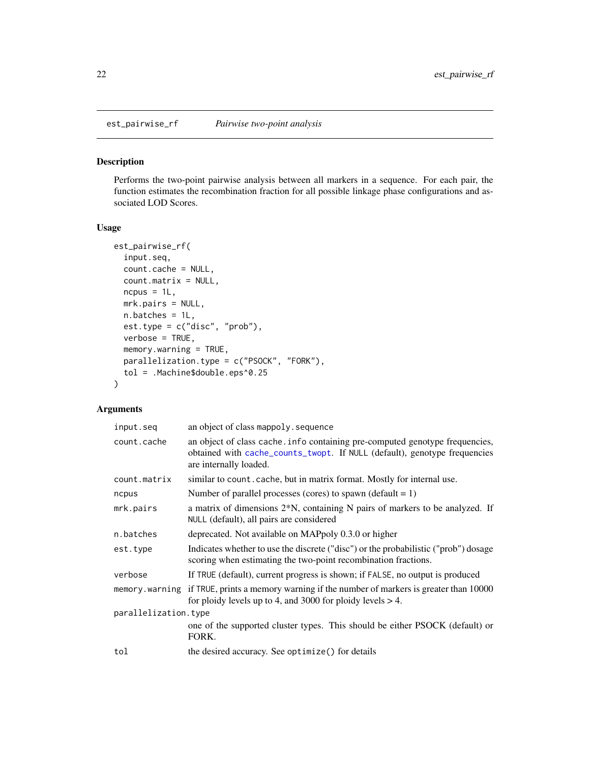<span id="page-21-0"></span>

Performs the two-point pairwise analysis between all markers in a sequence. For each pair, the function estimates the recombination fraction for all possible linkage phase configurations and associated LOD Scores.

## Usage

```
est_pairwise_rf(
  input.seq,
  count.cache = NULL,
  count.matrix = NULL,
  ncpus = 1L,
 mrk.pairs = NULL,
  n.batches = 1L,
  est.type = c("disc", "prob"),
  verbose = TRUE,
 memory.warning = TRUE,
 parallelization.type = c("PSOCK", "FORK"),
  tol = .Machine$double.eps^0.25
)
```
## Arguments

| input.seq            | an object of class mappoly. sequence                                                                                                                                                |  |
|----------------------|-------------------------------------------------------------------------------------------------------------------------------------------------------------------------------------|--|
| count.cache          | an object of class cache. info containing pre-computed genotype frequencies,<br>obtained with cache_counts_twopt. If NULL (default), genotype frequencies<br>are internally loaded. |  |
| count.matrix         | similar to count. cache, but in matrix format. Mostly for internal use.                                                                                                             |  |
| ncpus                | Number of parallel processes (cores) to spawn (default = 1)                                                                                                                         |  |
| mrk.pairs            | a matrix of dimensions 2 <sup>*</sup> N, containing N pairs of markers to be analyzed. If<br>NULL (default), all pairs are considered                                               |  |
| n.batches            | deprecated. Not available on MAPpoly 0.3.0 or higher                                                                                                                                |  |
| est.type             | Indicates whether to use the discrete ("disc") or the probabilistic ("prob") dosage<br>scoring when estimating the two-point recombination fractions.                               |  |
| verbose              | If TRUE (default), current progress is shown; if FALSE, no output is produced                                                                                                       |  |
|                      | memory warning if TRUE, prints a memory warning if the number of markers is greater than 10000<br>for ploidy levels up to 4, and 3000 for ploidy levels $> 4$ .                     |  |
| parallelization.type |                                                                                                                                                                                     |  |
|                      | one of the supported cluster types. This should be either PSOCK (default) or<br>FORK.                                                                                               |  |
| tol                  | the desired accuracy. See optimize () for details                                                                                                                                   |  |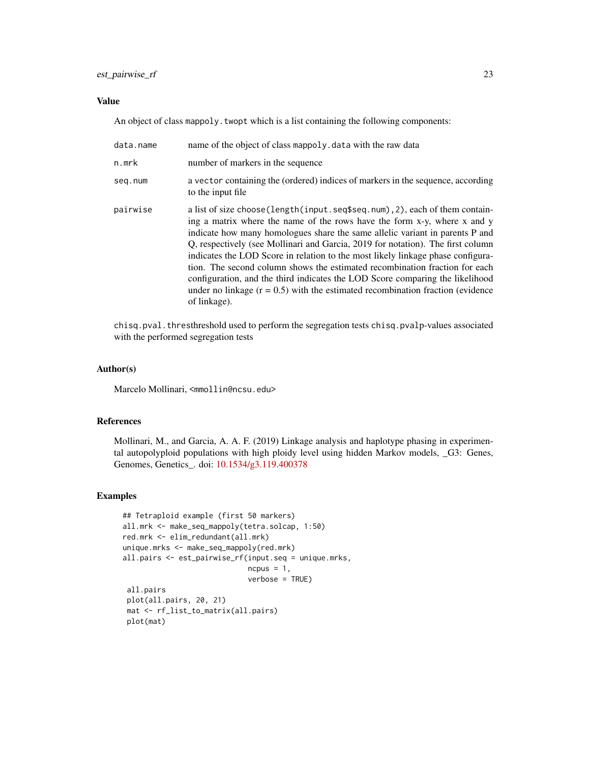## est\_pairwise\_rf 23

#### Value

An object of class mappoly. twopt which is a list containing the following components:

| data.name | name of the object of class mappoly. data with the raw data                                                                                                                                                                                                                                                                                                                                                                                                                                                                                                                                                                                                                             |
|-----------|-----------------------------------------------------------------------------------------------------------------------------------------------------------------------------------------------------------------------------------------------------------------------------------------------------------------------------------------------------------------------------------------------------------------------------------------------------------------------------------------------------------------------------------------------------------------------------------------------------------------------------------------------------------------------------------------|
| n.mrk     | number of markers in the sequence                                                                                                                                                                                                                                                                                                                                                                                                                                                                                                                                                                                                                                                       |
| seq.num   | a vector containing the (ordered) indices of markers in the sequence, according<br>to the input file                                                                                                                                                                                                                                                                                                                                                                                                                                                                                                                                                                                    |
| pairwise  | a list of size choose (length (input . seq\$seq . num), 2), each of them contain-<br>ing a matrix where the name of the rows have the form x-y, where x and y<br>indicate how many homologues share the same allelic variant in parents P and<br>Q, respectively (see Mollinari and Garcia, 2019 for notation). The first column<br>indicates the LOD Score in relation to the most likely linkage phase configura-<br>tion. The second column shows the estimated recombination fraction for each<br>configuration, and the third indicates the LOD Score comparing the likelihood<br>under no linkage $(r = 0.5)$ with the estimated recombination fraction (evidence<br>of linkage). |

chisq.pval.thresthreshold used to perform the segregation tests chisq.pvalp-values associated with the performed segregation tests

#### Author(s)

Marcelo Mollinari, <mmollin@ncsu.edu>

#### References

Mollinari, M., and Garcia, A. A. F. (2019) Linkage analysis and haplotype phasing in experimental autopolyploid populations with high ploidy level using hidden Markov models, \_G3: Genes, Genomes, Genetics\_. doi: [10.1534/g3.119.400378](https://doi.org/10.1534/g3.119.400378)

```
## Tetraploid example (first 50 markers)
all.mrk <- make_seq_mappoly(tetra.solcap, 1:50)
red.mrk <- elim_redundant(all.mrk)
unique.mrks <- make_seq_mappoly(red.mrk)
all.pairs <- est_pairwise_rf(input.seq = unique.mrks,
                             ncpus = 1,
                             verbose = TRUE)
 all.pairs
 plot(all.pairs, 20, 21)
mat <- rf_list_to_matrix(all.pairs)
 plot(mat)
```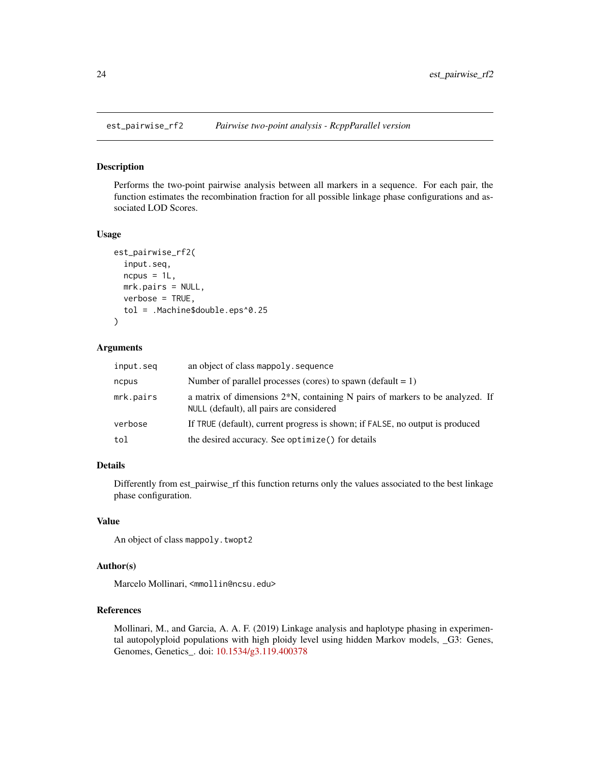<span id="page-23-0"></span>

Performs the two-point pairwise analysis between all markers in a sequence. For each pair, the function estimates the recombination fraction for all possible linkage phase configurations and associated LOD Scores.

#### Usage

```
est_pairwise_rf2(
  input.seq,
  ncpus = 1L,
 mrk.pairs = NULL,
 verbose = TRUE,
  tol = .Machine$double.eps^0.25
)
```
#### Arguments

| input.seg | an object of class mappoly. sequence                                                                                        |
|-----------|-----------------------------------------------------------------------------------------------------------------------------|
| ncpus     | Number of parallel processes (cores) to spawn (default $= 1$ )                                                              |
| mrk.pairs | a matrix of dimensions $2*N$ , containing N pairs of markers to be analyzed. If<br>NULL (default), all pairs are considered |
| verbose   | If TRUE (default), current progress is shown; if FALSE, no output is produced                                               |
| tol       | the desired accuracy. See optimize () for details                                                                           |

## Details

Differently from est\_pairwise\_rf this function returns only the values associated to the best linkage phase configuration.

#### Value

An object of class mappoly.twopt2

## Author(s)

Marcelo Mollinari, <mmollin@ncsu.edu>

#### References

Mollinari, M., and Garcia, A. A. F. (2019) Linkage analysis and haplotype phasing in experimental autopolyploid populations with high ploidy level using hidden Markov models, \_G3: Genes, Genomes, Genetics\_. doi: [10.1534/g3.119.400378](https://doi.org/10.1534/g3.119.400378)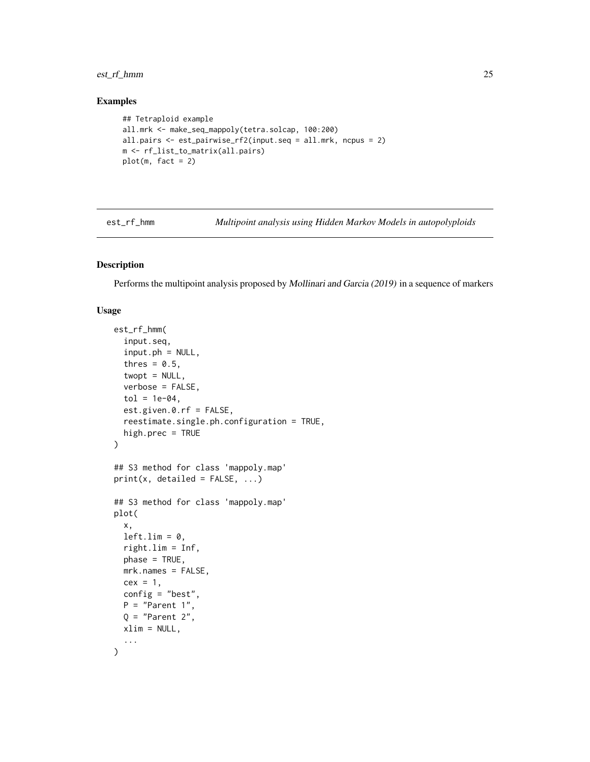## <span id="page-24-0"></span>est\_rf\_hmm 25

## Examples

```
## Tetraploid example
all.mrk <- make_seq_mappoly(tetra.solcap, 100:200)
all.pairs <- est_pairwise_rf2(input.seq = all.mrk, ncpus = 2)
m <- rf_list_to_matrix(all.pairs)
plot(m, fact = 2)
```
est\_rf\_hmm *Multipoint analysis using Hidden Markov Models in autopolyploids*

## Description

Performs the multipoint analysis proposed by Mollinari and Garcia (2019) in a sequence of markers

#### Usage

```
est_rf_hmm(
  input.seq,
  input.php = NULL,thres = 0.5,
  twopt = NULL,
  verbose = FALSE,
  tol = 1e-04.
 est.given.0.rf = FALSE,
  reestimate.single.ph.configuration = TRUE,
 high.prec = TRUE
)
## S3 method for class 'mappoly.map'
print(x, detailed = FALSE, ...)## S3 method for class 'mappoly.map'
plot(
  x,
 left.lim = 0,right.lim = Inf,
 phase = TRUE,
  mrk.names = FALSE,
 cex = 1,
  config = "best",
 P = "Parent 1",Q = "Parent 2",xlim = NULL,
  ...
\mathcal{L}
```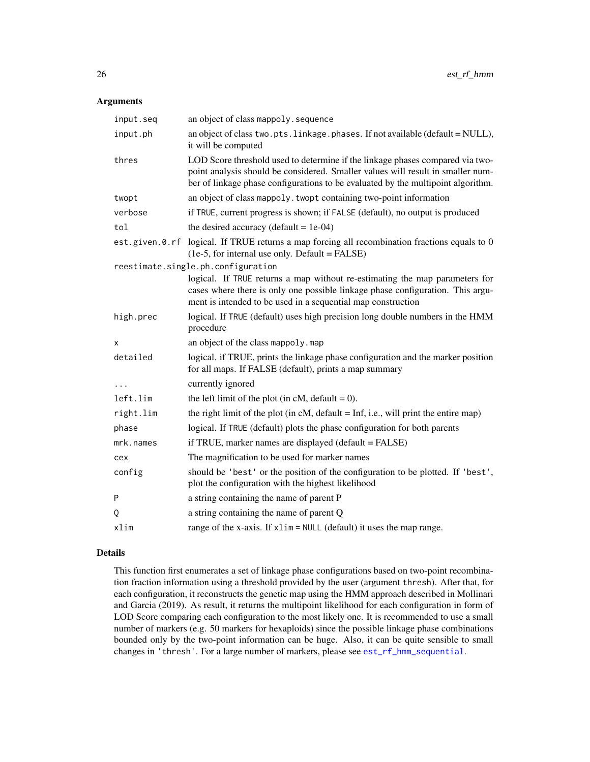#### Arguments

| input.seq | an object of class mappoly. sequence                                                                                                                                                                                                                 |
|-----------|------------------------------------------------------------------------------------------------------------------------------------------------------------------------------------------------------------------------------------------------------|
| input.ph  | an object of class two.pts.linkage.phases. If not available (default = NULL),<br>it will be computed                                                                                                                                                 |
| thres     | LOD Score threshold used to determine if the linkage phases compared via two-<br>point analysis should be considered. Smaller values will result in smaller num-<br>ber of linkage phase configurations to be evaluated by the multipoint algorithm. |
| twopt     | an object of class mappoly. twopt containing two-point information                                                                                                                                                                                   |
| verbose   | if TRUE, current progress is shown; if FALSE (default), no output is produced                                                                                                                                                                        |
| tol       | the desired accuracy (default = $1e-04$ )                                                                                                                                                                                                            |
|           | est.given.0.rf logical. If TRUE returns a map forcing all recombination fractions equals to 0<br>(1e-5, for internal use only. Default = FALSE)                                                                                                      |
|           | reestimate.single.ph.configuration                                                                                                                                                                                                                   |
|           | logical. If TRUE returns a map without re-estimating the map parameters for<br>cases where there is only one possible linkage phase configuration. This argu-<br>ment is intended to be used in a sequential map construction                        |
| high.prec | logical. If TRUE (default) uses high precision long double numbers in the HMM<br>procedure                                                                                                                                                           |
| x         | an object of the class mappoly.map                                                                                                                                                                                                                   |
| detailed  | logical. if TRUE, prints the linkage phase configuration and the marker position<br>for all maps. If FALSE (default), prints a map summary                                                                                                           |
| $\ddotsc$ | currently ignored                                                                                                                                                                                                                                    |
| left.lim  | the left limit of the plot (in cM, default = $0$ ).                                                                                                                                                                                                  |
| right.lim | the right limit of the plot (in $cM$ , default = Inf, i.e., will print the entire map)                                                                                                                                                               |
| phase     | logical. If TRUE (default) plots the phase configuration for both parents                                                                                                                                                                            |
| mrk.names | if TRUE, marker names are displayed (default = FALSE)                                                                                                                                                                                                |
| cex       | The magnification to be used for marker names                                                                                                                                                                                                        |
| config    | should be 'best' or the position of the configuration to be plotted. If 'best',<br>plot the configuration with the highest likelihood                                                                                                                |
| P         | a string containing the name of parent P                                                                                                                                                                                                             |
| Q         | a string containing the name of parent Q                                                                                                                                                                                                             |
| xlim      | range of the x-axis. If $x \lim = NULL$ (default) it uses the map range.                                                                                                                                                                             |

#### Details

This function first enumerates a set of linkage phase configurations based on two-point recombination fraction information using a threshold provided by the user (argument thresh). After that, for each configuration, it reconstructs the genetic map using the HMM approach described in Mollinari and Garcia (2019). As result, it returns the multipoint likelihood for each configuration in form of LOD Score comparing each configuration to the most likely one. It is recommended to use a small number of markers (e.g. 50 markers for hexaploids) since the possible linkage phase combinations bounded only by the two-point information can be huge. Also, it can be quite sensible to small changes in 'thresh'. For a large number of markers, please see [est\\_rf\\_hmm\\_sequential](#page-27-1).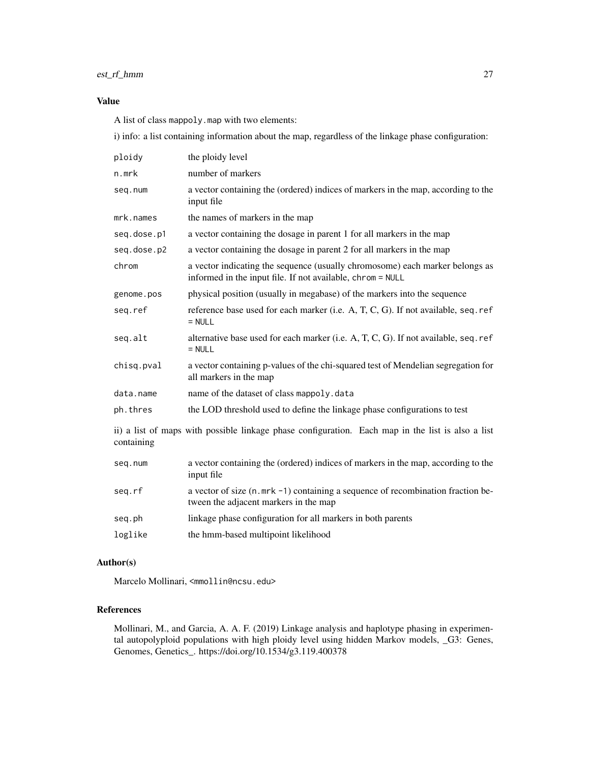## est\_rf\_hmm 27

## Value

A list of class mappoly.map with two elements:

i) info: a list containing information about the map, regardless of the linkage phase configuration:

| ploidy                                                                                                          | the ploidy level                                                                                                                           |
|-----------------------------------------------------------------------------------------------------------------|--------------------------------------------------------------------------------------------------------------------------------------------|
| n.mrk                                                                                                           | number of markers                                                                                                                          |
| seq.num                                                                                                         | a vector containing the (ordered) indices of markers in the map, according to the<br>input file                                            |
| mrk.names                                                                                                       | the names of markers in the map                                                                                                            |
| seq.dose.p1                                                                                                     | a vector containing the dosage in parent 1 for all markers in the map                                                                      |
| seq.dose.p2                                                                                                     | a vector containing the dosage in parent 2 for all markers in the map                                                                      |
| chrom                                                                                                           | a vector indicating the sequence (usually chromosome) each marker belongs as<br>informed in the input file. If not available, chrom = NULL |
| genome.pos                                                                                                      | physical position (usually in megabase) of the markers into the sequence                                                                   |
| seq.ref                                                                                                         | reference base used for each marker (i.e. $A, T, C, G$ ). If not available, seq. ref<br>$=$ NULL                                           |
| seq.alt                                                                                                         | alternative base used for each marker (i.e. $A, T, C, G$ ). If not available, seq. ref<br>$=$ NULL                                         |
| chisq.pval                                                                                                      | a vector containing p-values of the chi-squared test of Mendelian segregation for<br>all markers in the map                                |
| data.name                                                                                                       | name of the dataset of class mappoly.data                                                                                                  |
| ph.thres                                                                                                        | the LOD threshold used to define the linkage phase configurations to test                                                                  |
| ii) a list of maps with possible linkage phase configuration. Each map in the list is also a list<br>containing |                                                                                                                                            |

| seq.num | a vector containing the (ordered) indices of markers in the map, according to the<br>input file                           |
|---------|---------------------------------------------------------------------------------------------------------------------------|
| seq.rf  | a vector of size (n. mrk -1) containing a sequence of recombination fraction be-<br>tween the adjacent markers in the map |
| seq.ph  | linkage phase configuration for all markers in both parents                                                               |
| loglike | the hmm-based multipoint likelihood                                                                                       |
|         |                                                                                                                           |

## Author(s)

Marcelo Mollinari, <mmollin@ncsu.edu>

## References

Mollinari, M., and Garcia, A. A. F. (2019) Linkage analysis and haplotype phasing in experimental autopolyploid populations with high ploidy level using hidden Markov models, \_G3: Genes, Genomes, Genetics\_. https://doi.org/10.1534/g3.119.400378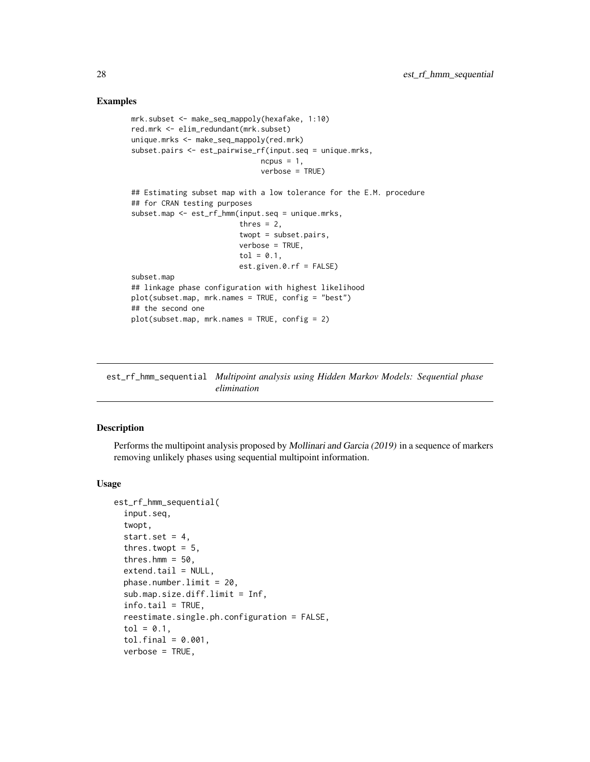#### Examples

```
mrk.subset <- make_seq_mappoly(hexafake, 1:10)
red.mrk <- elim_redundant(mrk.subset)
unique.mrks <- make_seq_mappoly(red.mrk)
subset.pairs <- est_pairwise_rf(input.seq = unique.mrks,
                              ncpus = 1,
                              verbose = TRUE)
## Estimating subset map with a low tolerance for the E.M. procedure
## for CRAN testing purposes
subset.map <- est_rf_hmm(input.seq = unique.mrks,
                         thres = 2,
                         twopt = subset.pairs,
                         verbose = TRUE,
                         tol = 0.1,
                         est.given.0.rf = FALSE)
subset.map
## linkage phase configuration with highest likelihood
plot(subset.map, mrk.names = TRUE, config = "best")
## the second one
plot(subset.map, mrk.names = TRUE, config = 2)
```
<span id="page-27-1"></span>est\_rf\_hmm\_sequential *Multipoint analysis using Hidden Markov Models: Sequential phase elimination*

## Description

Performs the multipoint analysis proposed by Mollinari and Garcia (2019) in a sequence of markers removing unlikely phases using sequential multipoint information.

#### Usage

```
est_rf_hmm_sequential(
  input.seq,
  twopt,
  start.set = 4,
  thres.twopt = 5,
  thres.hmm = 50,
  extend.tail = NULL,phase.number.limit = 20,
  sub.map.size.diff.limit = Inf,
  info.tail = TRUE,
  reestimate.single.ph.configuration = FALSE,
  tol = 0.1,tol.find = 0.001,verbose = TRUE,
```
<span id="page-27-0"></span>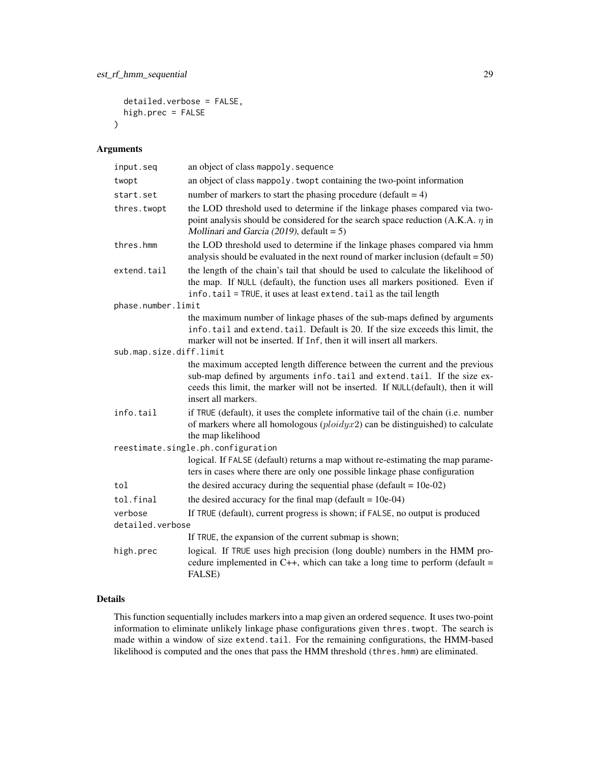```
detailed.verbose = FALSE,
 high.prec = FALSE
\lambda
```
## Arguments

| input.seq                   | an object of class mappoly. sequence                                                                                                                                                                                                                               |
|-----------------------------|--------------------------------------------------------------------------------------------------------------------------------------------------------------------------------------------------------------------------------------------------------------------|
| twopt                       | an object of class mappoly. twopt containing the two-point information                                                                                                                                                                                             |
| start.set                   | number of markers to start the phasing procedure (default $= 4$ )                                                                                                                                                                                                  |
| thres.twopt                 | the LOD threshold used to determine if the linkage phases compared via two-<br>point analysis should be considered for the search space reduction (A.K.A. $\eta$ in<br>Mollinari and Garcia (2019), default = $5$ )                                                |
| thres.hmm                   | the LOD threshold used to determine if the linkage phases compared via hmm<br>analysis should be evaluated in the next round of marker inclusion (default $= 50$ )                                                                                                 |
| extend.tail                 | the length of the chain's tail that should be used to calculate the likelihood of<br>the map. If NULL (default), the function uses all markers positioned. Even if<br>info.tail = TRUE, it uses at least extend.tail as the tail length                            |
| phase.number.limit          |                                                                                                                                                                                                                                                                    |
|                             | the maximum number of linkage phases of the sub-maps defined by arguments<br>info.tail and extend.tail. Default is 20. If the size exceeds this limit, the<br>marker will not be inserted. If Inf, then it will insert all markers.                                |
| sub.map.size.diff.limit     |                                                                                                                                                                                                                                                                    |
|                             | the maximum accepted length difference between the current and the previous<br>sub-map defined by arguments info.tail and extend.tail. If the size ex-<br>ceeds this limit, the marker will not be inserted. If NULL(default), then it will<br>insert all markers. |
| info.tail                   | if TRUE (default), it uses the complete informative tail of the chain (i.e. number<br>of markers where all homologous $(plotdy x2)$ can be distinguished) to calculate<br>the map likelihood                                                                       |
|                             | reestimate.single.ph.configuration                                                                                                                                                                                                                                 |
|                             | logical. If FALSE (default) returns a map without re-estimating the map parame-<br>ters in cases where there are only one possible linkage phase configuration                                                                                                     |
| tol                         | the desired accuracy during the sequential phase (default = $10e-02$ )                                                                                                                                                                                             |
| tol.final                   | the desired accuracy for the final map (default = $10e-04$ )                                                                                                                                                                                                       |
| verbose<br>detailed.verbose | If TRUE (default), current progress is shown; if FALSE, no output is produced                                                                                                                                                                                      |
|                             | If TRUE, the expansion of the current submap is shown;                                                                                                                                                                                                             |
| high.prec                   | logical. If TRUE uses high precision (long double) numbers in the HMM pro-<br>cedure implemented in C++, which can take a long time to perform (default $=$<br>FALSE)                                                                                              |

## Details

This function sequentially includes markers into a map given an ordered sequence. It uses two-point information to eliminate unlikely linkage phase configurations given thres.twopt. The search is made within a window of size extend.tail. For the remaining configurations, the HMM-based likelihood is computed and the ones that pass the HMM threshold (thres.hmm) are eliminated.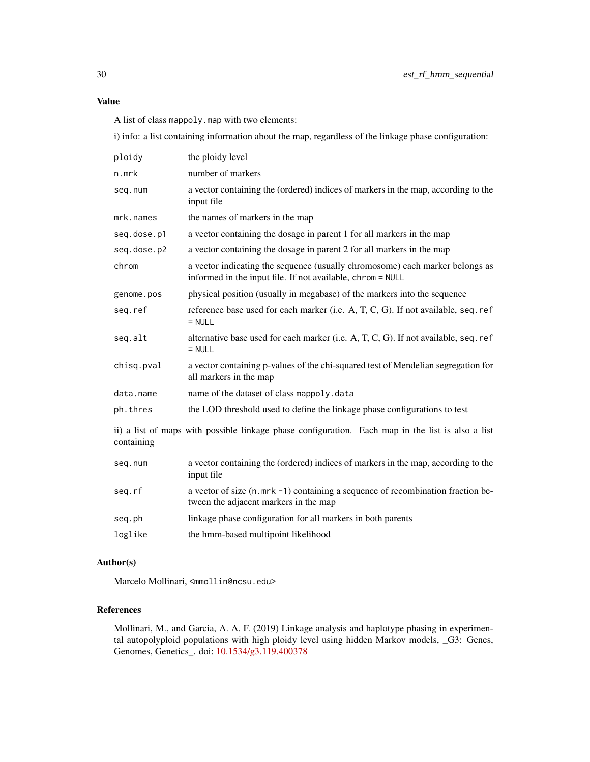## Value

A list of class mappoly.map with two elements:

i) info: a list containing information about the map, regardless of the linkage phase configuration:

| ploidy                                                                                                          | the ploidy level                                                                                                                           |
|-----------------------------------------------------------------------------------------------------------------|--------------------------------------------------------------------------------------------------------------------------------------------|
| n.mrk                                                                                                           | number of markers                                                                                                                          |
| seq.num                                                                                                         | a vector containing the (ordered) indices of markers in the map, according to the<br>input file                                            |
| mrk.names                                                                                                       | the names of markers in the map                                                                                                            |
| seq.dose.p1                                                                                                     | a vector containing the dosage in parent 1 for all markers in the map                                                                      |
| seq.dose.p2                                                                                                     | a vector containing the dosage in parent 2 for all markers in the map                                                                      |
| chrom                                                                                                           | a vector indicating the sequence (usually chromosome) each marker belongs as<br>informed in the input file. If not available, chrom = NULL |
| genome.pos                                                                                                      | physical position (usually in megabase) of the markers into the sequence                                                                   |
| seq.ref                                                                                                         | reference base used for each marker (i.e. A, T, C, G). If not available, seq. ref<br>$=$ NULL                                              |
| seq.alt                                                                                                         | alternative base used for each marker (i.e. A, T, C, G). If not available, seq. ref<br>$= NULL$                                            |
| chisq.pval                                                                                                      | a vector containing p-values of the chi-squared test of Mendelian segregation for<br>all markers in the map                                |
| data.name                                                                                                       | name of the dataset of class mappoly.data                                                                                                  |
| ph.thres                                                                                                        | the LOD threshold used to define the linkage phase configurations to test                                                                  |
| ii) a list of maps with possible linkage phase configuration. Each map in the list is also a list<br>containing |                                                                                                                                            |

| a vector of size (n. mrk -1) containing a sequence of recombination fraction be-<br>seq.rf | a vector containing the (ordered) indices of markers in the map, according to the |
|--------------------------------------------------------------------------------------------|-----------------------------------------------------------------------------------|
| tween the adjacent markers in the map                                                      |                                                                                   |
| linkage phase configuration for all markers in both parents<br>seq.ph                      |                                                                                   |
| loglike<br>the hmm-based multipoint likelihood                                             |                                                                                   |

## Author(s)

Marcelo Mollinari, <mmollin@ncsu.edu>

## References

Mollinari, M., and Garcia, A. A. F. (2019) Linkage analysis and haplotype phasing in experimental autopolyploid populations with high ploidy level using hidden Markov models, \_G3: Genes, Genomes, Genetics\_. doi: [10.1534/g3.119.400378](https://doi.org/10.1534/g3.119.400378)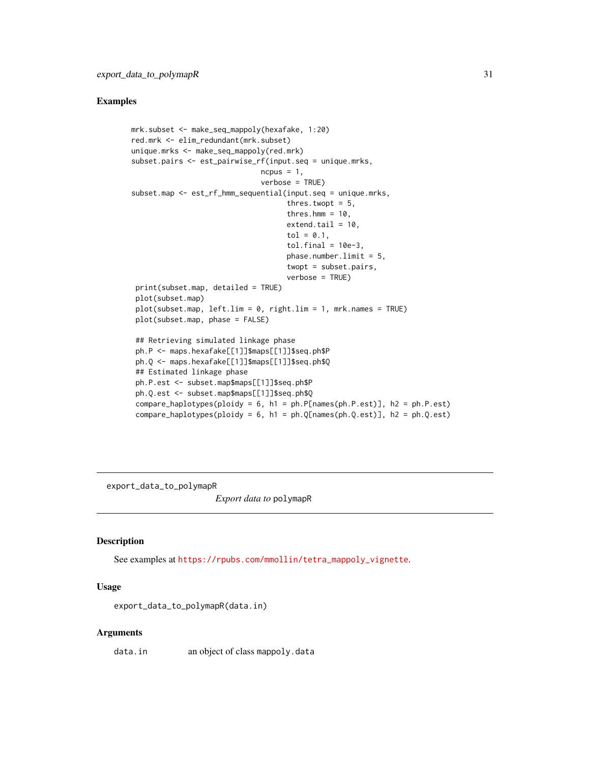#### <span id="page-30-0"></span>Examples

```
mrk.subset <- make_seq_mappoly(hexafake, 1:20)
red.mrk <- elim_redundant(mrk.subset)
unique.mrks <- make_seq_mappoly(red.mrk)
subset.pairs <- est_pairwise_rf(input.seq = unique.mrks,
                              ncpus = 1,
                              verbose = TRUE)
subset.map <- est_rf_hmm_sequential(input.seq = unique.mrks,
                                    thres.twopt = 5,
                                    thres.hmm = 10,
                                    extend.tail = 10,tol = 0.1,
                                    tol.find = 10e-3,phase.number.limit = 5,
                                    twopt = subset.pairs,
                                    verbose = TRUE)
 print(subset.map, detailed = TRUE)
 plot(subset.map)
 plot(subset.map, left.lim = 0, right.lim = 1, mrk.names = TRUE)
 plot(subset.map, phase = FALSE)
 ## Retrieving simulated linkage phase
 ph.P <- maps.hexafake[[1]]$maps[[1]]$seq.ph$P
 ph.Q <- maps.hexafake[[1]]$maps[[1]]$seq.ph$Q
 ## Estimated linkage phase
 ph.P.est <- subset.map$maps[[1]]$seq.ph$P
 ph.Q.est <- subset.map$maps[[1]]$seq.ph$Q
 compare_haplotypes(ploidy = 6, h1 = ph.P[names(ph.P.est)], h2 = ph.P.est)
 compare_haplotypes(ploidy = 6, h1 = ph.Q[names(ph.Q.est)], h2 = ph.Q.est)
```
export\_data\_to\_polymapR

*Export data to* polymapR

#### Description

See examples at [https://rpubs.com/mmollin/tetra\\_mappoly\\_vignette](https://rpubs.com/mmollin/tetra_mappoly_vignette).

#### Usage

export\_data\_to\_polymapR(data.in)

#### Arguments

data.in an object of class mappoly.data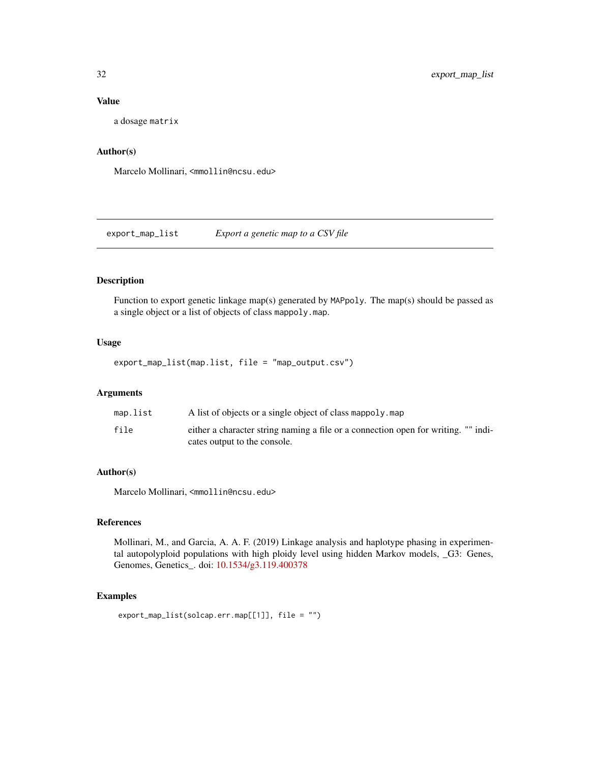#### Value

a dosage matrix

## Author(s)

Marcelo Mollinari, <mmollin@ncsu.edu>

export\_map\_list *Export a genetic map to a CSV file*

## Description

Function to export genetic linkage map(s) generated by MAPpoly. The map(s) should be passed as a single object or a list of objects of class mappoly.map.

#### Usage

export\_map\_list(map.list, file = "map\_output.csv")

#### Arguments

| map.list | A list of objects or a single object of class mappoly. map                                                         |
|----------|--------------------------------------------------------------------------------------------------------------------|
| file     | either a character string naming a file or a connection open for writing. "" indi-<br>cates output to the console. |

## Author(s)

Marcelo Mollinari, <mmollin@ncsu.edu>

#### References

Mollinari, M., and Garcia, A. A. F. (2019) Linkage analysis and haplotype phasing in experimental autopolyploid populations with high ploidy level using hidden Markov models, \_G3: Genes, Genomes, Genetics\_. doi: [10.1534/g3.119.400378](https://doi.org/10.1534/g3.119.400378)

```
export_map_list(solcap.err.map[[1]], file = "")
```
<span id="page-31-0"></span>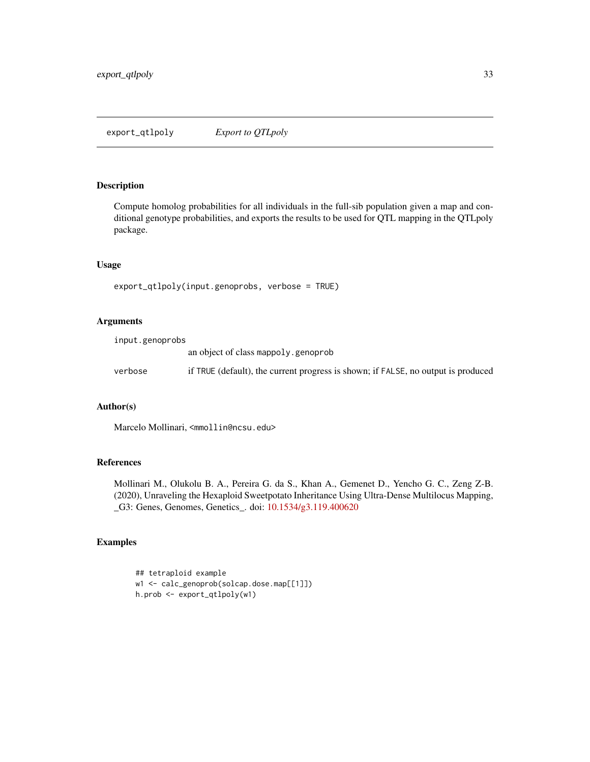<span id="page-32-0"></span>Compute homolog probabilities for all individuals in the full-sib population given a map and conditional genotype probabilities, and exports the results to be used for QTL mapping in the QTLpoly package.

## Usage

```
export_qtlpoly(input.genoprobs, verbose = TRUE)
```
## Arguments

| input.genoprobs |                                                                                   |
|-----------------|-----------------------------------------------------------------------------------|
|                 | an object of class mappoly, genoprob                                              |
| verbose         | if TRUE (default), the current progress is shown; if FALSE, no output is produced |
|                 |                                                                                   |

## Author(s)

Marcelo Mollinari, <mmollin@ncsu.edu>

## References

Mollinari M., Olukolu B. A., Pereira G. da S., Khan A., Gemenet D., Yencho G. C., Zeng Z-B. (2020), Unraveling the Hexaploid Sweetpotato Inheritance Using Ultra-Dense Multilocus Mapping, \_G3: Genes, Genomes, Genetics\_. doi: [10.1534/g3.119.400620](https://doi.org/10.1534/g3.119.400620)

```
## tetraploid example
w1 <- calc_genoprob(solcap.dose.map[[1]])
h.prob <- export_qtlpoly(w1)
```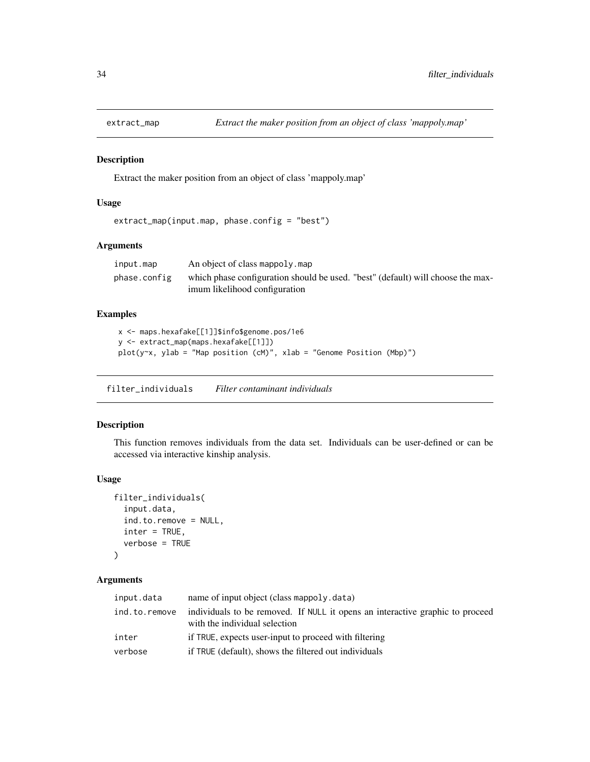<span id="page-33-0"></span>

Extract the maker position from an object of class 'mappoly.map'

#### Usage

```
extract_map(input.map, phase.config = "best")
```
#### Arguments

| input.map    | An object of class mappoly.map                                                                                   |
|--------------|------------------------------------------------------------------------------------------------------------------|
| phase.config | which phase configuration should be used. "best" (default) will choose the max-<br>imum likelihood configuration |

## Examples

```
x <- maps.hexafake[[1]]$info$genome.pos/1e6
y <- extract_map(maps.hexafake[[1]])
plot(y~x, ylab = "Map position (cM)", xlab = "Genome Position (Mbp)")
```
filter\_individuals *Filter contaminant individuals*

## Description

This function removes individuals from the data set. Individuals can be user-defined or can be accessed via interactive kinship analysis.

#### Usage

```
filter_individuals(
  input.data,
  ind.to.remove = NULL,
  inter = TRUE,
  verbose = TRUE
\mathcal{E}
```
## Arguments

| input.data    | name of input object (class mappoly data)                                                                      |
|---------------|----------------------------------------------------------------------------------------------------------------|
| ind.to.remove | individuals to be removed. If NULL it opens an interactive graphic to proceed<br>with the individual selection |
| inter         | if TRUE, expects user-input to proceed with filtering                                                          |
| verbose       | if TRUE (default), shows the filtered out individuals                                                          |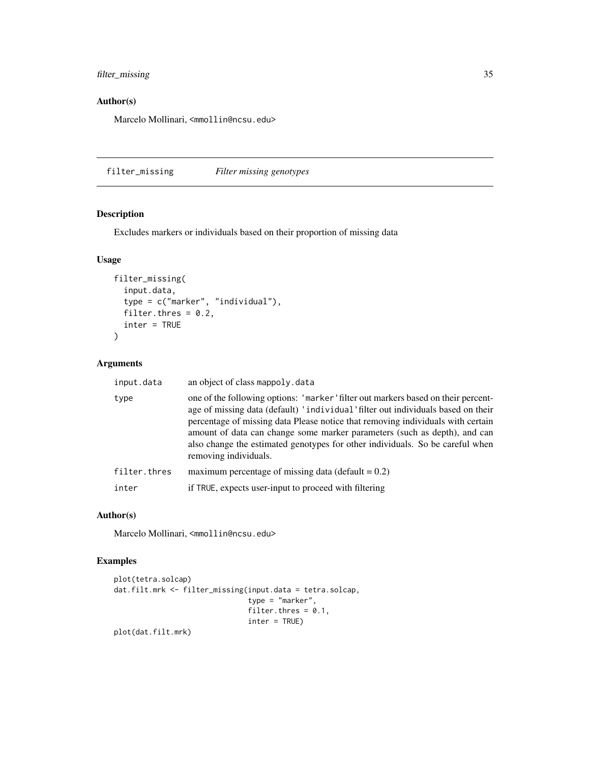## <span id="page-34-0"></span>filter\_missing 35

## Author(s)

Marcelo Mollinari, <mmollin@ncsu.edu>

filter\_missing *Filter missing genotypes*

## Description

Excludes markers or individuals based on their proportion of missing data

#### Usage

```
filter_missing(
  input.data,
  type = c("marker", "individual"),
 filter.thres = 0.2,
  inter = TRUE
)
```
## Arguments

| input.data   | an object of class mappoly. data                                                                                                                                                                                                                                                                                                                                                                                                                |
|--------------|-------------------------------------------------------------------------------------------------------------------------------------------------------------------------------------------------------------------------------------------------------------------------------------------------------------------------------------------------------------------------------------------------------------------------------------------------|
| type         | one of the following options: 'marker' filter out markers based on their percent-<br>age of missing data (default) 'individual' filter out individuals based on their<br>percentage of missing data Please notice that removing individuals with certain<br>amount of data can change some marker parameters (such as depth), and can<br>also change the estimated genotypes for other individuals. So be careful when<br>removing individuals. |
| filter.thres | maximum percentage of missing data (default $= 0.2$ )                                                                                                                                                                                                                                                                                                                                                                                           |
| inter        | if TRUE, expects user-input to proceed with filtering                                                                                                                                                                                                                                                                                                                                                                                           |
|              |                                                                                                                                                                                                                                                                                                                                                                                                                                                 |

#### Author(s)

Marcelo Mollinari, <mmollin@ncsu.edu>

```
plot(tetra.solcap)
dat.filt.mrk <- filter_missing(input.data = tetra.solcap,
                              type = "marker",
                               filter.thres = 0.1,
                               inter = TRUE)
```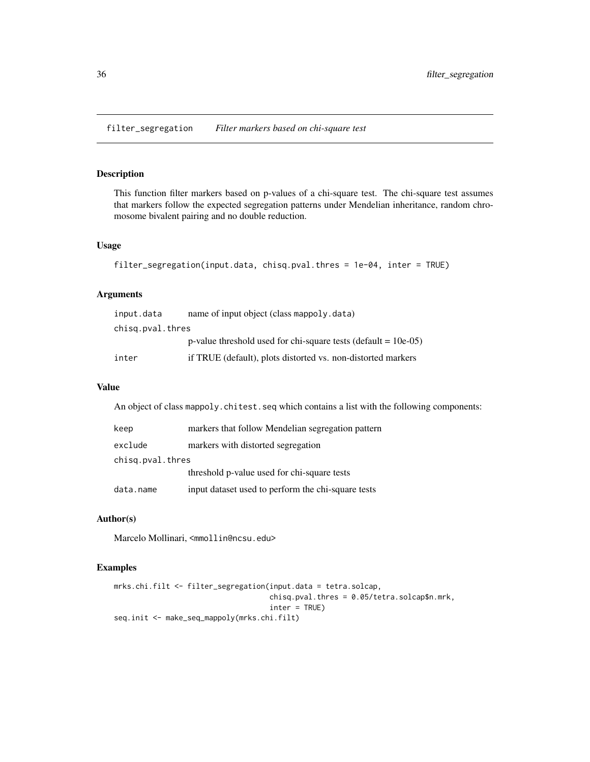<span id="page-35-0"></span>filter\_segregation *Filter markers based on chi-square test*

## Description

This function filter markers based on p-values of a chi-square test. The chi-square test assumes that markers follow the expected segregation patterns under Mendelian inheritance, random chromosome bivalent pairing and no double reduction.

#### Usage

```
filter_segregation(input.data, chisq.pval.thres = 1e-04, inter = TRUE)
```
#### Arguments

| input.data       | name of input object (class mappoly data)                         |
|------------------|-------------------------------------------------------------------|
| chisg.pval.thres |                                                                   |
|                  | p-value threshold used for chi-square tests (default $= 10e-05$ ) |
| inter            | if TRUE (default), plots distorted vs. non-distorted markers      |

## Value

An object of class mappoly.chitest.seq which contains a list with the following components:

| keep             | markers that follow Mendelian segregation pattern  |
|------------------|----------------------------------------------------|
| exclude          | markers with distorted segregation                 |
| chisg.pval.thres |                                                    |
|                  | threshold p-value used for chi-square tests        |
| data.name        | input dataset used to perform the chi-square tests |

## Author(s)

Marcelo Mollinari, <mmollin@ncsu.edu>

```
mrks.chi.filt <- filter_segregation(input.data = tetra.solcap,
                                    chisq.pval.thres = 0.05/tetra.solcap$n.mrk,
                                    inter = TRUE)
seq.init <- make_seq_mappoly(mrks.chi.filt)
```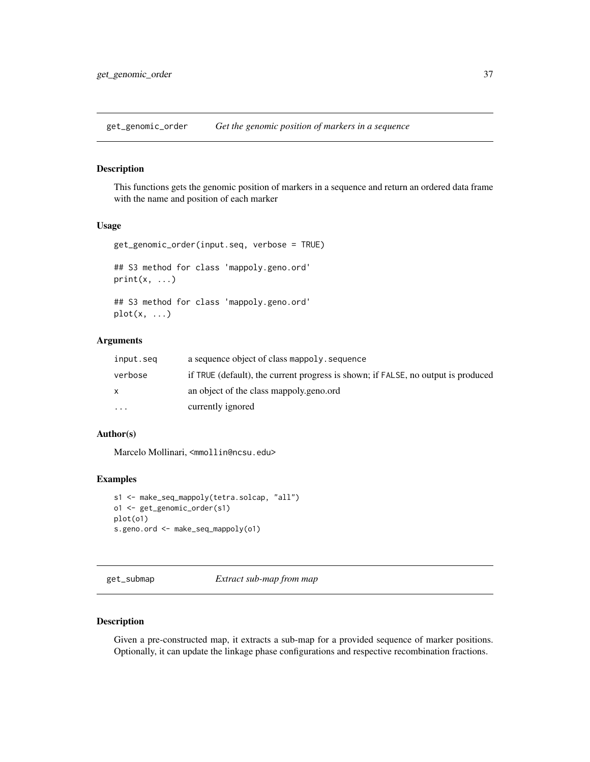get\_genomic\_order *Get the genomic position of markers in a sequence*

# Description

This functions gets the genomic position of markers in a sequence and return an ordered data frame with the name and position of each marker

### Usage

```
get_genomic_order(input.seq, verbose = TRUE)
## S3 method for class 'mappoly.geno.ord'
print(x, \ldots)
```

```
## S3 method for class 'mappoly.geno.ord'
plot(x, \ldots)
```
### Arguments

| input.seg | a sequence object of class mappoly. sequence                                      |
|-----------|-----------------------------------------------------------------------------------|
| verbose   | if TRUE (default), the current progress is shown; if FALSE, no output is produced |
| X         | an object of the class mappoly geno.ord                                           |
| $\cdots$  | currently ignored                                                                 |

# Author(s)

Marcelo Mollinari, <mmollin@ncsu.edu>

### Examples

```
s1 <- make_seq_mappoly(tetra.solcap, "all")
o1 <- get_genomic_order(s1)
plot(o1)
s.geno.ord <- make_seq_mappoly(o1)
```
get\_submap *Extract sub-map from map*

## Description

Given a pre-constructed map, it extracts a sub-map for a provided sequence of marker positions. Optionally, it can update the linkage phase configurations and respective recombination fractions.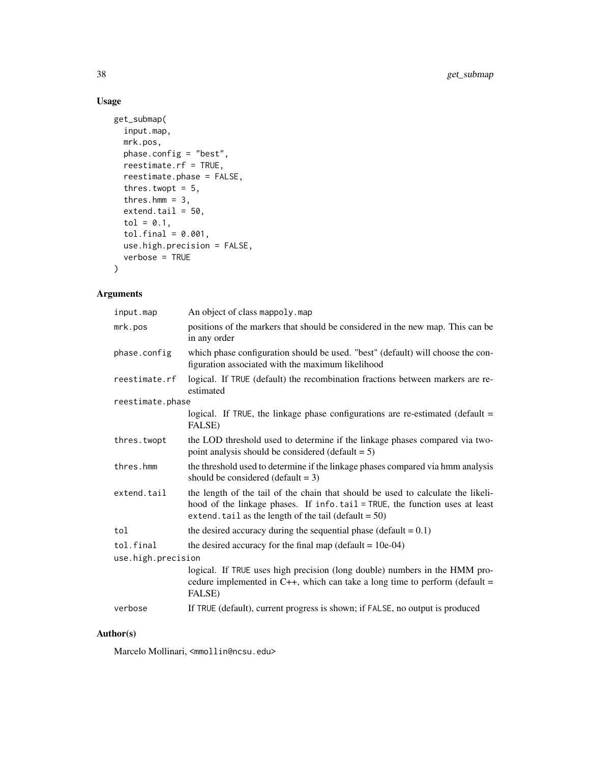# Usage

```
get_submap(
  input.map,
 mrk.pos,
 phase.config = "best",
 reestimate.rf = TRUE,
  reestimate.phase = FALSE,
  thres.twopt = 5,
  thres.hmm = 3,extend.tail = 50,
  tol = 0.1,tol.find = 0.001,use.high.precision = FALSE,
  verbose = TRUE
)
```
# Arguments

| input.map          | An object of class mappoly.map                                                                                                                                                                                              |
|--------------------|-----------------------------------------------------------------------------------------------------------------------------------------------------------------------------------------------------------------------------|
| mrk.pos            | positions of the markers that should be considered in the new map. This can be<br>in any order                                                                                                                              |
| phase.config       | which phase configuration should be used. "best" (default) will choose the con-<br>figuration associated with the maximum likelihood                                                                                        |
| reestimate.rf      | logical. If TRUE (default) the recombination fractions between markers are re-<br>estimated                                                                                                                                 |
| reestimate.phase   |                                                                                                                                                                                                                             |
|                    | logical. If TRUE, the linkage phase configurations are re-estimated (default $=$<br><b>FALSE</b> )                                                                                                                          |
| thres.twopt        | the LOD threshold used to determine if the linkage phases compared via two-<br>point analysis should be considered (default $= 5$ )                                                                                         |
| thres.hmm          | the threshold used to determine if the linkage phases compared via hmm analysis<br>should be considered (default $= 3$ )                                                                                                    |
| extend.tail        | the length of the tail of the chain that should be used to calculate the likeli-<br>hood of the linkage phases. If info.tail = TRUE, the function uses at least<br>extend. tail as the length of the tail (default = $50$ ) |
| tol                | the desired accuracy during the sequential phase (default = $0.1$ )                                                                                                                                                         |
| tol.final          | the desired accuracy for the final map (default $= 10e-04$ )                                                                                                                                                                |
| use.high.precision |                                                                                                                                                                                                                             |
|                    | logical. If TRUE uses high precision (long double) numbers in the HMM pro-<br>cedure implemented in $C_{++}$ , which can take a long time to perform (default =<br>FALSE)                                                   |
| verbose            | If TRUE (default), current progress is shown; if FALSE, no output is produced                                                                                                                                               |

# Author(s)

Marcelo Mollinari, <mmollin@ncsu.edu>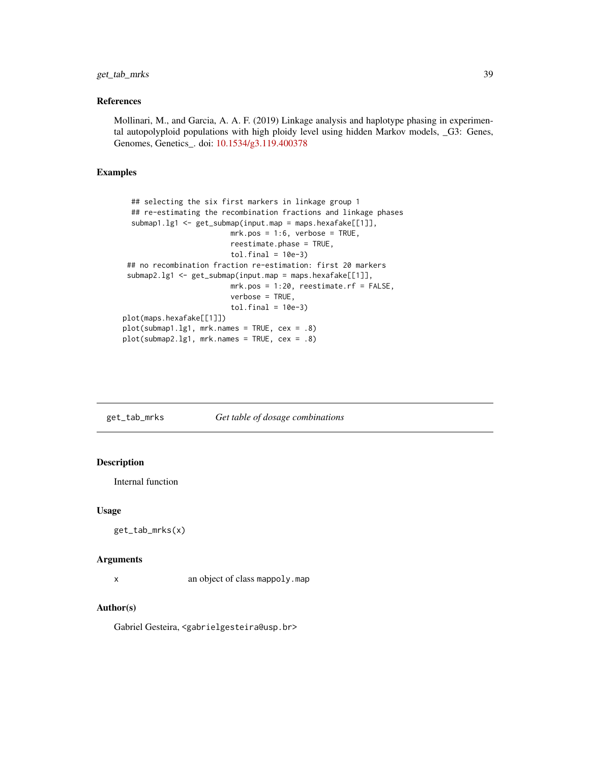#### References

Mollinari, M., and Garcia, A. A. F. (2019) Linkage analysis and haplotype phasing in experimental autopolyploid populations with high ploidy level using hidden Markov models, \_G3: Genes, Genomes, Genetics\_. doi: [10.1534/g3.119.400378](https://doi.org/10.1534/g3.119.400378)

### Examples

```
## selecting the six first markers in linkage group 1
  ## re-estimating the recombination fractions and linkage phases
  submap1.lg1 <- get_submap(input.map = maps.hexafake[[1]],
                         mrk.pos = 1:6, verbose = TRUE,
                         reestimate.phase = TRUE,
                         tol.find = 10e-3)## no recombination fraction re-estimation: first 20 markers
 submap2.lg1 <- get_submap(input.map = maps.hexafake[[1]],
                         mrk.pos = 1:20, reestimate.rf = FALSE,
                         verbose = TRUE,
                         tol.find = 10e-3)plot(maps.hexafake[[1]])
plot(submap1.lg1, mrk.names = TRUE, cex = .8)
plot(submap2.lg1, mrk.names = TRUE, cex = .8)
```

| get_tab_mrks | Get table of dosage combinations |
|--------------|----------------------------------|
|              |                                  |

# Description

Internal function

#### Usage

```
get_tab_mrks(x)
```
#### **Arguments**

x an object of class mappoly.map

## Author(s)

Gabriel Gesteira, <gabrielgesteira@usp.br>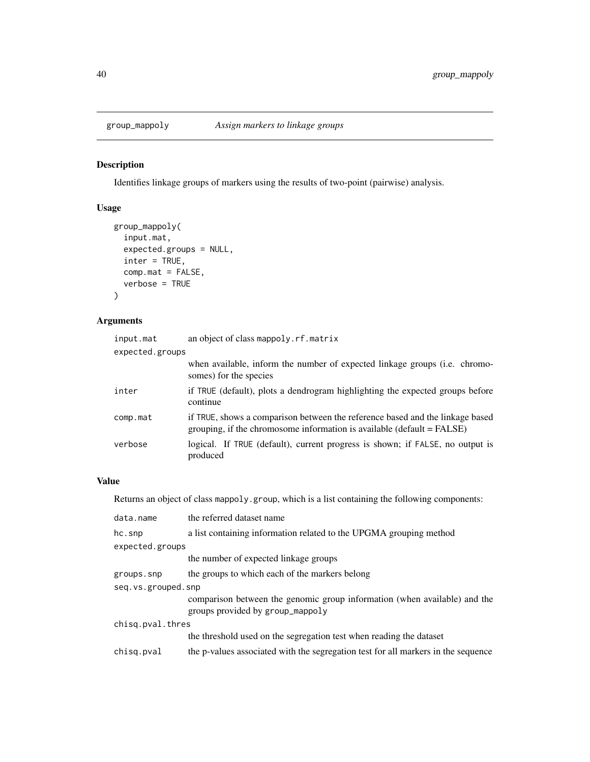# Description

Identifies linkage groups of markers using the results of two-point (pairwise) analysis.

# Usage

```
group_mappoly(
  input.mat,
 expected.groups = NULL,
  inter = TRUE,
 comp.mat = FALSE,
  verbose = TRUE
)
```
# Arguments

| input.mat       | an object of class mappoly.rf.matrix                                                                                                                    |
|-----------------|---------------------------------------------------------------------------------------------------------------------------------------------------------|
| expected.groups |                                                                                                                                                         |
|                 | when available, inform the number of expected linkage groups (i.e. chromo-<br>somes) for the species                                                    |
| inter           | if TRUE (default), plots a dendrogram highlighting the expected groups before<br>continue                                                               |
| comp.mat        | if TRUE, shows a comparison between the reference based and the linkage based<br>grouping, if the chromosome information is available (default = FALSE) |
| verbose         | logical. If TRUE (default), current progress is shown; if FALSE, no output is<br>produced                                                               |

# Value

Returns an object of class mappoly.group, which is a list containing the following components:

| data.name          | the referred dataset name                                                                                     |  |
|--------------------|---------------------------------------------------------------------------------------------------------------|--|
| hc.snp             | a list containing information related to the UPGMA grouping method                                            |  |
| expected.groups    |                                                                                                               |  |
|                    | the number of expected linkage groups                                                                         |  |
| groups.snp         | the groups to which each of the markers belong                                                                |  |
| seg.vs.grouped.snp |                                                                                                               |  |
|                    | comparison between the genomic group information (when available) and the<br>groups provided by group_mappoly |  |
| chisq.pval.thres   |                                                                                                               |  |
|                    | the threshold used on the segregation test when reading the dataset                                           |  |
| chisq.pval         | the p-values associated with the segregation test for all markers in the sequence                             |  |
|                    |                                                                                                               |  |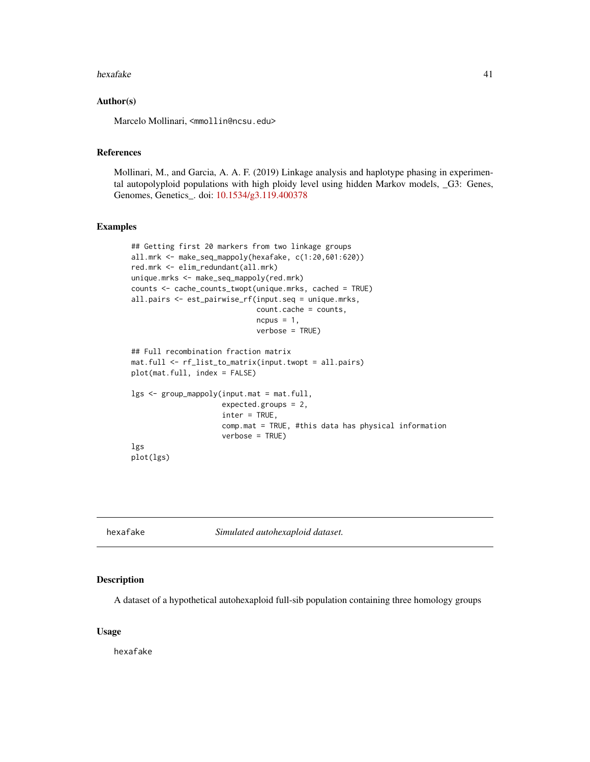#### hexafake 41

### Author(s)

Marcelo Mollinari, <mmollin@ncsu.edu>

### References

Mollinari, M., and Garcia, A. A. F. (2019) Linkage analysis and haplotype phasing in experimental autopolyploid populations with high ploidy level using hidden Markov models, \_G3: Genes, Genomes, Genetics\_. doi: [10.1534/g3.119.400378](https://doi.org/10.1534/g3.119.400378)

## Examples

```
## Getting first 20 markers from two linkage groups
all.mrk <- make_seq_mappoly(hexafake, c(1:20,601:620))
red.mrk <- elim_redundant(all.mrk)
unique.mrks <- make_seq_mappoly(red.mrk)
counts <- cache_counts_twopt(unique.mrks, cached = TRUE)
all.pairs <- est_pairwise_rf(input.seq = unique.mrks,
                             count.cache = counts,
                             ncpus = 1,
                             verbose = TRUE)
## Full recombination fraction matrix
mat.full <- rf_list_to_matrix(input.twopt = all.pairs)
plot(mat.full, index = FALSE)
lgs <- group_mappoly(input.mat = mat.full,
                     expected.groups = 2,
                     inter = TRUE,
                     comp.mat = TRUE, #this data has physical information
                     verbose = TRUE)
lgs
plot(lgs)
```
<span id="page-40-0"></span>hexafake *Simulated autohexaploid dataset.*

### Description

A dataset of a hypothetical autohexaploid full-sib population containing three homology groups

#### Usage

hexafake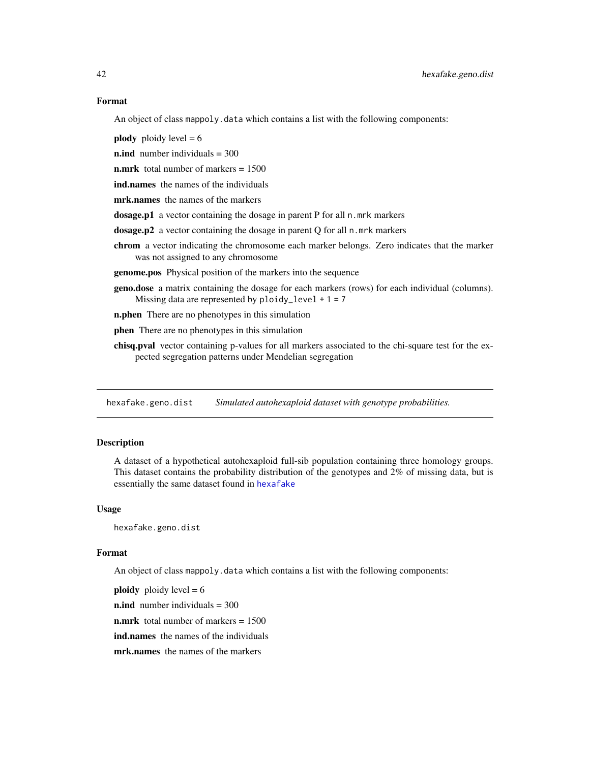An object of class mappoly.data which contains a list with the following components:

**plody** ploidy level  $= 6$ 

 $n$ .ind number individuals = 300

**n.mrk** total number of markers = 1500

ind.names the names of the individuals

mrk.names the names of the markers

dosage.p1 a vector containing the dosage in parent P for all n.mrk markers

dosage.p2 a vector containing the dosage in parent Q for all n.mrk markers

chrom a vector indicating the chromosome each marker belongs. Zero indicates that the marker was not assigned to any chromosome

genome.pos Physical position of the markers into the sequence

geno.dose a matrix containing the dosage for each markers (rows) for each individual (columns). Missing data are represented by  $ploidy\_level + 1 = 7$ 

**n.phen** There are no phenotypes in this simulation

phen There are no phenotypes in this simulation

chisq.pval vector containing p-values for all markers associated to the chi-square test for the expected segregation patterns under Mendelian segregation

hexafake.geno.dist *Simulated autohexaploid dataset with genotype probabilities.*

### Description

A dataset of a hypothetical autohexaploid full-sib population containing three homology groups. This dataset contains the probability distribution of the genotypes and 2% of missing data, but is essentially the same dataset found in [hexafake](#page-40-0)

### Usage

hexafake.geno.dist

### Format

An object of class mappoly.data which contains a list with the following components:

**ploidy** ploidy level  $= 6$ 

**n.ind** number individuals  $= 300$ 

n.mrk total number of markers = 1500

ind.names the names of the individuals

mrk.names the names of the markers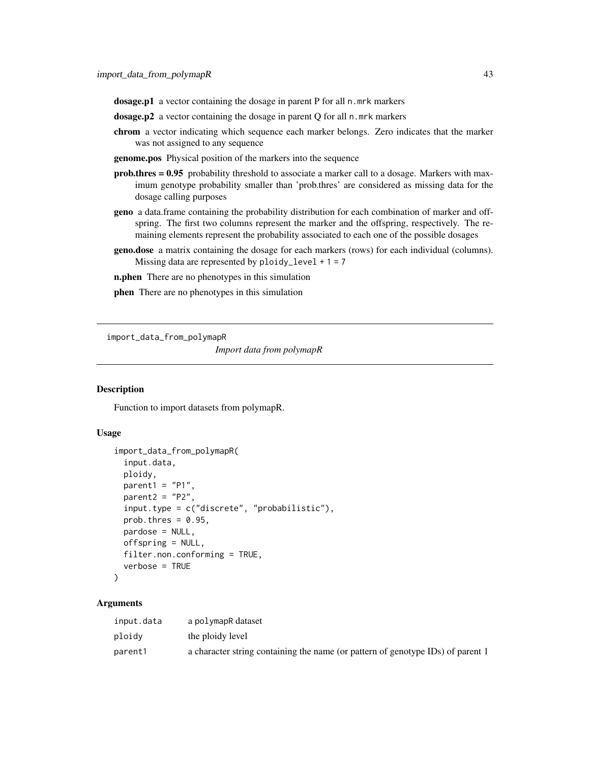dosage.p1 a vector containing the dosage in parent P for all n.mrk markers

- dosage.p2 a vector containing the dosage in parent Q for all n.mrk markers
- chrom a vector indicating which sequence each marker belongs. Zero indicates that the marker was not assigned to any sequence
- genome.pos Physical position of the markers into the sequence
- prob.thres = 0.95 probability threshold to associate a marker call to a dosage. Markers with maximum genotype probability smaller than 'prob.thres' are considered as missing data for the dosage calling purposes
- geno a data.frame containing the probability distribution for each combination of marker and offspring. The first two columns represent the marker and the offspring, respectively. The remaining elements represent the probability associated to each one of the possible dosages
- geno.dose a matrix containing the dosage for each markers (rows) for each individual (columns). Missing data are represented by  $ploidy\_level + 1 = 7$
- **n.phen** There are no phenotypes in this simulation
- phen There are no phenotypes in this simulation

import\_data\_from\_polymapR

*Import data from polymapR*

### **Description**

Function to import datasets from polymapR.

### Usage

```
import_data_from_polymapR(
  input.data,
 ploidy,
 parent1 = "P1",parent2 = "P2",input.type = c("discrete", "probabilistic"),
 prob.thres = 0.95,
 pardose = NULL,
 offspring = NULL,
  filter.non.conforming = TRUE,
  verbose = TRUE
)
```

| input.data | a polymapR dataset                                                              |
|------------|---------------------------------------------------------------------------------|
| ploidy     | the ploidy level                                                                |
| parent1    | a character string containing the name (or pattern of genotype IDs) of parent 1 |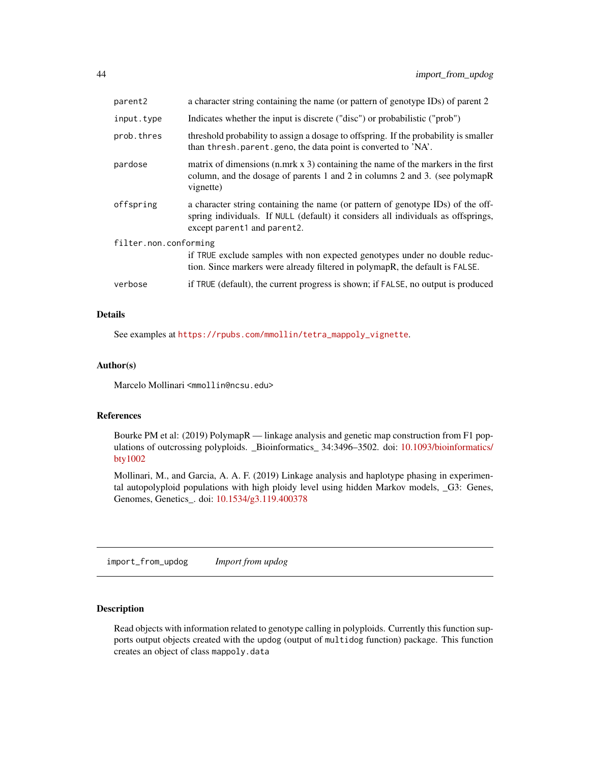| parent2               | a character string containing the name (or pattern of genotype IDs) of parent 2                                                                                                                     |  |
|-----------------------|-----------------------------------------------------------------------------------------------------------------------------------------------------------------------------------------------------|--|
| input.type            | Indicates whether the input is discrete ("disc") or probabilistic ("prob")                                                                                                                          |  |
| prob.thres            | threshold probability to assign a dosage to offspring. If the probability is smaller<br>than thresh parent geno, the data point is converted to 'NA'.                                               |  |
| pardose               | matrix of dimensions $(n,mrk x 3)$ containing the name of the markers in the first<br>column, and the dosage of parents 1 and 2 in columns 2 and 3. (see polymapR)<br>vignette)                     |  |
| offspring             | a character string containing the name (or pattern of genotype IDs) of the off-<br>spring individuals. If NULL (default) it considers all individuals as offsprings,<br>except parent1 and parent2. |  |
| filter.non.conforming |                                                                                                                                                                                                     |  |
|                       | if TRUE exclude samples with non expected genotypes under no double reduc-<br>tion. Since markers were already filtered in polymapR, the default is FALSE.                                          |  |
| verbose               | if TRUE (default), the current progress is shown; if FALSE, no output is produced                                                                                                                   |  |

### Details

See examples at [https://rpubs.com/mmollin/tetra\\_mappoly\\_vignette](https://rpubs.com/mmollin/tetra_mappoly_vignette).

#### Author(s)

Marcelo Mollinari <mmollin@ncsu.edu>

#### References

Bourke PM et al: (2019) PolymapR — linkage analysis and genetic map construction from F1 populations of outcrossing polyploids. \_Bioinformatics\_ 34:3496–3502. doi: [10.1093/bioinformatics/](https://doi.org/10.1093/bioinformatics/bty1002) [bty1002](https://doi.org/10.1093/bioinformatics/bty1002)

Mollinari, M., and Garcia, A. A. F. (2019) Linkage analysis and haplotype phasing in experimental autopolyploid populations with high ploidy level using hidden Markov models, \_G3: Genes, Genomes, Genetics\_. doi: [10.1534/g3.119.400378](https://doi.org/10.1534/g3.119.400378)

import\_from\_updog *Import from updog*

#### Description

Read objects with information related to genotype calling in polyploids. Currently this function supports output objects created with the updog (output of multidog function) package. This function creates an object of class mappoly.data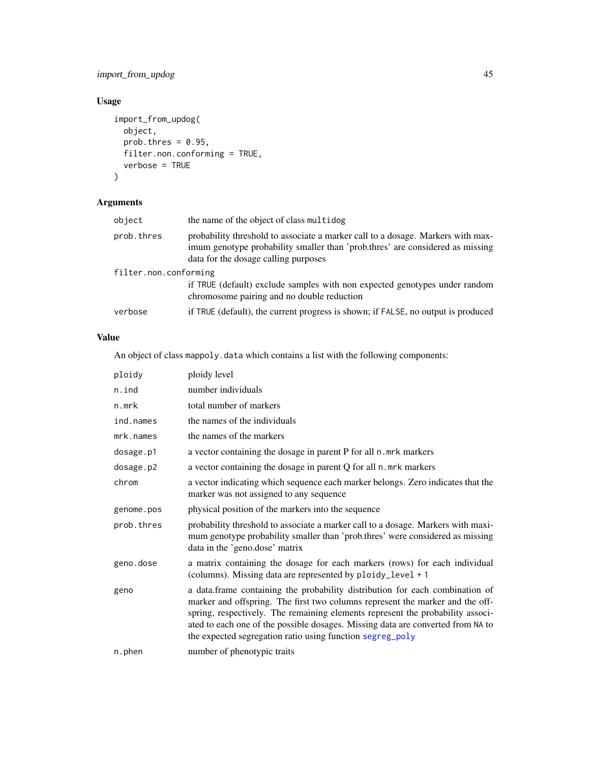# import\_from\_updog 45

# Usage

```
import_from_updog(
  object,
  prob.thres = 0.95,
  filter.non.conforming = TRUE,
  verbose = TRUE
\mathcal{L}
```
# Arguments

| object                | the name of the object of class multidog                                                                                                                                                                 |  |
|-----------------------|----------------------------------------------------------------------------------------------------------------------------------------------------------------------------------------------------------|--|
| prob.thres            | probability threshold to associate a marker call to a dosage. Markers with max-<br>imum genotype probability smaller than 'prob.thres' are considered as missing<br>data for the dosage calling purposes |  |
| filter.non.conforming |                                                                                                                                                                                                          |  |
|                       | if TRUE (default) exclude samples with non expected genotypes under random<br>chromosome pairing and no double reduction                                                                                 |  |
| verbose               | if TRUE (default), the current progress is shown; if FALSE, no output is produced                                                                                                                        |  |

# Value

An object of class mappoly.data which contains a list with the following components:

| ploidy     | ploidy level                                                                                                                                                                                                                                                                                                                                                                                    |
|------------|-------------------------------------------------------------------------------------------------------------------------------------------------------------------------------------------------------------------------------------------------------------------------------------------------------------------------------------------------------------------------------------------------|
| n.ind      | number individuals                                                                                                                                                                                                                                                                                                                                                                              |
| n.mrk      | total number of markers                                                                                                                                                                                                                                                                                                                                                                         |
| ind.names  | the names of the individuals                                                                                                                                                                                                                                                                                                                                                                    |
| mrk.names  | the names of the markers                                                                                                                                                                                                                                                                                                                                                                        |
| dosage.p1  | a vector containing the dosage in parent P for all n. mrk markers                                                                                                                                                                                                                                                                                                                               |
| dosage.p2  | a vector containing the dosage in parent Q for all n. mrk markers                                                                                                                                                                                                                                                                                                                               |
| chrom      | a vector indicating which sequence each marker belongs. Zero indicates that the<br>marker was not assigned to any sequence                                                                                                                                                                                                                                                                      |
| genome.pos | physical position of the markers into the sequence                                                                                                                                                                                                                                                                                                                                              |
| prob.thres | probability threshold to associate a marker call to a dosage. Markers with maxi-<br>mum genotype probability smaller than 'prob.thres' were considered as missing<br>data in the 'geno.dose' matrix                                                                                                                                                                                             |
| geno.dose  | a matrix containing the dosage for each markers (rows) for each individual<br>(columns). Missing data are represented by ploidy_level + 1                                                                                                                                                                                                                                                       |
| geno       | a data.frame containing the probability distribution for each combination of<br>marker and offspring. The first two columns represent the marker and the off-<br>spring, respectively. The remaining elements represent the probability associ-<br>ated to each one of the possible dosages. Missing data are converted from NA to<br>the expected segregation ratio using function segreg_poly |
| n.phen     | number of phenotypic traits                                                                                                                                                                                                                                                                                                                                                                     |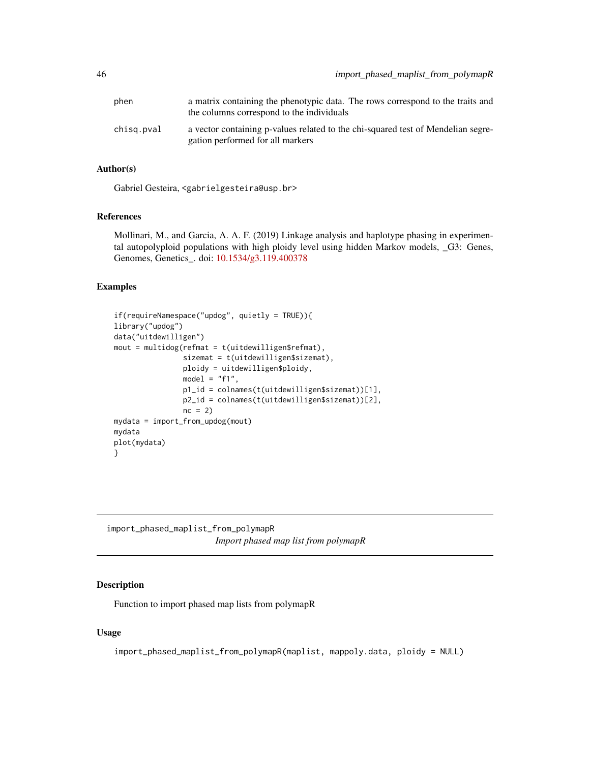| phen       | a matrix containing the phenotypic data. The rows correspond to the traits and<br>the columns correspond to the individuals |
|------------|-----------------------------------------------------------------------------------------------------------------------------|
| chisg.pval | a vector containing p-values related to the chi-squared test of Mendelian segre-<br>gation performed for all markers        |

# Author(s)

Gabriel Gesteira, <gabrielgesteira@usp.br>

## References

Mollinari, M., and Garcia, A. A. F. (2019) Linkage analysis and haplotype phasing in experimental autopolyploid populations with high ploidy level using hidden Markov models, \_G3: Genes, Genomes, Genetics\_. doi: [10.1534/g3.119.400378](https://doi.org/10.1534/g3.119.400378)

#### Examples

```
if(requireNamespace("updog", quietly = TRUE)){
library("updog")
data("uitdewilligen")
mout = multidog(refront = t(uitdevilligen$refmat),sizemat = t(uitdewilligen$sizemat),
                ploidy = uitdewilligen$ploidy,
                model = "f1",p1_id = colnames(t(uitdewilligen$sizemat))[1],
                p2_id = colnames(t(uitdewilligen$sizemat))[2],
                nc = 2)mydata = import_from_updog(mout)
mydata
plot(mydata)
}
```
import\_phased\_maplist\_from\_polymapR *Import phased map list from polymapR*

# Description

Function to import phased map lists from polymapR

### Usage

```
import_phased_maplist_from_polymapR(maplist, mappoly.data, ploidy = NULL)
```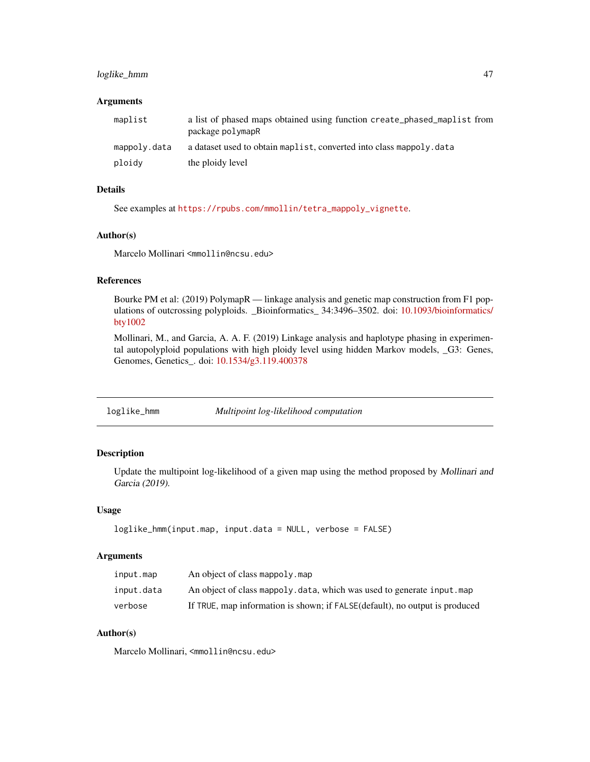# loglike\_hmm 47

#### **Arguments**

| maplist      | a list of phased maps obtained using function create_phased_maplist from<br>package polymapR |
|--------------|----------------------------------------------------------------------------------------------|
| mappoly.data | a dataset used to obtain maplist, converted into class mappoly, data                         |
| ploidy       | the ploidy level                                                                             |

# Details

See examples at [https://rpubs.com/mmollin/tetra\\_mappoly\\_vignette](https://rpubs.com/mmollin/tetra_mappoly_vignette).

## Author(s)

Marcelo Mollinari <mmollin@ncsu.edu>

# References

Bourke PM et al: (2019) PolymapR — linkage analysis and genetic map construction from F1 pop-ulations of outcrossing polyploids. \_Bioinformatics\_ 34:3496-3502. doi: [10.1093/bioinformatics/](https://doi.org/10.1093/bioinformatics/bty1002) [bty1002](https://doi.org/10.1093/bioinformatics/bty1002)

Mollinari, M., and Garcia, A. A. F. (2019) Linkage analysis and haplotype phasing in experimental autopolyploid populations with high ploidy level using hidden Markov models, \_G3: Genes, Genomes, Genetics\_. doi: [10.1534/g3.119.400378](https://doi.org/10.1534/g3.119.400378)

loglike\_hmm *Multipoint log-likelihood computation*

## Description

Update the multipoint log-likelihood of a given map using the method proposed by Mollinari and Garcia (2019).

### Usage

```
loglike_hmm(input.map, input.data = NULL, verbose = FALSE)
```
### Arguments

| input.map  | An object of class mappoly, map                                             |
|------------|-----------------------------------------------------------------------------|
| input.data | An object of class mappoly, data, which was used to generate input, map     |
| verbose    | If TRUE, map information is shown; if FALSE(default), no output is produced |

## Author(s)

Marcelo Mollinari, <mmollin@ncsu.edu>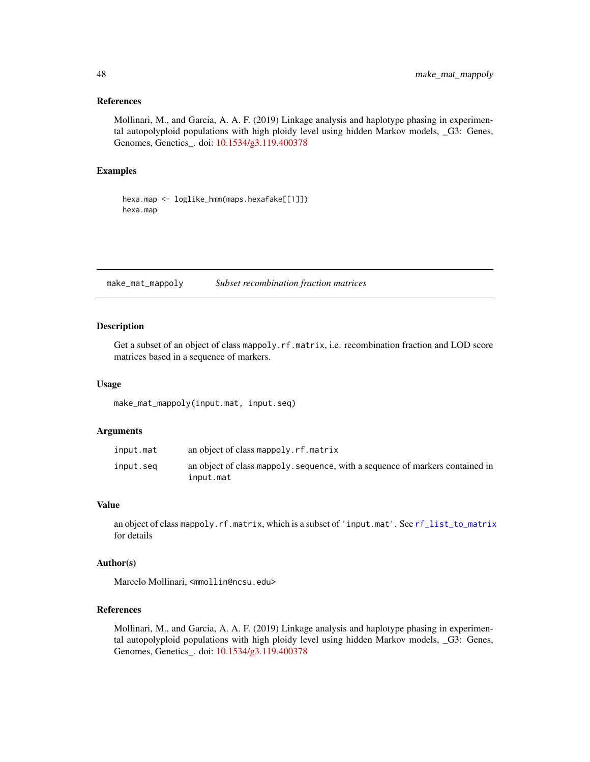### References

Mollinari, M., and Garcia, A. A. F. (2019) Linkage analysis and haplotype phasing in experimental autopolyploid populations with high ploidy level using hidden Markov models, \_G3: Genes, Genomes, Genetics\_. doi: [10.1534/g3.119.400378](https://doi.org/10.1534/g3.119.400378)

### Examples

```
hexa.map <- loglike_hmm(maps.hexafake[[1]])
hexa.map
```
make\_mat\_mappoly *Subset recombination fraction matrices*

### Description

Get a subset of an object of class mappoly. rf. matrix, i.e. recombination fraction and LOD score matrices based in a sequence of markers.

### Usage

make\_mat\_mappoly(input.mat, input.seq)

### Arguments

| input.mat | an object of class mappoly.rf.matrix                                                       |
|-----------|--------------------------------------------------------------------------------------------|
| input.seg | an object of class mappoly, sequence, with a sequence of markers contained in<br>input.mat |

#### Value

an object of class mappoly.rf.matrix, which is a subset of 'input.mat'. See [rf\\_list\\_to\\_matrix](#page-78-0) for details

#### Author(s)

Marcelo Mollinari, <mmollin@ncsu.edu>

#### References

Mollinari, M., and Garcia, A. A. F. (2019) Linkage analysis and haplotype phasing in experimental autopolyploid populations with high ploidy level using hidden Markov models, \_G3: Genes, Genomes, Genetics\_. doi: [10.1534/g3.119.400378](https://doi.org/10.1534/g3.119.400378)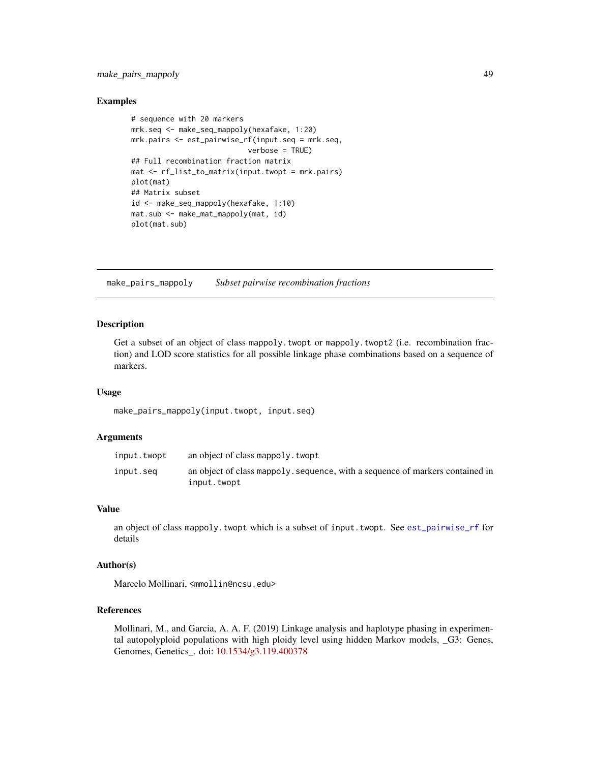make\_pairs\_mappoly 49

### Examples

```
# sequence with 20 markers
mrk.seq <- make_seq_mappoly(hexafake, 1:20)
mrk.pairs <- est_pairwise_rf(input.seq = mrk.seq,
                           verbose = TRUE)
## Full recombination fraction matrix
mat <- rf_list_to_matrix(input.twopt = mrk.pairs)
plot(mat)
## Matrix subset
id <- make_seq_mappoly(hexafake, 1:10)
mat.sub <- make_mat_mappoly(mat, id)
plot(mat.sub)
```
make\_pairs\_mappoly *Subset pairwise recombination fractions*

### Description

Get a subset of an object of class mappoly.twopt or mappoly.twopt2 (i.e. recombination fraction) and LOD score statistics for all possible linkage phase combinations based on a sequence of markers.

### Usage

make\_pairs\_mappoly(input.twopt, input.seq)

## Arguments

| input.twopt | an object of class mappoly, twopt                                                            |
|-------------|----------------------------------------------------------------------------------------------|
| input.seg   | an object of class mappoly, sequence, with a sequence of markers contained in<br>input.twopt |

## Value

an object of class mappoly.twopt which is a subset of input.twopt. See [est\\_pairwise\\_rf](#page-21-0) for details

### Author(s)

Marcelo Mollinari, <mmollin@ncsu.edu>

### References

Mollinari, M., and Garcia, A. A. F. (2019) Linkage analysis and haplotype phasing in experimental autopolyploid populations with high ploidy level using hidden Markov models, \_G3: Genes, Genomes, Genetics\_. doi: [10.1534/g3.119.400378](https://doi.org/10.1534/g3.119.400378)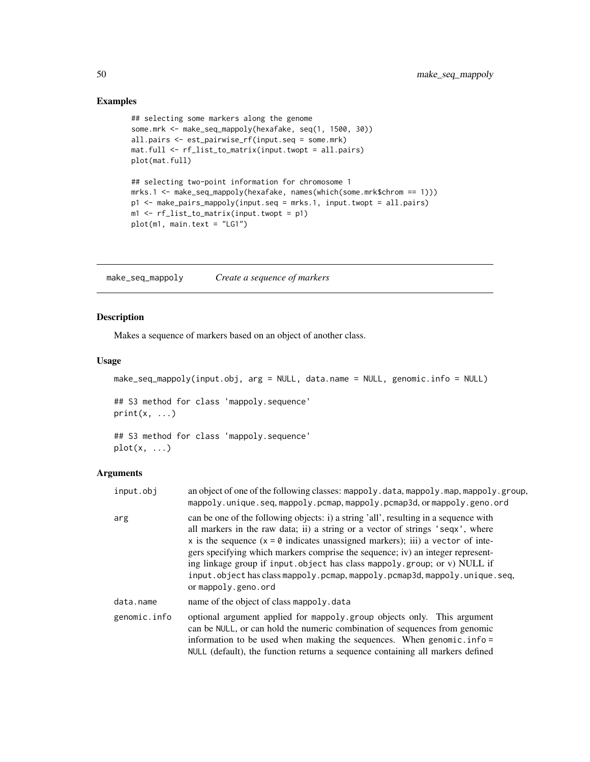# Examples

```
## selecting some markers along the genome
some.mrk <- make_seq_mappoly(hexafake, seq(1, 1500, 30))
all.pairs <- est_pairwise_rf(input.seq = some.mrk)
mat.full <- rf_list_to_matrix(input.twopt = all.pairs)
plot(mat.full)
## selecting two-point information for chromosome 1
mrks.1 <- make_seq_mappoly(hexafake, names(which(some.mrk$chrom == 1)))
p1 <- make_pairs_mappoly(input.seq = mrks.1, input.twopt = all.pairs)
m1 \leftarrow rf\_list_to_matrix(input.twopt = p1)plot(m1, main.text = "LG1")
```
make\_seq\_mappoly *Create a sequence of markers*

# Description

Makes a sequence of markers based on an object of another class.

#### Usage

make\_seq\_mappoly(input.obj, arg = NULL, data.name = NULL, genomic.info = NULL)

## S3 method for class 'mappoly.sequence'  $print(x, \ldots)$ 

## S3 method for class 'mappoly.sequence'  $plot(x, \ldots)$ 

| input.obj    | an object of one of the following classes: mappoly.data, mappoly.map, mappoly.group,<br>mappoly.unique.seq,mappoly.pcmap,mappoly.pcmap3d,ormappoly.geno.ord                                                                                                                                                                                                                                                                                                                                                                   |
|--------------|-------------------------------------------------------------------------------------------------------------------------------------------------------------------------------------------------------------------------------------------------------------------------------------------------------------------------------------------------------------------------------------------------------------------------------------------------------------------------------------------------------------------------------|
| arg          | can be one of the following objects: i) a string 'all', resulting in a sequence with<br>all markers in the raw data; ii) a string or a vector of strings 'seqx', where<br>x is the sequence $(x = 0$ indicates unassigned markers); iii) a vector of inte-<br>gers specifying which markers comprise the sequence; iv) an integer represent-<br>ing linkage group if input.object has class mappoly.group; or v) NULL if<br>input.object has class mappoly.pcmap, mappoly.pcmap3d, mappoly.unique.seq,<br>or mappoly.geno.ord |
| data.name    | name of the object of class mappoly. data                                                                                                                                                                                                                                                                                                                                                                                                                                                                                     |
| genomic.info | optional argument applied for mappoly group objects only. This argument<br>can be NULL, or can hold the numeric combination of sequences from genomic<br>information to be used when making the sequences. When genomic. $info =$<br>NULL (default), the function returns a sequence containing all markers defined                                                                                                                                                                                                           |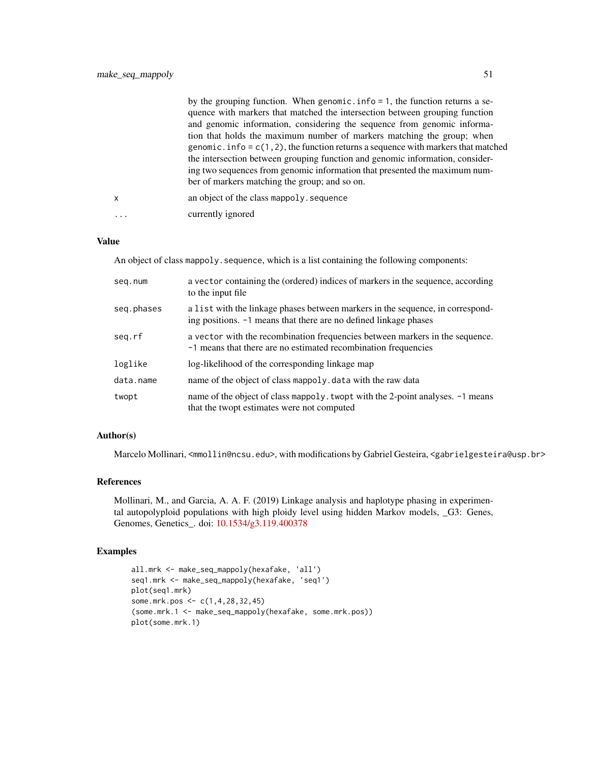|   | by the grouping function. When genomic. $info = 1$ , the function returns a se-       |
|---|---------------------------------------------------------------------------------------|
|   | quence with markers that matched the intersection between grouping function           |
|   | and genomic information, considering the sequence from genomic informa-               |
|   | tion that holds the maximum number of markers matching the group; when                |
|   | genomic. info = $c(1, 2)$ , the function returns a sequence with markers that matched |
|   | the intersection between grouping function and genomic information, consider-         |
|   | ing two sequences from genomic information that presented the maximum num-            |
|   | ber of markers matching the group; and so on.                                         |
| X | an object of the class mappoly, sequence                                              |
|   | currently ignored                                                                     |

#### Value

An object of class mappoly. sequence, which is a list containing the following components:

| seg.num    | a vector containing the (ordered) indices of markers in the sequence, according<br>to the input file                                               |
|------------|----------------------------------------------------------------------------------------------------------------------------------------------------|
| seq.phases | a list with the linkage phases between markers in the sequence, in correspond-<br>ing positions. -1 means that there are no defined linkage phases |
| seg.rf     | a vector with the recombination frequencies between markers in the sequence.<br>-1 means that there are no estimated recombination frequencies     |
| loglike    | log-likelihood of the corresponding linkage map                                                                                                    |
| data.name  | name of the object of class mappoly. data with the raw data                                                                                        |
| twopt      | name of the object of class mappoly. twopt with the 2-point analyses. -1 means<br>that the twopt estimates were not computed                       |

# Author(s)

Marcelo Mollinari, <mmollin@ncsu.edu>, with modifications by Gabriel Gesteira, <gabrielgesteira@usp.br>

# References

Mollinari, M., and Garcia, A. A. F. (2019) Linkage analysis and haplotype phasing in experimental autopolyploid populations with high ploidy level using hidden Markov models, \_G3: Genes, Genomes, Genetics\_. doi: [10.1534/g3.119.400378](https://doi.org/10.1534/g3.119.400378)

### Examples

```
all.mrk <- make_seq_mappoly(hexafake, 'all')
seq1.mrk <- make_seq_mappoly(hexafake, 'seq1')
plot(seq1.mrk)
some.mrk.pos <- c(1,4,28,32,45)
(some.mrk.1 <- make_seq_mappoly(hexafake, some.mrk.pos))
plot(some.mrk.1)
```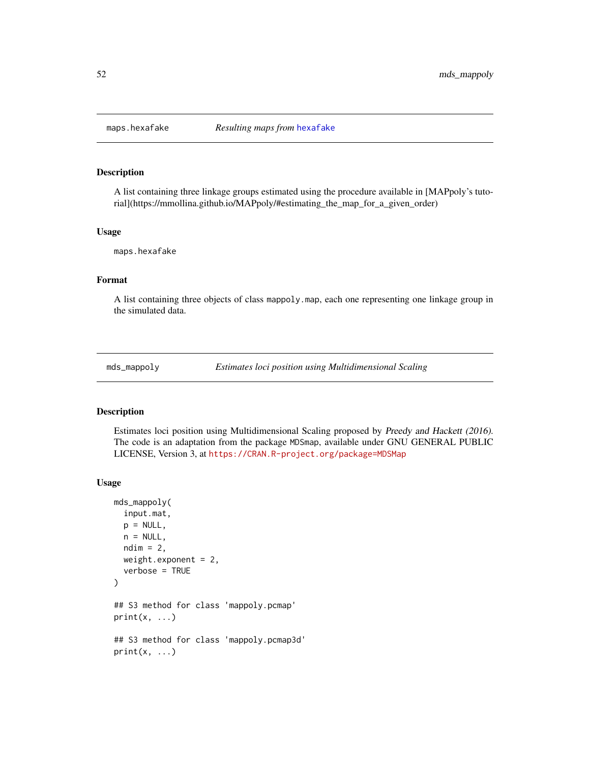#### Description

A list containing three linkage groups estimated using the procedure available in [MAPpoly's tutorial](https://mmollina.github.io/MAPpoly/#estimating\_the\_map\_for\_a\_given\_order)

### Usage

maps.hexafake

## Format

A list containing three objects of class mappoly.map, each one representing one linkage group in the simulated data.

mds\_mappoly *Estimates loci position using Multidimensional Scaling*

### Description

Estimates loci position using Multidimensional Scaling proposed by Preedy and Hackett (2016). The code is an adaptation from the package MDSmap, available under GNU GENERAL PUBLIC LICENSE, Version 3, at <https://CRAN.R-project.org/package=MDSMap>

#### Usage

```
mds_mappoly(
  input.mat,
 p = NULL,n = NULL,ndim = 2,
  weight.exponent = 2,
  verbose = TRUE
\mathcal{L}## S3 method for class 'mappoly.pcmap'
print(x, \ldots)## S3 method for class 'mappoly.pcmap3d'
print(x, \ldots)
```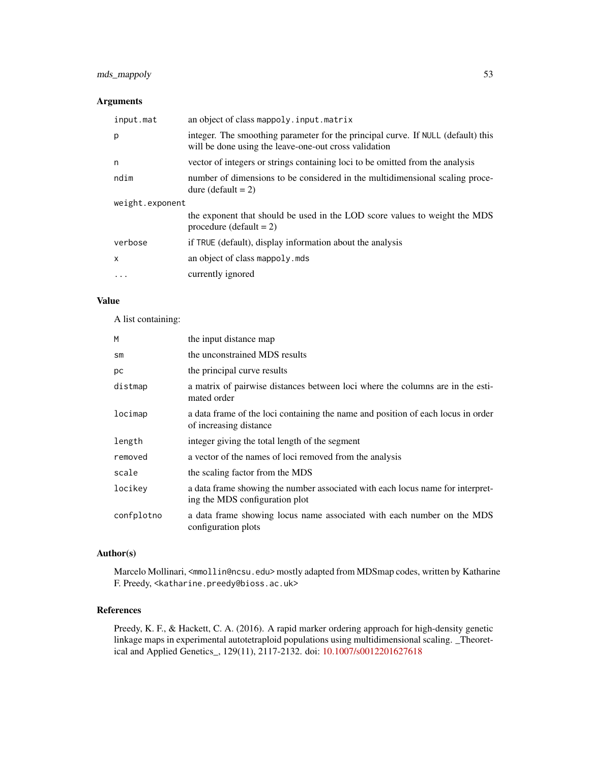# mds\_mappoly 53

# Arguments

| input.mat       | an object of class mappoly.input.matrix                                                                                                   |  |
|-----------------|-------------------------------------------------------------------------------------------------------------------------------------------|--|
| p               | integer. The smoothing parameter for the principal curve. If NULL (default) this<br>will be done using the leave-one-out cross validation |  |
| n               | vector of integers or strings containing loci to be omitted from the analysis                                                             |  |
| ndim            | number of dimensions to be considered in the multidimensional scaling proce-<br>dure (default $= 2$ )                                     |  |
| weight.exponent |                                                                                                                                           |  |
|                 | the exponent that should be used in the LOD score values to weight the MDS<br>procedure (default $= 2$ )                                  |  |
| verbose         | if TRUE (default), display information about the analysis                                                                                 |  |
| $\mathsf{x}$    | an object of class mappoly. mds                                                                                                           |  |
| $\ddotsc$       | currently ignored                                                                                                                         |  |

### Value

A list containing:

| M             | the input distance map                                                                                           |
|---------------|------------------------------------------------------------------------------------------------------------------|
| $\mathsf{sm}$ | the unconstrained MDS results                                                                                    |
| рc            | the principal curve results                                                                                      |
| distmap       | a matrix of pairwise distances between loci where the columns are in the esti-<br>mated order                    |
| locimap       | a data frame of the loci containing the name and position of each locus in order<br>of increasing distance       |
| length        | integer giving the total length of the segment                                                                   |
| removed       | a vector of the names of loci removed from the analysis                                                          |
| scale         | the scaling factor from the MDS                                                                                  |
| locikey       | a data frame showing the number associated with each locus name for interpret-<br>ing the MDS configuration plot |
| confplotno    | a data frame showing locus name associated with each number on the MDS<br>configuration plots                    |

# Author(s)

Marcelo Mollinari, <mmollin@ncsu.edu> mostly adapted from MDSmap codes, written by Katharine F. Preedy, <katharine.preedy@bioss.ac.uk>

### References

Preedy, K. F., & Hackett, C. A. (2016). A rapid marker ordering approach for high-density genetic linkage maps in experimental autotetraploid populations using multidimensional scaling. \_Theoretical and Applied Genetics\_, 129(11), 2117-2132. doi: [10.1007/s0012201627618](https://doi.org/10.1007/s00122-016-2761-8)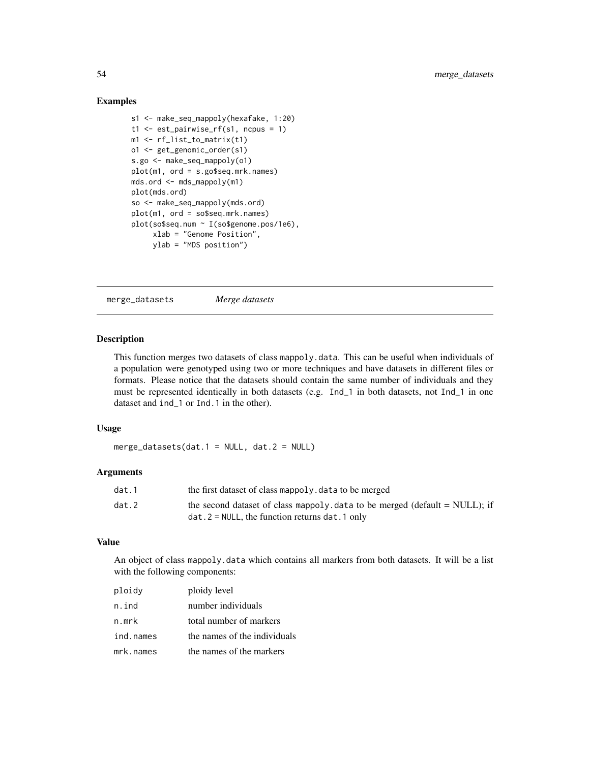### Examples

```
s1 <- make_seq_mappoly(hexafake, 1:20)
t1 \le est_pairwise_rf(s1, ncpus = 1)
m1 <- rf_list_to_matrix(t1)
o1 <- get_genomic_order(s1)
s.go <- make_seq_mappoly(o1)
plot(m1, ord = s.go$seq.mrk.names)
mds.ord <- mds_mappoly(m1)
plot(mds.ord)
so <- make_seq_mappoly(mds.ord)
plot(m1, ord = so$seq.mrk.names)
plot(so$seq.num ~ I(so$genome.pos/1e6),
     xlab = "Genome Position",
     ylab = "MDS position")
```
merge\_datasets *Merge datasets*

# Description

This function merges two datasets of class mappoly.data. This can be useful when individuals of a population were genotyped using two or more techniques and have datasets in different files or formats. Please notice that the datasets should contain the same number of individuals and they must be represented identically in both datasets (e.g. Ind\_1 in both datasets, not Ind\_1 in one dataset and ind\_1 or Ind.1 in the other).

### Usage

merge\_datasets(dat.1 = NULL, dat.2 = NULL)

#### Arguments

| dat.1 | the first dataset of class mappoly. data to be merged                        |
|-------|------------------------------------------------------------------------------|
| dat.2 | the second dataset of class mappoly data to be merged (default $=$ NULL); if |
|       | $dat.2 = NULL$ , the function returns dat $.1$ only                          |

### Value

An object of class mappoly.data which contains all markers from both datasets. It will be a list with the following components:

| ploidy    | ploidy level                 |
|-----------|------------------------------|
| n.ind     | number individuals           |
| n.mrk     | total number of markers      |
| ind.names | the names of the individuals |
| mrk.names | the names of the markers     |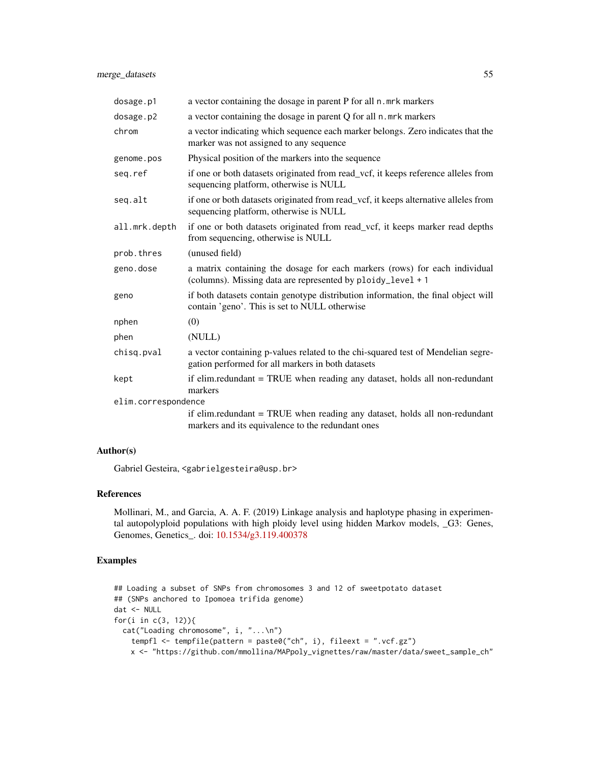| dosage.p1           | a vector containing the dosage in parent P for all n. mrk markers                                                                         |
|---------------------|-------------------------------------------------------------------------------------------------------------------------------------------|
| dosage.p2           | a vector containing the dosage in parent Q for all n. mrk markers                                                                         |
| chrom               | a vector indicating which sequence each marker belongs. Zero indicates that the<br>marker was not assigned to any sequence                |
| genome.pos          | Physical position of the markers into the sequence                                                                                        |
| seq.ref             | if one or both datasets originated from read_vcf, it keeps reference alleles from<br>sequencing platform, otherwise is NULL               |
| seq.alt             | if one or both datasets originated from read_vcf, it keeps alternative alleles from<br>sequencing platform, otherwise is NULL             |
| all.mrk.depth       | if one or both datasets originated from read_vcf, it keeps marker read depths<br>from sequencing, otherwise is NULL                       |
| prob.thres          | (unused field)                                                                                                                            |
| geno.dose           | a matrix containing the dosage for each markers (rows) for each individual<br>(columns). Missing data are represented by ploidy_level + 1 |
| geno                | if both datasets contain genotype distribution information, the final object will<br>contain 'geno'. This is set to NULL otherwise        |
| nphen               | (0)                                                                                                                                       |
| phen                | (NULL)                                                                                                                                    |
| chisq.pval          | a vector containing p-values related to the chi-squared test of Mendelian segre-<br>gation performed for all markers in both datasets     |
| kept                | if elim.redundant = TRUE when reading any dataset, holds all non-redundant<br>markers                                                     |
| elim.correspondence |                                                                                                                                           |
|                     | if elim.redundant = TRUE when reading any dataset, holds all non-redundant<br>markers and its equivalence to the redundant ones           |

# Author(s)

Gabriel Gesteira, <gabrielgesteira@usp.br>

# References

Mollinari, M., and Garcia, A. A. F. (2019) Linkage analysis and haplotype phasing in experimental autopolyploid populations with high ploidy level using hidden Markov models, \_G3: Genes, Genomes, Genetics\_. doi: [10.1534/g3.119.400378](https://doi.org/10.1534/g3.119.400378)

# Examples

```
## Loading a subset of SNPs from chromosomes 3 and 12 of sweetpotato dataset
## (SNPs anchored to Ipomoea trifida genome)
dat <- NULL
for(i in c(3, 12)){
  cat("Loading chromosome", i, "...\n")
   tempfl <- tempfile(pattern = paste0("ch", i), fileext = ".vcf.gz")
   x <- "https://github.com/mmollina/MAPpoly_vignettes/raw/master/data/sweet_sample_ch"
```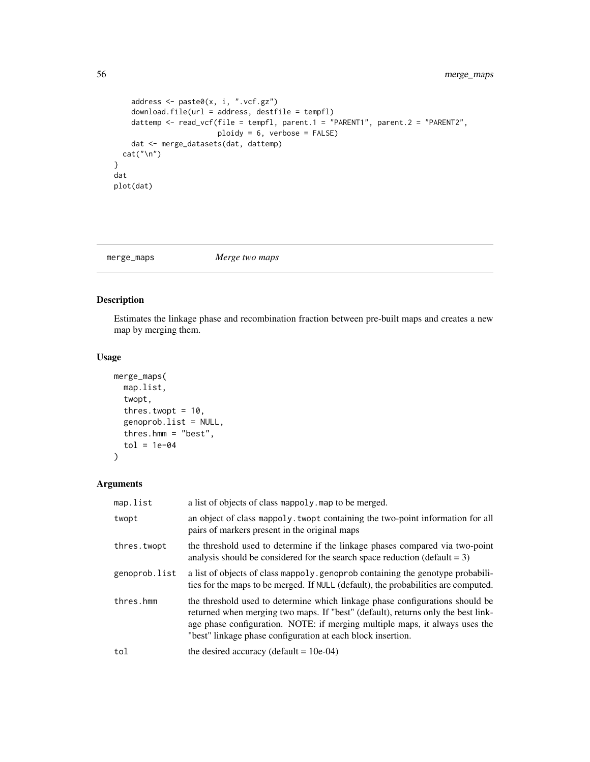```
address <- paste0(x, i, ".vcf.gz")
    download.file(url = address, destfile = tempfl)
   dattemp <- read_vcf(file = tempfl, parent.1 = "PARENT1", parent.2 = "PARENT2",
                       ploidy = 6, verbose = FALSE)
   dat <- merge_datasets(dat, dattemp)
  cat("\n'\)}
dat
plot(dat)
```
merge\_maps *Merge two maps*

# Description

Estimates the linkage phase and recombination fraction between pre-built maps and creates a new map by merging them.

### Usage

```
merge_maps(
 map.list,
  twopt,
  thres.twopt = 10,
  genoprob.list = NULL,
  thres.hmm = "best",
  tol = 1e-04\lambda
```

| map.list      | a list of objects of class mappoly map to be merged.                                                                                                                                                                                                                                                           |
|---------------|----------------------------------------------------------------------------------------------------------------------------------------------------------------------------------------------------------------------------------------------------------------------------------------------------------------|
| twopt         | an object of class mappoly, twopt containing the two-point information for all<br>pairs of markers present in the original maps                                                                                                                                                                                |
| thres.twopt   | the threshold used to determine if the linkage phases compared via two-point<br>analysis should be considered for the search space reduction (default $= 3$ )                                                                                                                                                  |
| genoprob.list | a list of objects of class mappoly. genoprob containing the genotype probabili-<br>ties for the maps to be merged. If NULL (default), the probabilities are computed.                                                                                                                                          |
| thres.hmm     | the threshold used to determine which linkage phase configurations should be<br>returned when merging two maps. If "best" (default), returns only the best link-<br>age phase configuration. NOTE: if merging multiple maps, it always uses the<br>"best" linkage phase configuration at each block insertion. |
| tol           | the desired accuracy (default $= 10e-04$ )                                                                                                                                                                                                                                                                     |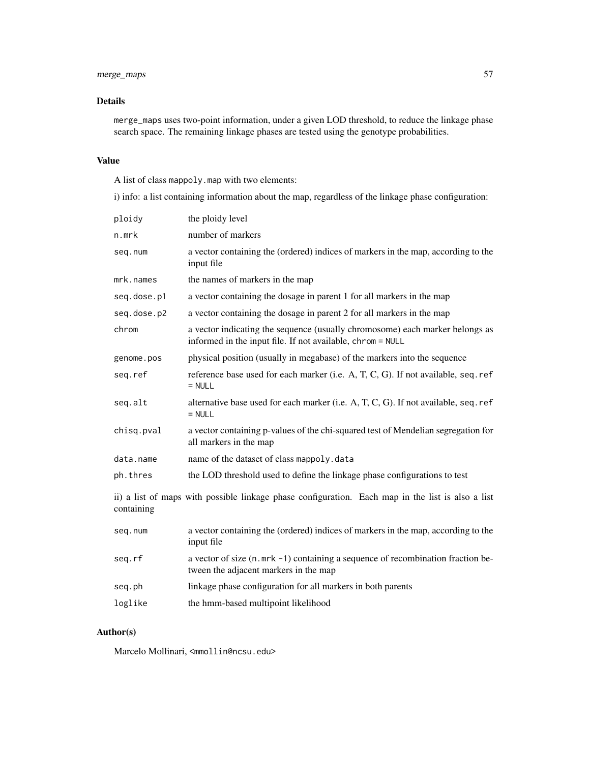# merge\_maps 57

# Details

merge\_maps uses two-point information, under a given LOD threshold, to reduce the linkage phase search space. The remaining linkage phases are tested using the genotype probabilities.

# Value

A list of class mappoly.map with two elements:

i) info: a list containing information about the map, regardless of the linkage phase configuration:

| ploidy                                                                                                          | the ploidy level                                                                                                                           |  |
|-----------------------------------------------------------------------------------------------------------------|--------------------------------------------------------------------------------------------------------------------------------------------|--|
| n.mrk                                                                                                           | number of markers                                                                                                                          |  |
| seq.num                                                                                                         | a vector containing the (ordered) indices of markers in the map, according to the<br>input file                                            |  |
| mrk.names                                                                                                       | the names of markers in the map                                                                                                            |  |
| seq.dose.p1                                                                                                     | a vector containing the dosage in parent 1 for all markers in the map                                                                      |  |
| seq.dose.p2                                                                                                     | a vector containing the dosage in parent 2 for all markers in the map                                                                      |  |
| chrom                                                                                                           | a vector indicating the sequence (usually chromosome) each marker belongs as<br>informed in the input file. If not available, chrom = NULL |  |
| genome.pos                                                                                                      | physical position (usually in megabase) of the markers into the sequence                                                                   |  |
| seq.ref                                                                                                         | reference base used for each marker (i.e. A, T, C, G). If not available, seq. ref<br>$=$ NULL                                              |  |
| seq.alt                                                                                                         | alternative base used for each marker (i.e. A, T, C, G). If not available, seq. ref<br>$=$ NULL                                            |  |
| chisq.pval                                                                                                      | a vector containing p-values of the chi-squared test of Mendelian segregation for<br>all markers in the map                                |  |
| data.name                                                                                                       | name of the dataset of class mappoly.data                                                                                                  |  |
| ph.thres                                                                                                        | the LOD threshold used to define the linkage phase configurations to test                                                                  |  |
| ii) a list of maps with possible linkage phase configuration. Each map in the list is also a list<br>containing |                                                                                                                                            |  |
| seq.num                                                                                                         | a vector containing the (ordered) indices of markers in the map, according to the<br>input file                                            |  |
| seg.rf                                                                                                          | a vector of size (n.mrk -1) containing a sequence of recombination fraction be-<br>tween the adjacent markers in the map                   |  |
| seq.ph                                                                                                          | linkage phase configuration for all markers in both parents                                                                                |  |
| loglike                                                                                                         | the hmm-based multipoint likelihood                                                                                                        |  |

## Author(s)

Marcelo Mollinari, <mmollin@ncsu.edu>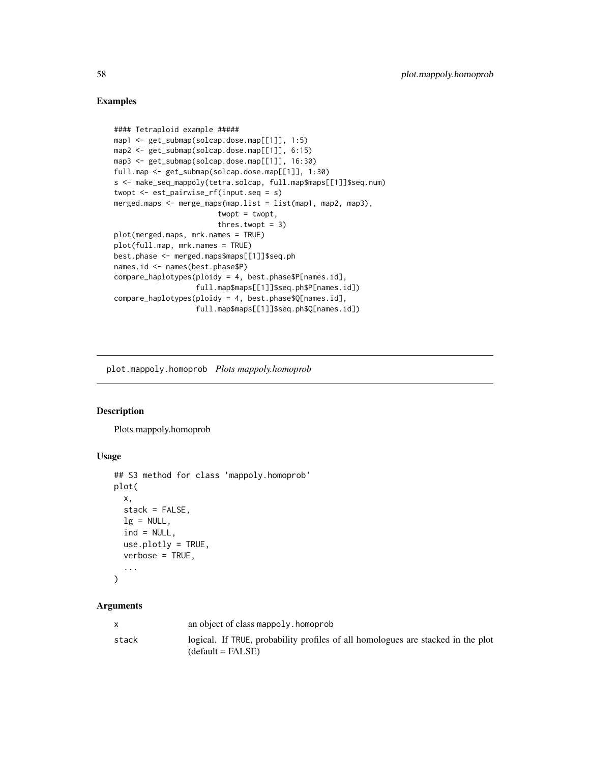### Examples

```
#### Tetraploid example #####
map1 <- get_submap(solcap.dose.map[[1]], 1:5)
map2 <- get_submap(solcap.dose.map[[1]], 6:15)
map3 <- get_submap(solcap.dose.map[[1]], 16:30)
full.map <- get_submap(solcap.dose.map[[1]], 1:30)
s <- make_seq_mappoly(tetra.solcap, full.map$maps[[1]]$seq.num)
twopt <- est_pairwise_rf(input.seq = s)
merged.maps <- merge_maps(map.list = list(map1, map2, map3),
                        twopt = twopt,
                        thres.twopt = 3)plot(merged.maps, mrk.names = TRUE)
plot(full.map, mrk.names = TRUE)
best.phase <- merged.maps$maps[[1]]$seq.ph
names.id <- names(best.phase$P)
compare_haplotypes(ploidy = 4, best.phase$P[names.id],
                   full.map$maps[[1]]$seq.ph$P[names.id])
compare_haplotypes(ploidy = 4, best.phase$Q[names.id],
                   full.map$maps[[1]]$seq.ph$Q[names.id])
```
plot.mappoly.homoprob *Plots mappoly.homoprob*

#### Description

Plots mappoly.homoprob

### Usage

```
## S3 method for class 'mappoly.homoprob'
plot(
  x,
  stack = FALSE,
  lg = NULL,
  ind = NULL,use.plotly = TRUE,
  verbose = TRUE,
  ...
)
```

|       | an object of class mappoly, homoprob                                                                    |
|-------|---------------------------------------------------------------------------------------------------------|
| stack | logical. If TRUE, probability profiles of all homologues are stacked in the plot<br>$(detault = FALSE)$ |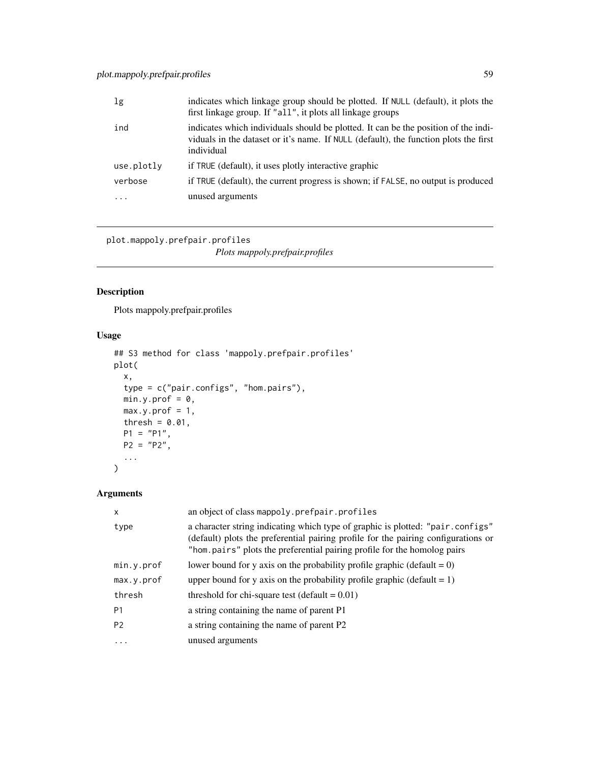| 1g         | indicates which linkage group should be plotted. If NULL (default), it plots the<br>first linkage group. If "all", it plots all linkage groups                                           |
|------------|------------------------------------------------------------------------------------------------------------------------------------------------------------------------------------------|
| ind        | indicates which individuals should be plotted. It can be the position of the indi-<br>viduals in the dataset or it's name. If NULL (default), the function plots the first<br>individual |
| use.plotly | if TRUE (default), it uses plotly interactive graphic                                                                                                                                    |
| verbose    | if TRUE (default), the current progress is shown; if FALSE, no output is produced                                                                                                        |
| .          | unused arguments                                                                                                                                                                         |
|            |                                                                                                                                                                                          |

plot.mappoly.prefpair.profiles

*Plots mappoly.prefpair.profiles*

# Description

Plots mappoly.prefpair.profiles

# Usage

```
## S3 method for class 'mappoly.prefpair.profiles'
plot(
 x,
 type = c("pair.configs", "hom.pairs"),
 min.y.prof = 0,
 max.y.prof = 1,
 thresh = 0.01,
 P1 = "P1",P2 = "P2",...
)
```

| X              | an object of class mappoly.prefpair.profiles                                                                                                                                                                                                     |
|----------------|--------------------------------------------------------------------------------------------------------------------------------------------------------------------------------------------------------------------------------------------------|
| type           | a character string indicating which type of graphic is plotted: "pair.configs"<br>(default) plots the preferential pairing profile for the pairing configurations or<br>"hom.pairs" plots the preferential pairing profile for the homolog pairs |
| min.y.prof     | lower bound for y axis on the probability profile graphic (default = $0$ )                                                                                                                                                                       |
| max.y.prof     | upper bound for y axis on the probability profile graphic (default $= 1$ )                                                                                                                                                                       |
| thresh         | threshold for chi-square test (default $= 0.01$ )                                                                                                                                                                                                |
| P <sub>1</sub> | a string containing the name of parent P1                                                                                                                                                                                                        |
| P <sub>2</sub> | a string containing the name of parent P2                                                                                                                                                                                                        |
| $\cdots$       | unused arguments                                                                                                                                                                                                                                 |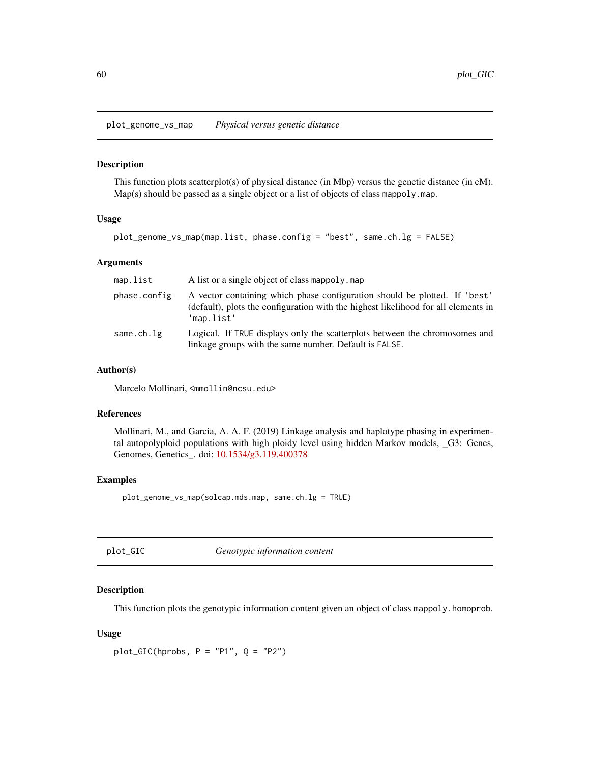plot\_genome\_vs\_map *Physical versus genetic distance*

### Description

This function plots scatterplot(s) of physical distance (in Mbp) versus the genetic distance (in cM). Map(s) should be passed as a single object or a list of objects of class mappoly.map.

### Usage

```
plot_genome_vs_map(map.list, phase.config = "best", same.ch.lg = FALSE)
```
### Arguments

| map.list     | A list or a single object of class mappoly, map                                                                                                                                |
|--------------|--------------------------------------------------------------------------------------------------------------------------------------------------------------------------------|
| phase.config | A vector containing which phase configuration should be plotted. If 'best'<br>(default), plots the configuration with the highest likelihood for all elements in<br>'map.list' |
| same.ch.lg   | Logical. If TRUE displays only the scatter plots between the chromosomes and<br>linkage groups with the same number. Default is FALSE.                                         |

### Author(s)

Marcelo Mollinari, <mmollin@ncsu.edu>

### References

Mollinari, M., and Garcia, A. A. F. (2019) Linkage analysis and haplotype phasing in experimental autopolyploid populations with high ploidy level using hidden Markov models, \_G3: Genes, Genomes, Genetics\_. doi: [10.1534/g3.119.400378](https://doi.org/10.1534/g3.119.400378)

### Examples

plot\_genome\_vs\_map(solcap.mds.map, same.ch.lg = TRUE)

| plot_GIC | Genotypic information content |
|----------|-------------------------------|
|----------|-------------------------------|

# Description

This function plots the genotypic information content given an object of class mappoly.homoprob.

## Usage

 $plot_GIC(hprobs, P = "P1", Q = "P2")$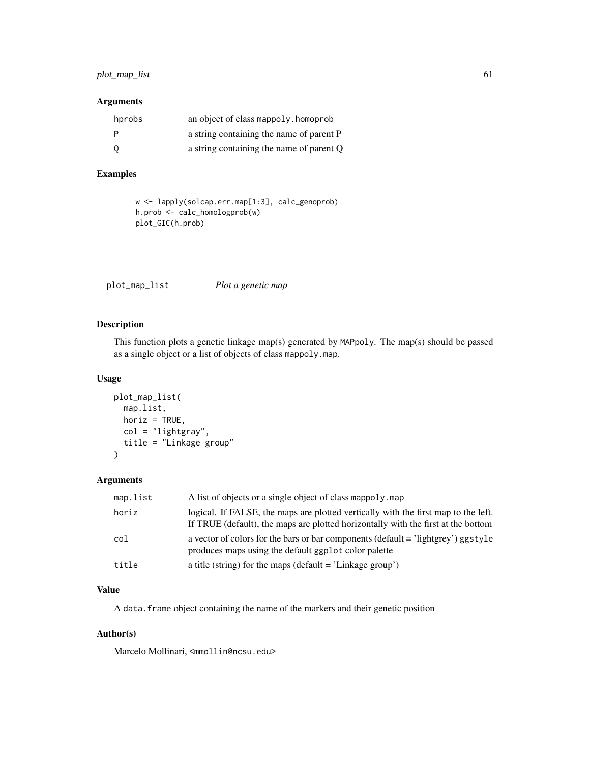# plot\_map\_list 61

### Arguments

| hprobs | an object of class mappoly. homoprob     |
|--------|------------------------------------------|
| P      | a string containing the name of parent P |
| 0      | a string containing the name of parent Q |

# Examples

```
w <- lapply(solcap.err.map[1:3], calc_genoprob)
h.prob <- calc_homologprob(w)
plot_GIC(h.prob)
```
plot\_map\_list *Plot a genetic map*

## Description

This function plots a genetic linkage map(s) generated by MAPpoly. The map(s) should be passed as a single object or a list of objects of class mappoly.map.

### Usage

```
plot_map_list(
 map.list,
 horiz = TRUE,
 col = "lightgray",
  title = "Linkage group"
)
```
### Arguments

| map.list | A list of objects or a single object of class mappoly. map                                                                                                              |
|----------|-------------------------------------------------------------------------------------------------------------------------------------------------------------------------|
| horiz    | logical. If FALSE, the maps are plotted vertically with the first map to the left.<br>If TRUE (default), the maps are plotted horizontally with the first at the bottom |
| col      | a vector of colors for the bars or bar components (default = 'lightgrey') ggstyle<br>produces maps using the default ggplot color palette                               |
| title    | a title (string) for the maps (default $=$ 'Linkage group')                                                                                                             |

# Value

A data. frame object containing the name of the markers and their genetic position

# Author(s)

Marcelo Mollinari, <mmollin@ncsu.edu>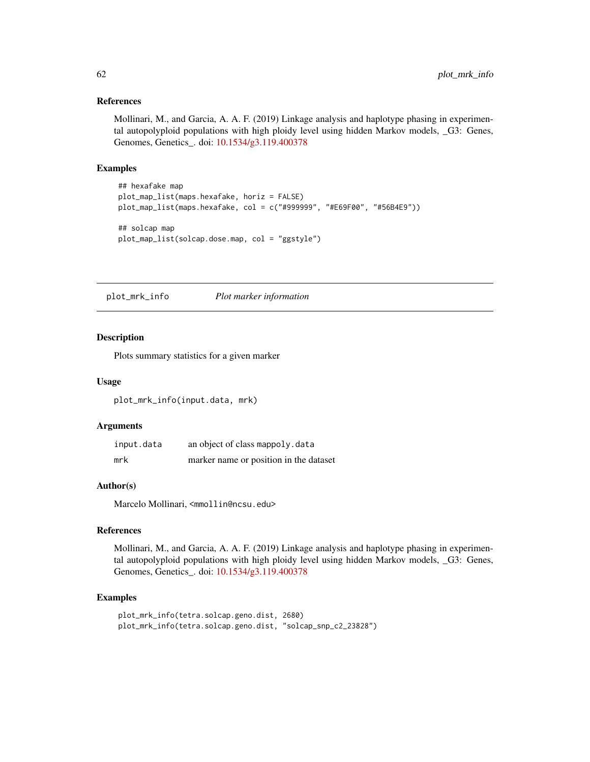### References

Mollinari, M., and Garcia, A. A. F. (2019) Linkage analysis and haplotype phasing in experimental autopolyploid populations with high ploidy level using hidden Markov models, \_G3: Genes, Genomes, Genetics\_. doi: [10.1534/g3.119.400378](https://doi.org/10.1534/g3.119.400378)

## Examples

```
## hexafake map
plot_map_list(maps.hexafake, horiz = FALSE)
plot_map_list(maps.hexafake, col = c("#999999", "#E69F00", "#56B4E9"))
## solcap map
plot_map_list(solcap.dose.map, col = "ggstyle")
```
plot\_mrk\_info *Plot marker information*

### Description

Plots summary statistics for a given marker

### Usage

plot\_mrk\_info(input.data, mrk)

### Arguments

| input.data | an object of class mappoly.data        |
|------------|----------------------------------------|
| mrk        | marker name or position in the dataset |

# Author(s)

Marcelo Mollinari, <mmollin@ncsu.edu>

### References

Mollinari, M., and Garcia, A. A. F. (2019) Linkage analysis and haplotype phasing in experimental autopolyploid populations with high ploidy level using hidden Markov models, \_G3: Genes, Genomes, Genetics\_. doi: [10.1534/g3.119.400378](https://doi.org/10.1534/g3.119.400378)

## Examples

```
plot_mrk_info(tetra.solcap.geno.dist, 2680)
plot_mrk_info(tetra.solcap.geno.dist, "solcap_snp_c2_23828")
```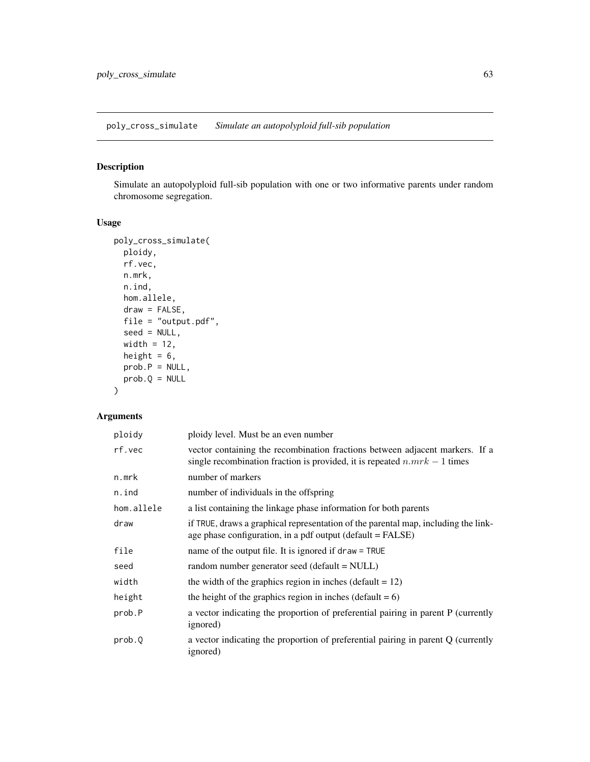poly\_cross\_simulate *Simulate an autopolyploid full-sib population*

# Description

Simulate an autopolyploid full-sib population with one or two informative parents under random chromosome segregation.

## Usage

```
poly_cross_simulate(
  ploidy,
  rf.vec,
  n.mrk,
  n.ind,
  hom.allele,
  draw = FALSE,
  file = "output.pdf",
  seed = NULL,
  width = 12,
  height = 6,
  prob.P = NULL,
  prob.Q = NULL\mathcal{E}
```

| ploidy     | ploidy level. Must be an even number                                                                                                                      |
|------------|-----------------------------------------------------------------------------------------------------------------------------------------------------------|
| rf.vec     | vector containing the recombination fractions between adjacent markers. If a<br>single recombination fraction is provided, it is repeated $n.mrk-1$ times |
| n.mrk      | number of markers                                                                                                                                         |
| n.ind      | number of individuals in the offspring                                                                                                                    |
| hom.allele | a list containing the linkage phase information for both parents                                                                                          |
| draw       | if TRUE, draws a graphical representation of the parental map, including the link-<br>age phase configuration, in a pdf output (default = FALSE)          |
| file       | name of the output file. It is ignored if $draw = TRUE$                                                                                                   |
| seed       | random number generator seed (default = NULL)                                                                                                             |
| width      | the width of the graphics region in inches (default $= 12$ )                                                                                              |
| height     | the height of the graphics region in inches (default $= 6$ )                                                                                              |
| prob.P     | a vector indicating the proportion of preferential pairing in parent P (currently<br>ignored)                                                             |
| prob.0     | a vector indicating the proportion of preferential pairing in parent Q (currently<br>ignored)                                                             |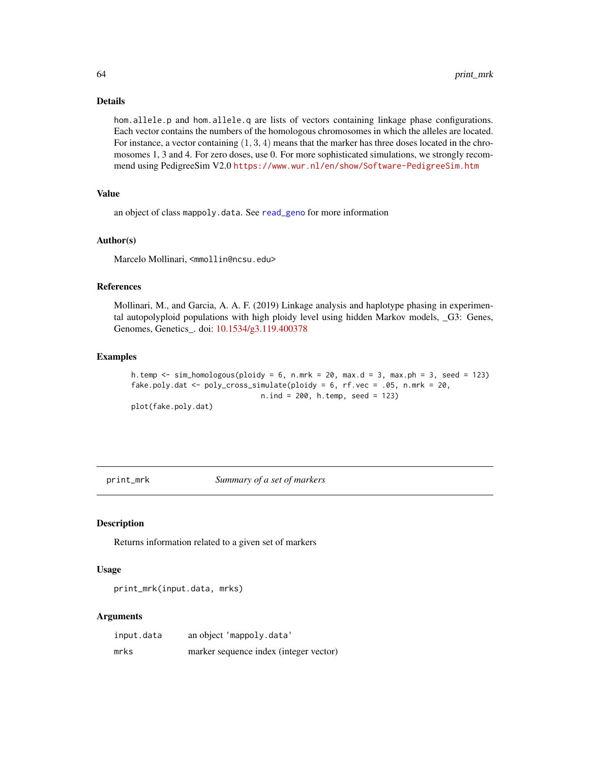## Details

hom.allele.p and hom.allele.q are lists of vectors containing linkage phase configurations. Each vector contains the numbers of the homologous chromosomes in which the alleles are located. For instance, a vector containing  $(1, 3, 4)$  means that the marker has three doses located in the chromosomes 1, 3 and 4. For zero doses, use 0. For more sophisticated simulations, we strongly recommend using PedigreeSim V2.0 <https://www.wur.nl/en/show/Software-PedigreeSim.htm>

# Value

an object of class mappoly.data. See [read\\_geno](#page-66-0) for more information

#### Author(s)

Marcelo Mollinari, <mmollin@ncsu.edu>

#### References

Mollinari, M., and Garcia, A. A. F. (2019) Linkage analysis and haplotype phasing in experimental autopolyploid populations with high ploidy level using hidden Markov models, \_G3: Genes, Genomes, Genetics\_. doi: [10.1534/g3.119.400378](https://doi.org/10.1534/g3.119.400378)

### Examples

```
h.temp \le sim_homologous(ploidy = 6, n.mrk = 20, max.d = 3, max.ph = 3, seed = 123)
fake.poly.dat <- poly_cross_simulate(ploidy = 6, rf.vec = .05, n.mrk = 20,
                              n.ind = 200, h.temp, seed = 123)
plot(fake.poly.dat)
```
print\_mrk *Summary of a set of markers*

### Description

Returns information related to a given set of markers

### Usage

```
print_mrk(input.data, mrks)
```

| input.data | an object 'mappoly.data'               |
|------------|----------------------------------------|
| mrks       | marker sequence index (integer vector) |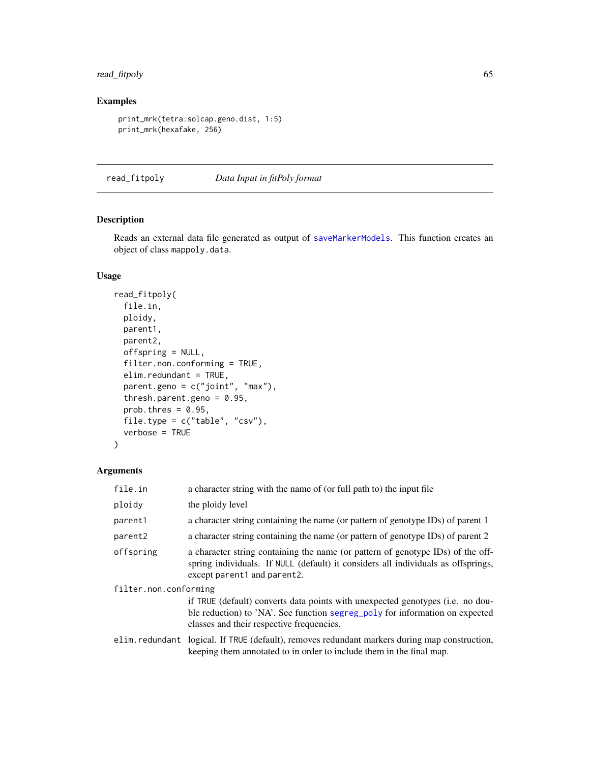# read\_fitpoly 65

# Examples

```
print_mrk(tetra.solcap.geno.dist, 1:5)
print_mrk(hexafake, 256)
```
read\_fitpoly *Data Input in fitPoly format*

# Description

Reads an external data file generated as output of [saveMarkerModels](#page-0-0). This function creates an object of class mappoly.data.

# Usage

```
read_fitpoly(
  file.in,
 ploidy,
 parent1,
 parent2,
  offspring = NULL,
  filter.non.conforming = TRUE,
  elim.redundant = TRUE,
  parent.geno = c("joint", "max"),
  thresh.parent.geno = 0.95,
 prob.thres = 0.95,
  file.type = c("table", "csv"),
  verbose = TRUE
)
```

| file.in               | a character string with the name of (or full path to) the input file                                                                                                                                                |
|-----------------------|---------------------------------------------------------------------------------------------------------------------------------------------------------------------------------------------------------------------|
| ploidy                | the ploidy level                                                                                                                                                                                                    |
| parent1               | a character string containing the name (or pattern of genotype IDs) of parent 1                                                                                                                                     |
| parent <sub>2</sub>   | a character string containing the name (or pattern of genotype IDs) of parent 2                                                                                                                                     |
| offspring             | a character string containing the name (or pattern of genotype IDs) of the off-<br>spring individuals. If NULL (default) it considers all individuals as offsprings,<br>except parent1 and parent2.                 |
| filter.non.conforming |                                                                                                                                                                                                                     |
|                       | if TRUE (default) converts data points with unexpected genotypes ( <i>i.e.</i> no dou-<br>ble reduction) to 'NA'. See function segreg_poly for information on expected<br>classes and their respective frequencies. |
|                       | elim.redundant logical. If TRUE (default), removes redundant markers during map construction,<br>keeping them annotated to in order to include them in the final map.                                               |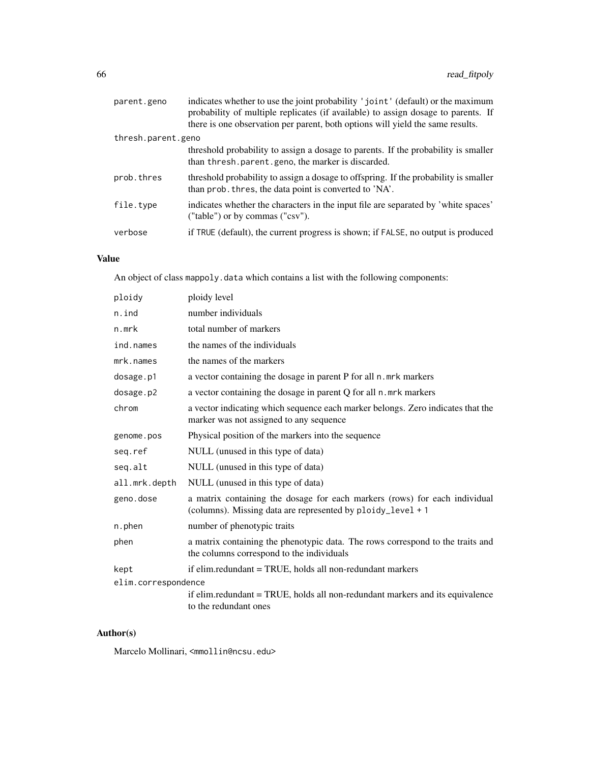| parent.geno        | indicates whether to use the joint probability 'joint' (default) or the maximum<br>probability of multiple replicates (if available) to assign dosage to parents. If |
|--------------------|----------------------------------------------------------------------------------------------------------------------------------------------------------------------|
|                    | there is one observation per parent, both options will yield the same results.                                                                                       |
| thresh.parent.geno |                                                                                                                                                                      |
|                    | threshold probability to assign a dosage to parents. If the probability is smaller<br>than thresh. parent. geno, the marker is discarded.                            |
| prob.thres         | threshold probability to assign a dosage to offspring. If the probability is smaller<br>than prob. thres, the data point is converted to 'NA'.                       |
| file.type          | indicates whether the characters in the input file are separated by 'white spaces'<br>("table") or by commas ("csv").                                                |
| verbose            | if TRUE (default), the current progress is shown; if FALSE, no output is produced                                                                                    |

# Value

An object of class mappoly.data which contains a list with the following components:

| ploidy              | ploidy level                                                                                                                              |
|---------------------|-------------------------------------------------------------------------------------------------------------------------------------------|
| n.ind               | number individuals                                                                                                                        |
| n.mrk               | total number of markers                                                                                                                   |
| ind.names           | the names of the individuals                                                                                                              |
| mrk.names           | the names of the markers                                                                                                                  |
| dosage.p1           | a vector containing the dosage in parent P for all n. mrk markers                                                                         |
| dosage.p2           | a vector containing the dosage in parent Q for all n. mrk markers                                                                         |
| chrom               | a vector indicating which sequence each marker belongs. Zero indicates that the<br>marker was not assigned to any sequence                |
| genome.pos          | Physical position of the markers into the sequence                                                                                        |
| seg.ref             | NULL (unused in this type of data)                                                                                                        |
| seq.alt             | NULL (unused in this type of data)                                                                                                        |
| all.mrk.depth       | NULL (unused in this type of data)                                                                                                        |
| geno.dose           | a matrix containing the dosage for each markers (rows) for each individual<br>(columns). Missing data are represented by ploidy_level + 1 |
| n.phen              | number of phenotypic traits                                                                                                               |
| phen                | a matrix containing the phenotypic data. The rows correspond to the traits and<br>the columns correspond to the individuals               |
| kept                | if elim.redundant = TRUE, holds all non-redundant markers                                                                                 |
| elim.correspondence |                                                                                                                                           |
|                     | if elim.redundant = TRUE, holds all non-redundant markers and its equivalence<br>to the redundant ones                                    |

# Author(s)

Marcelo Mollinari, <mmollin@ncsu.edu>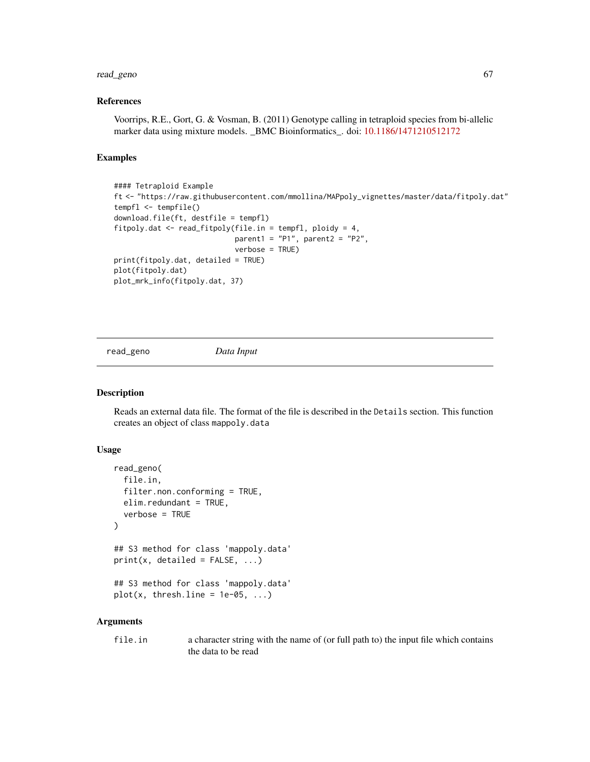# read\_geno 67

### References

Voorrips, R.E., Gort, G. & Vosman, B. (2011) Genotype calling in tetraploid species from bi-allelic marker data using mixture models. \_BMC Bioinformatics\_. doi: [10.1186/1471210512172](https://doi.org/10.1186/1471-2105-12-172)

## Examples

```
#### Tetraploid Example
ft <- "https://raw.githubusercontent.com/mmollina/MAPpoly_vignettes/master/data/fitpoly.dat"
tempfl <- tempfile()
download.file(ft, destfile = tempfl)
fitpoly.dat <- read_fitpoly(file.in = tempfl, ploidy = 4,
                            parent1 = "P1", parent2 = "P2",
                            verbose = TRUE)
print(fitpoly.dat, detailed = TRUE)
plot(fitpoly.dat)
plot_mrk_info(fitpoly.dat, 37)
```
<span id="page-66-0"></span>read\_geno *Data Input*

### **Description**

Reads an external data file. The format of the file is described in the Details section. This function creates an object of class mappoly.data

### Usage

```
read_geno(
  file.in,
  filter.non.conforming = TRUE,
  elim.redundant = TRUE,
  verbose = TRUE
\lambda## S3 method for class 'mappoly.data'
print(x, detailed = FALSE, ...)## S3 method for class 'mappoly.data'
plot(x, threshπ line = 1e-05, ...)
```
### Arguments

file.in a character string with the name of (or full path to) the input file which contains the data to be read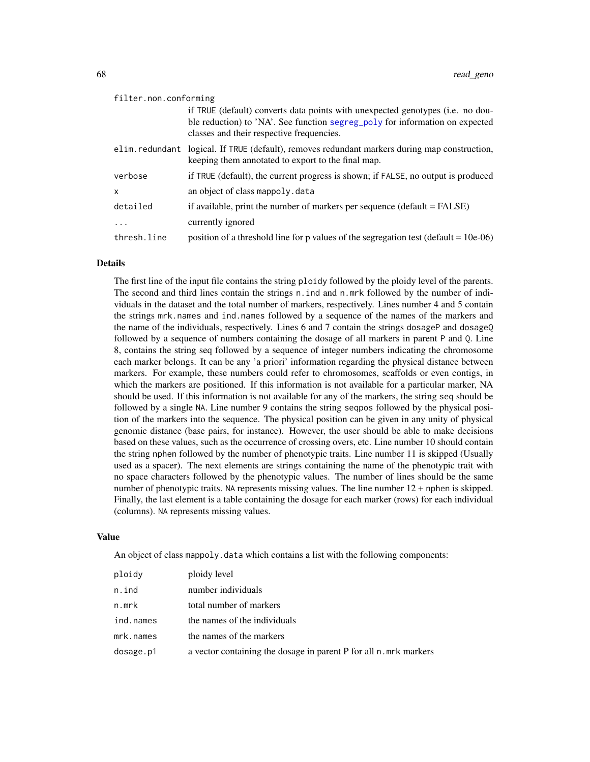| filter.non.conforming |                                                                                                                                                     |
|-----------------------|-----------------------------------------------------------------------------------------------------------------------------------------------------|
|                       | if TRUE (default) converts data points with unexpected genotypes (i.e. no dou-                                                                      |
|                       | ble reduction) to 'NA'. See function segreg_poly for information on expected<br>classes and their respective frequencies.                           |
|                       | elim.redundant logical. If TRUE (default), removes redundant markers during map construction,<br>keeping them annotated to export to the final map. |
| verbose               | if TRUE (default), the current progress is shown; if FALSE, no output is produced                                                                   |
| X                     | an object of class mappoly. data                                                                                                                    |
| detailed              | if available, print the number of markers per sequence (default $=$ FALSE)                                                                          |
| $\cdots$              | currently ignored                                                                                                                                   |
| thresh.line           | position of a threshold line for p values of the segregation test (default = $10e-06$ )                                                             |

#### Details

The first line of the input file contains the string ploidy followed by the ploidy level of the parents. The second and third lines contain the strings n.ind and n.mrk followed by the number of individuals in the dataset and the total number of markers, respectively. Lines number 4 and 5 contain the strings mrk.names and ind.names followed by a sequence of the names of the markers and the name of the individuals, respectively. Lines 6 and 7 contain the strings dosageP and dosageQ followed by a sequence of numbers containing the dosage of all markers in parent P and Q. Line 8, contains the string seq followed by a sequence of integer numbers indicating the chromosome each marker belongs. It can be any 'a priori' information regarding the physical distance between markers. For example, these numbers could refer to chromosomes, scaffolds or even contigs, in which the markers are positioned. If this information is not available for a particular marker, NA should be used. If this information is not available for any of the markers, the string seq should be followed by a single NA. Line number 9 contains the string seqpos followed by the physical position of the markers into the sequence. The physical position can be given in any unity of physical genomic distance (base pairs, for instance). However, the user should be able to make decisions based on these values, such as the occurrence of crossing overs, etc. Line number 10 should contain the string nphen followed by the number of phenotypic traits. Line number 11 is skipped (Usually used as a spacer). The next elements are strings containing the name of the phenotypic trait with no space characters followed by the phenotypic values. The number of lines should be the same number of phenotypic traits. NA represents missing values. The line number 12 + nphen is skipped. Finally, the last element is a table containing the dosage for each marker (rows) for each individual (columns). NA represents missing values.

#### Value

An object of class mappoly. data which contains a list with the following components:

| ploidy    | ploidy level                                                      |
|-----------|-------------------------------------------------------------------|
| n.ind     | number individuals                                                |
| n.mrk     | total number of markers                                           |
| ind.names | the names of the individuals                                      |
| mrk.names | the names of the markers                                          |
| dosage.p1 | a vector containing the dosage in parent P for all n. mrk markers |
|           |                                                                   |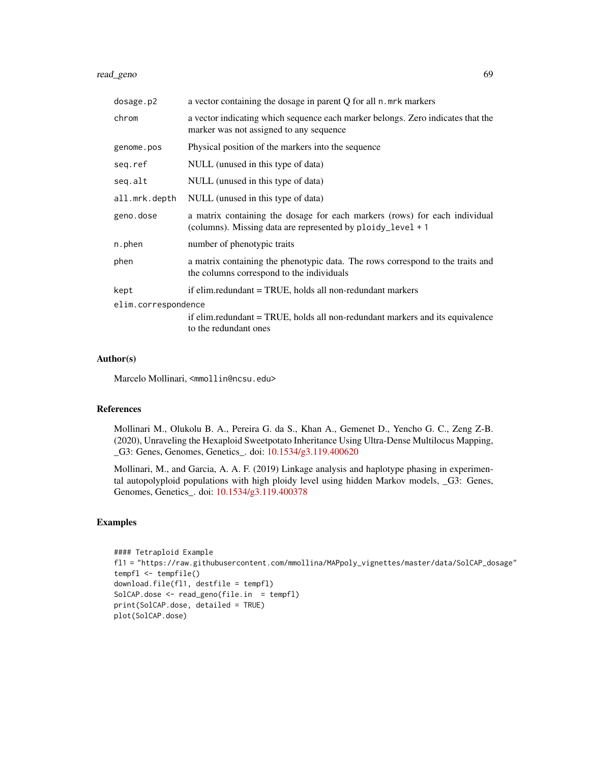# read\_geno 69

| dosage.p2                                                                                                                     | a vector containing the dosage in parent Q for all n. mrk markers                                                                         |
|-------------------------------------------------------------------------------------------------------------------------------|-------------------------------------------------------------------------------------------------------------------------------------------|
| chrom                                                                                                                         | a vector indicating which sequence each marker belongs. Zero indicates that the<br>marker was not assigned to any sequence                |
| genome.pos                                                                                                                    | Physical position of the markers into the sequence                                                                                        |
| seq.ref                                                                                                                       | NULL (unused in this type of data)                                                                                                        |
| seq.alt                                                                                                                       | NULL (unused in this type of data)                                                                                                        |
| all.mrk.depth                                                                                                                 | NULL (unused in this type of data)                                                                                                        |
| geno.dose                                                                                                                     | a matrix containing the dosage for each markers (rows) for each individual<br>(columns). Missing data are represented by ploidy_level + 1 |
| n.phen                                                                                                                        | number of phenotypic traits                                                                                                               |
| phen                                                                                                                          | a matrix containing the phenotypic data. The rows correspond to the traits and<br>the columns correspond to the individuals               |
| kept                                                                                                                          | if elim.redundant = TRUE, holds all non-redundant markers                                                                                 |
| elim.correspondence<br>if elim.redundant = TRUE, holds all non-redundant markers and its equivalence<br>to the redundant ones |                                                                                                                                           |

# Author(s)

Marcelo Mollinari, <mmollin@ncsu.edu>

#### References

Mollinari M., Olukolu B. A., Pereira G. da S., Khan A., Gemenet D., Yencho G. C., Zeng Z-B. (2020), Unraveling the Hexaploid Sweetpotato Inheritance Using Ultra-Dense Multilocus Mapping, \_G3: Genes, Genomes, Genetics\_. doi: [10.1534/g3.119.400620](https://doi.org/10.1534/g3.119.400620)

Mollinari, M., and Garcia, A. A. F. (2019) Linkage analysis and haplotype phasing in experimental autopolyploid populations with high ploidy level using hidden Markov models, \_G3: Genes, Genomes, Genetics\_. doi: [10.1534/g3.119.400378](https://doi.org/10.1534/g3.119.400378)

## Examples

```
#### Tetraploid Example
fl1 = "https://raw.githubusercontent.com/mmollina/MAPpoly_vignettes/master/data/SolCAP_dosage"
tempfl <- tempfile()
download.file(fl1, destfile = tempfl)
SolCAP.dose <- read_geno(file.in = tempfl)
print(SolCAP.dose, detailed = TRUE)
plot(SolCAP.dose)
```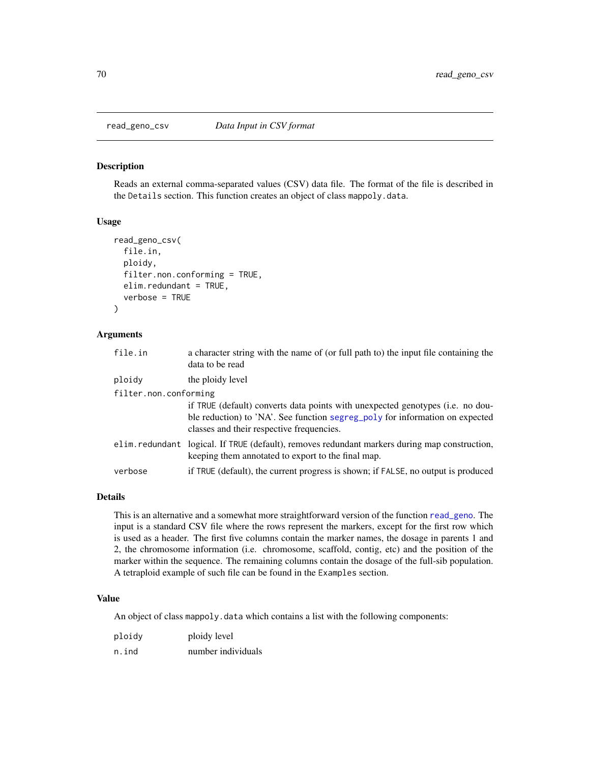### Description

Reads an external comma-separated values (CSV) data file. The format of the file is described in the Details section. This function creates an object of class mappoly.data.

## Usage

```
read_geno_csv(
  file.in,
  ploidy,
  filter.non.conforming = TRUE,
  elim.redundant = TRUE,
  verbose = TRUE
\mathcal{L}
```
### Arguments

| file.in               | a character string with the name of (or full path to) the input file containing the<br>data to be read                                                                                           |
|-----------------------|--------------------------------------------------------------------------------------------------------------------------------------------------------------------------------------------------|
| ploidy                | the ploidy level                                                                                                                                                                                 |
| filter.non.conforming | if TRUE (default) converts data points with unexpected genotypes (i.e. no dou-<br>ble reduction) to 'NA'. See function segreg_poly for information on expected                                   |
|                       | classes and their respective frequencies.<br>elim.redundant logical. If TRUE (default), removes redundant markers during map construction,<br>keeping them annotated to export to the final map. |
| verbose               | if TRUE (default), the current progress is shown; if FALSE, no output is produced                                                                                                                |

### Details

This is an alternative and a somewhat more straightforward version of the function [read\\_geno](#page-66-0). The input is a standard CSV file where the rows represent the markers, except for the first row which is used as a header. The first five columns contain the marker names, the dosage in parents 1 and 2, the chromosome information (i.e. chromosome, scaffold, contig, etc) and the position of the marker within the sequence. The remaining columns contain the dosage of the full-sib population. A tetraploid example of such file can be found in the Examples section.

### Value

An object of class mappoly.data which contains a list with the following components:

| ploidy | ploidy level       |
|--------|--------------------|
| n.ind  | number individuals |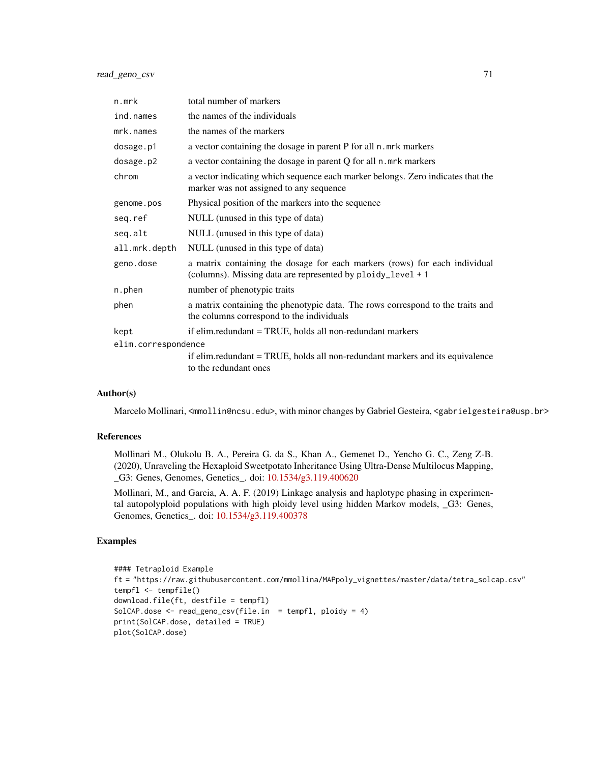read\_geno\_csv 71

| n.mrk               | total number of markers                                                                                                                   |
|---------------------|-------------------------------------------------------------------------------------------------------------------------------------------|
| ind.names           | the names of the individuals                                                                                                              |
| mrk.names           | the names of the markers                                                                                                                  |
| dosage.p1           | a vector containing the dosage in parent P for all n. mrk markers                                                                         |
| dosage.p2           | a vector containing the dosage in parent Q for all n. mrk markers                                                                         |
| chrom               | a vector indicating which sequence each marker belongs. Zero indicates that the<br>marker was not assigned to any sequence                |
| genome.pos          | Physical position of the markers into the sequence                                                                                        |
| seq.ref             | NULL (unused in this type of data)                                                                                                        |
| seq.alt             | NULL (unused in this type of data)                                                                                                        |
| all.mrk.depth       | NULL (unused in this type of data)                                                                                                        |
| geno.dose           | a matrix containing the dosage for each markers (rows) for each individual<br>(columns). Missing data are represented by ploidy_level + 1 |
| n.phen              | number of phenotypic traits                                                                                                               |
| phen                | a matrix containing the phenotypic data. The rows correspond to the traits and<br>the columns correspond to the individuals               |
| kept                | if elim.redundant = TRUE, holds all non-redundant markers                                                                                 |
| elim.correspondence |                                                                                                                                           |
|                     | if elim.redundant = TRUE, holds all non-redundant markers and its equivalence<br>to the redundant ones                                    |

### Author(s)

Marcelo Mollinari, <mmollin@ncsu.edu>, with minor changes by Gabriel Gesteira, <gabrielgesteira@usp.br>

#### References

Mollinari M., Olukolu B. A., Pereira G. da S., Khan A., Gemenet D., Yencho G. C., Zeng Z-B. (2020), Unraveling the Hexaploid Sweetpotato Inheritance Using Ultra-Dense Multilocus Mapping, \_G3: Genes, Genomes, Genetics\_. doi: [10.1534/g3.119.400620](https://doi.org/10.1534/g3.119.400620)

Mollinari, M., and Garcia, A. A. F. (2019) Linkage analysis and haplotype phasing in experimental autopolyploid populations with high ploidy level using hidden Markov models, \_G3: Genes, Genomes, Genetics\_. doi: [10.1534/g3.119.400378](https://doi.org/10.1534/g3.119.400378)

### Examples

```
#### Tetraploid Example
ft = "https://raw.githubusercontent.com/mmollina/MAPpoly_vignettes/master/data/tetra_solcap.csv"
tempfl <- tempfile()
download.file(ft, destfile = tempfl)
SolCAP.dose <- read_geno_csv(file.in = tempfl, ploidy = 4)
print(SolCAP.dose, detailed = TRUE)
plot(SolCAP.dose)
```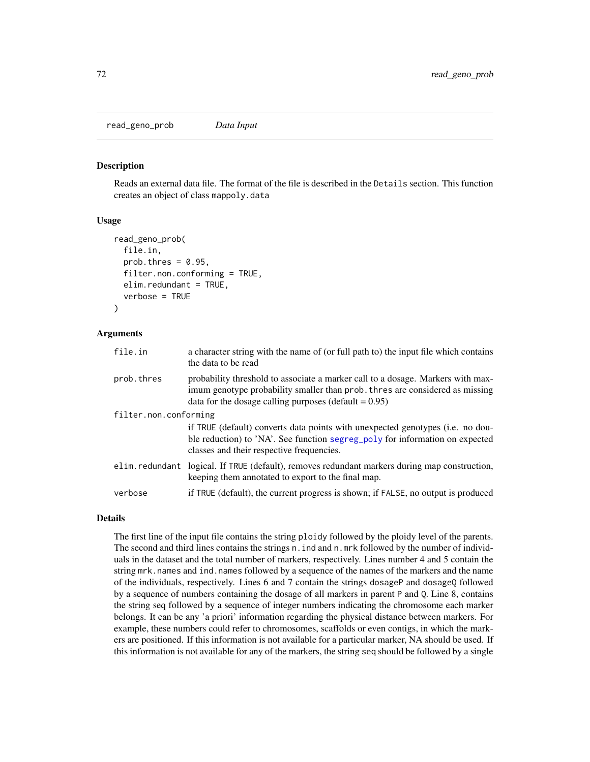read\_geno\_prob *Data Input*

#### Description

Reads an external data file. The format of the file is described in the Details section. This function creates an object of class mappoly.data

#### Usage

```
read_geno_prob(
  file.in,
  prob.thres = 0.95,
  filter.non.conforming = TRUE,
  elim.redundant = TRUE,
  verbose = TRUE
)
```
### Arguments

| file.in               | a character string with the name of (or full path to) the input file which contains<br>the data to be read                                                                                                                  |
|-----------------------|-----------------------------------------------------------------------------------------------------------------------------------------------------------------------------------------------------------------------------|
| prob.thres            | probability threshold to associate a marker call to a dosage. Markers with max-<br>imum genotype probability smaller than prob. thres are considered as missing<br>data for the dosage calling purposes (default $= 0.95$ ) |
| filter.non.conforming | if TRUE (default) converts data points with unexpected genotypes (i.e. no dou-<br>ble reduction) to 'NA'. See function segreg_poly for information on expected<br>classes and their respective frequencies.                 |
|                       | elim.redundant logical. If TRUE (default), removes redundant markers during map construction,<br>keeping them annotated to export to the final map.                                                                         |
| verbose               | if TRUE (default), the current progress is shown; if FALSE, no output is produced                                                                                                                                           |

### Details

The first line of the input file contains the string ploidy followed by the ploidy level of the parents. The second and third lines contains the strings n. ind and n.mrk followed by the number of individuals in the dataset and the total number of markers, respectively. Lines number 4 and 5 contain the string mrk.names and ind.names followed by a sequence of the names of the markers and the name of the individuals, respectively. Lines 6 and 7 contain the strings dosageP and dosageQ followed by a sequence of numbers containing the dosage of all markers in parent P and Q. Line 8, contains the string seq followed by a sequence of integer numbers indicating the chromosome each marker belongs. It can be any 'a priori' information regarding the physical distance between markers. For example, these numbers could refer to chromosomes, scaffolds or even contigs, in which the markers are positioned. If this information is not available for a particular marker, NA should be used. If this information is not available for any of the markers, the string seq should be followed by a single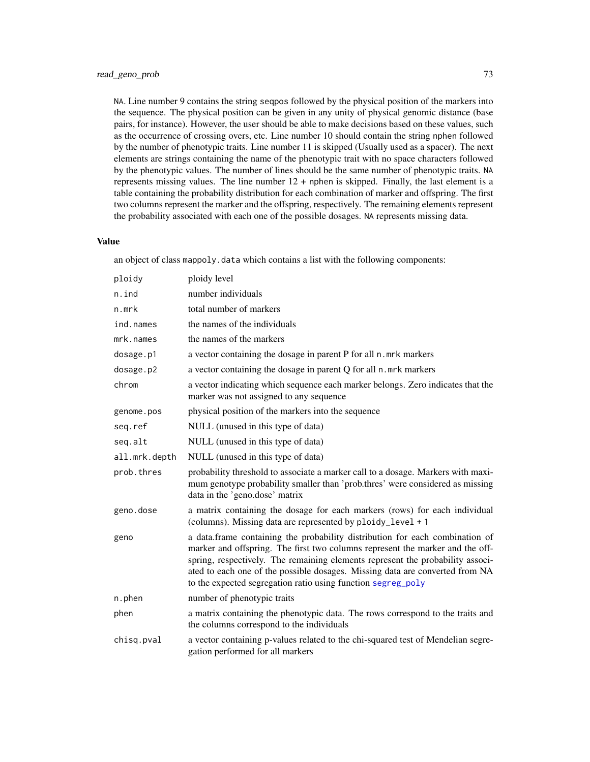<span id="page-72-0"></span>NA. Line number 9 contains the string seqpos followed by the physical position of the markers into the sequence. The physical position can be given in any unity of physical genomic distance (base pairs, for instance). However, the user should be able to make decisions based on these values, such as the occurrence of crossing overs, etc. Line number 10 should contain the string nphen followed by the number of phenotypic traits. Line number 11 is skipped (Usually used as a spacer). The next elements are strings containing the name of the phenotypic trait with no space characters followed by the phenotypic values. The number of lines should be the same number of phenotypic traits. NA represents missing values. The line number  $12 +$  nphen is skipped. Finally, the last element is a table containing the probability distribution for each combination of marker and offspring. The first two columns represent the marker and the offspring, respectively. The remaining elements represent the probability associated with each one of the possible dosages. NA represents missing data.

#### Value

an object of class mappoly.data which contains a list with the following components:

| ploidy        | ploidy level                                                                                                                                                                                                                                                                                                                                                                                    |  |
|---------------|-------------------------------------------------------------------------------------------------------------------------------------------------------------------------------------------------------------------------------------------------------------------------------------------------------------------------------------------------------------------------------------------------|--|
| n.ind         | number individuals                                                                                                                                                                                                                                                                                                                                                                              |  |
| n.mrk         | total number of markers                                                                                                                                                                                                                                                                                                                                                                         |  |
| ind.names     | the names of the individuals                                                                                                                                                                                                                                                                                                                                                                    |  |
| mrk.names     | the names of the markers                                                                                                                                                                                                                                                                                                                                                                        |  |
| dosage.p1     | a vector containing the dosage in parent P for all n. mrk markers                                                                                                                                                                                                                                                                                                                               |  |
| dosage.p2     | a vector containing the dosage in parent Q for all n. mrk markers                                                                                                                                                                                                                                                                                                                               |  |
| chrom         | a vector indicating which sequence each marker belongs. Zero indicates that the<br>marker was not assigned to any sequence                                                                                                                                                                                                                                                                      |  |
| genome.pos    | physical position of the markers into the sequence                                                                                                                                                                                                                                                                                                                                              |  |
| seq.ref       | NULL (unused in this type of data)                                                                                                                                                                                                                                                                                                                                                              |  |
| seq.alt       | NULL (unused in this type of data)                                                                                                                                                                                                                                                                                                                                                              |  |
| all.mrk.depth | NULL (unused in this type of data)                                                                                                                                                                                                                                                                                                                                                              |  |
| prob.thres    | probability threshold to associate a marker call to a dosage. Markers with maxi-<br>mum genotype probability smaller than 'prob.thres' were considered as missing<br>data in the 'geno.dose' matrix                                                                                                                                                                                             |  |
| geno.dose     | a matrix containing the dosage for each markers (rows) for each individual<br>(columns). Missing data are represented by ploidy_level + 1                                                                                                                                                                                                                                                       |  |
| geno          | a data.frame containing the probability distribution for each combination of<br>marker and offspring. The first two columns represent the marker and the off-<br>spring, respectively. The remaining elements represent the probability associ-<br>ated to each one of the possible dosages. Missing data are converted from NA<br>to the expected segregation ratio using function segreg_poly |  |
| n.phen        | number of phenotypic traits                                                                                                                                                                                                                                                                                                                                                                     |  |
| phen          | a matrix containing the phenotypic data. The rows correspond to the traits and<br>the columns correspond to the individuals                                                                                                                                                                                                                                                                     |  |
| chisg.pval    | a vector containing p-values related to the chi-squared test of Mendelian segre-<br>gation performed for all markers                                                                                                                                                                                                                                                                            |  |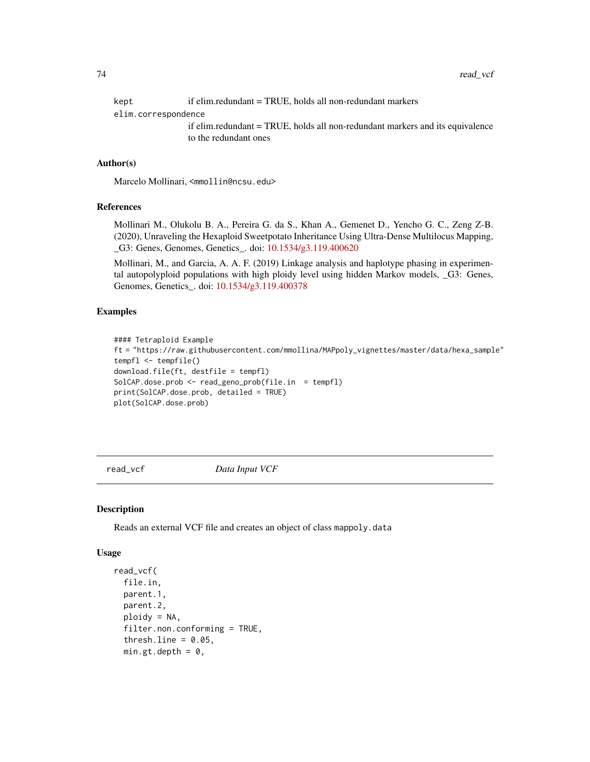<span id="page-73-0"></span>kept if elim.redundant = TRUE, holds all non-redundant markers elim.correspondence if elim.redundant = TRUE, holds all non-redundant markers and its equivalence to the redundant ones

# Author(s)

Marcelo Mollinari, <mmollin@ncsu.edu>

# References

Mollinari M., Olukolu B. A., Pereira G. da S., Khan A., Gemenet D., Yencho G. C., Zeng Z-B. (2020), Unraveling the Hexaploid Sweetpotato Inheritance Using Ultra-Dense Multilocus Mapping, \_G3: Genes, Genomes, Genetics\_. doi: [10.1534/g3.119.400620](https://doi.org/10.1534/g3.119.400620)

Mollinari, M., and Garcia, A. A. F. (2019) Linkage analysis and haplotype phasing in experimental autopolyploid populations with high ploidy level using hidden Markov models, \_G3: Genes, Genomes, Genetics\_. doi: [10.1534/g3.119.400378](https://doi.org/10.1534/g3.119.400378)

#### Examples

```
#### Tetraploid Example
ft = "https://raw.githubusercontent.com/mmollina/MAPpoly_vignettes/master/data/hexa_sample"
tempfl <- tempfile()
download.file(ft, destfile = tempfl)
SolCAP.dose.prob <- read_geno_prob(file.in = tempfl)
print(SolCAP.dose.prob, detailed = TRUE)
plot(SolCAP.dose.prob)
```
read\_vcf *Data Input VCF*

#### Description

Reads an external VCF file and creates an object of class mappoly.data

#### Usage

```
read_vcf(
  file.in,
  parent.1,
  parent.2,
 ploidy = NA,
  filter.non.conforming = TRUE,
  thresh.line = 0.05,
  min.get.depth = 0,
```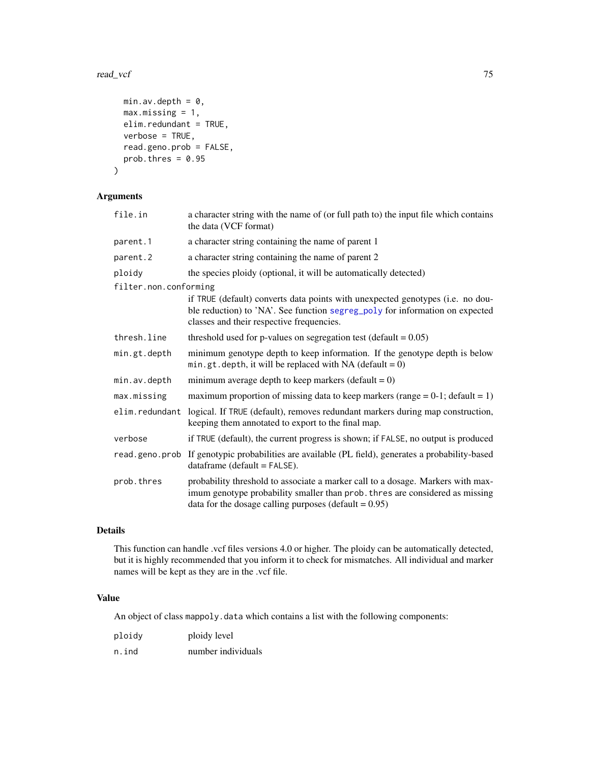### <span id="page-74-0"></span>read\_vcf 75

```
min.av.depth = 0,
 max.missing = 1,
 elim.redundant = TRUE,
 verbose = TRUE,
 read.geno.prob = FALSE,
 prob.thres = 0.95)
```
# Arguments

| file.in               | a character string with the name of (or full path to) the input file which contains<br>the data (VCF format)                                                                                                                |
|-----------------------|-----------------------------------------------------------------------------------------------------------------------------------------------------------------------------------------------------------------------------|
| parent.1              | a character string containing the name of parent 1                                                                                                                                                                          |
| parent.2              | a character string containing the name of parent 2                                                                                                                                                                          |
| ploidy                | the species ploidy (optional, it will be automatically detected)                                                                                                                                                            |
| filter.non.conforming | if TRUE (default) converts data points with unexpected genotypes (i.e. no dou-<br>ble reduction) to 'NA'. See function segreg_poly for information on expected<br>classes and their respective frequencies.                 |
| thresh.line           | threshold used for p-values on segregation test (default = $0.05$ )                                                                                                                                                         |
| min.gt.depth          | minimum genotype depth to keep information. If the genotype depth is below<br>min.gt.depth, it will be replaced with NA (default = $0$ )                                                                                    |
| min.av.depth          | minimum average depth to keep markers (default = $0$ )                                                                                                                                                                      |
| max.missing           | maximum proportion of missing data to keep markers (range = $0-1$ ; default = 1)                                                                                                                                            |
| elim.redundant        | logical. If TRUE (default), removes redundant markers during map construction,<br>keeping them annotated to export to the final map.                                                                                        |
| verbose               | if TRUE (default), the current progress is shown; if FALSE, no output is produced                                                                                                                                           |
| read.geno.prob        | If genotypic probabilities are available (PL field), generates a probability-based<br>$dataframe$ (default = $FALSE$ ).                                                                                                     |
| prob.thres            | probability threshold to associate a marker call to a dosage. Markers with max-<br>imum genotype probability smaller than prob. thres are considered as missing<br>data for the dosage calling purposes (default $= 0.95$ ) |

# Details

This function can handle .vcf files versions 4.0 or higher. The ploidy can be automatically detected, but it is highly recommended that you inform it to check for mismatches. All individual and marker names will be kept as they are in the .vcf file.

# Value

An object of class mappoly.data which contains a list with the following components:

| ploidy | ploidy level       |
|--------|--------------------|
| n.ind  | number individuals |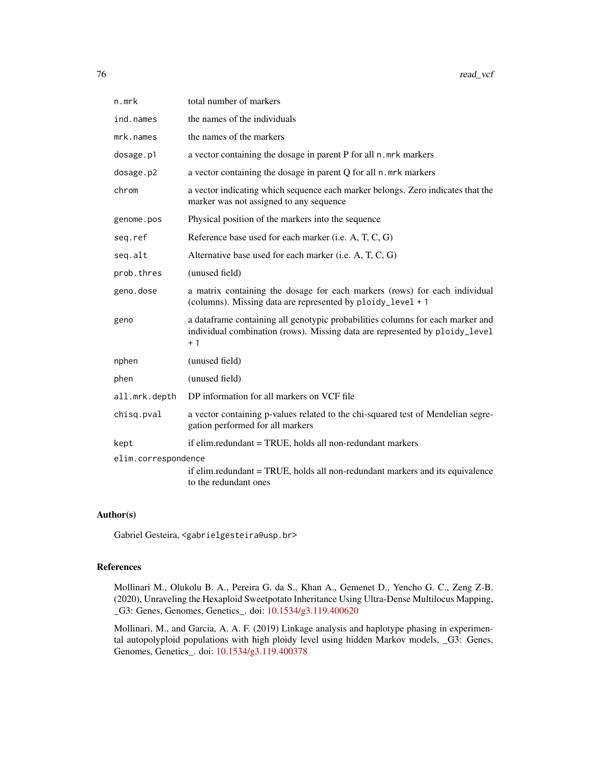| n.mrk               | total number of markers                                                                                                                                               |
|---------------------|-----------------------------------------------------------------------------------------------------------------------------------------------------------------------|
| ind.names           | the names of the individuals                                                                                                                                          |
| mrk.names           | the names of the markers                                                                                                                                              |
| dosage.p1           | a vector containing the dosage in parent P for all n.mrk markers                                                                                                      |
| dosage.p2           | a vector containing the dosage in parent Q for all n. mrk markers                                                                                                     |
| chrom               | a vector indicating which sequence each marker belongs. Zero indicates that the<br>marker was not assigned to any sequence                                            |
| genome.pos          | Physical position of the markers into the sequence                                                                                                                    |
| seq.ref             | Reference base used for each marker (i.e. A, T, C, G)                                                                                                                 |
| seq.alt             | Alternative base used for each marker (i.e. A, T, C, G)                                                                                                               |
| prob.thres          | (unused field)                                                                                                                                                        |
| geno.dose           | a matrix containing the dosage for each markers (rows) for each individual<br>(columns). Missing data are represented by ploidy_level + 1                             |
| geno                | a dataframe containing all genotypic probabilities columns for each marker and<br>individual combination (rows). Missing data are represented by ploidy_level<br>$+1$ |
| nphen               | (unused field)                                                                                                                                                        |
| phen                | (unused field)                                                                                                                                                        |
| all.mrk.depth       | DP information for all markers on VCF file                                                                                                                            |
| chisq.pval          | a vector containing p-values related to the chi-squared test of Mendelian segre-<br>gation performed for all markers                                                  |
| kept                | if elim.redundant = TRUE, holds all non-redundant markers                                                                                                             |
| elim.correspondence |                                                                                                                                                                       |
|                     | if elim.redundant = TRUE, holds all non-redundant markers and its equivalence<br>to the redundant ones                                                                |

# Author(s)

Gabriel Gesteira, <gabrielgesteira@usp.br>

# References

Mollinari M., Olukolu B. A., Pereira G. da S., Khan A., Gemenet D., Yencho G. C., Zeng Z-B. (2020), Unraveling the Hexaploid Sweetpotato Inheritance Using Ultra-Dense Multilocus Mapping, \_G3: Genes, Genomes, Genetics\_. doi: [10.1534/g3.119.400620](https://doi.org/10.1534/g3.119.400620)

Mollinari, M., and Garcia, A. A. F. (2019) Linkage analysis and haplotype phasing in experimental autopolyploid populations with high ploidy level using hidden Markov models, \_G3: Genes, Genomes, Genetics\_. doi: [10.1534/g3.119.400378](https://doi.org/10.1534/g3.119.400378)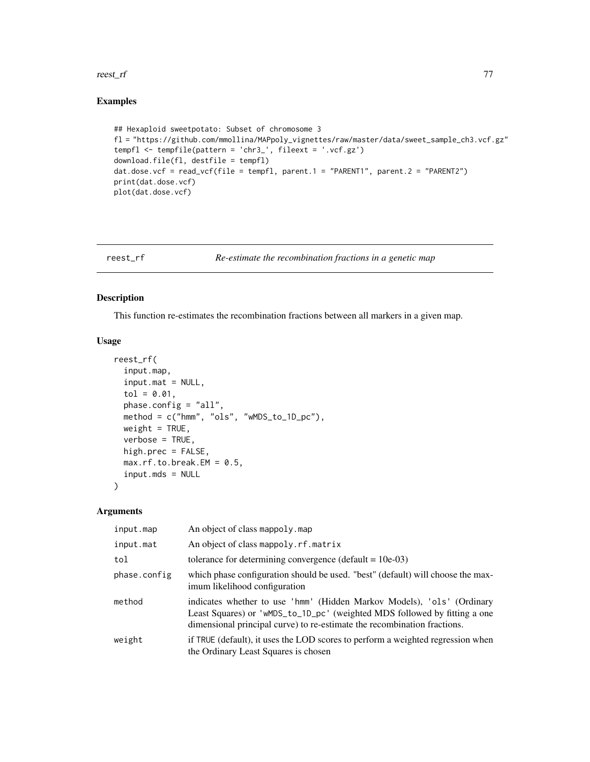#### <span id="page-76-0"></span>reest\_rf 77

# Examples

```
## Hexaploid sweetpotato: Subset of chromosome 3
fl = "https://github.com/mmollina/MAPpoly_vignettes/raw/master/data/sweet_sample_ch3.vcf.gz"
tempfl <- tempfile(pattern = 'chr3_', fileext = '.vcf.gz')
download.file(fl, destfile = tempfl)
dat.dose.vcf = read_vcf(file = tempfl, parent.1 = "PARENT1", parent.2 = "PARENT2")
print(dat.dose.vcf)
plot(dat.dose.vcf)
```
## reest\_rf *Re-estimate the recombination fractions in a genetic map*

## Description

This function re-estimates the recombination fractions between all markers in a given map.

#### Usage

```
reest_rf(
  input.map,
  input.mat = NULL,
  tol = 0.01,phase.config = "all",
 method = c("hmm", "ols", "wMDS_to_1D_pc"),
 weight = TRUE,verbose = TRUE,
 high.prec = FALSE,
 max.rf.to.break.EM = 0.5,
 input.mds = NULL
\mathcal{L}
```
### Arguments

| input.map    | An object of class mappoly.map                                                                                                                                                                                                  |
|--------------|---------------------------------------------------------------------------------------------------------------------------------------------------------------------------------------------------------------------------------|
| input.mat    | An object of class mappoly.rf.matrix                                                                                                                                                                                            |
| tol          | tolerance for determining convergence (default = $10e-03$ )                                                                                                                                                                     |
| phase.config | which phase configuration should be used. "best" (default) will choose the max-<br>imum likelihood configuration                                                                                                                |
| method       | indicates whether to use 'hmm' (Hidden Markov Models), 'ols' (Ordinary<br>Least Squares) or 'wMDS_to_1D_pc' (weighted MDS followed by fitting a one<br>dimensional principal curve) to re-estimate the recombination fractions. |
| weight       | if TRUE (default), it uses the LOD scores to perform a weighted regression when<br>the Ordinary Least Squares is chosen                                                                                                         |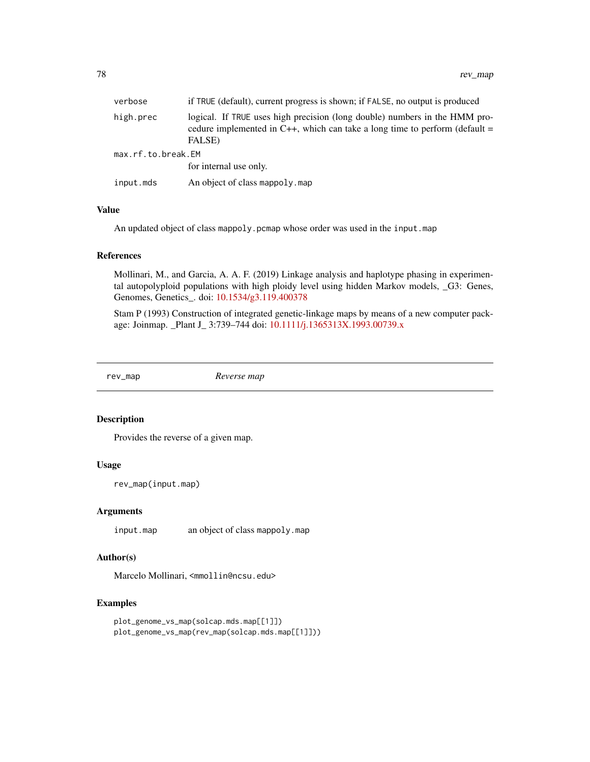<span id="page-77-0"></span>

| verbose            | if TRUE (default), current progress is shown; if FALSE, no output is produced                                                                                         |  |
|--------------------|-----------------------------------------------------------------------------------------------------------------------------------------------------------------------|--|
| high.prec          | logical. If TRUE uses high precision (long double) numbers in the HMM pro-<br>cedure implemented in C++, which can take a long time to perform (default $=$<br>FALSE) |  |
| max.rf.to.break.EM |                                                                                                                                                                       |  |
|                    | for internal use only.                                                                                                                                                |  |
| input.mds          | An object of class mappoly, map                                                                                                                                       |  |

# Value

An updated object of class mappoly.pcmap whose order was used in the input.map

#### References

Mollinari, M., and Garcia, A. A. F. (2019) Linkage analysis and haplotype phasing in experimental autopolyploid populations with high ploidy level using hidden Markov models, \_G3: Genes, Genomes, Genetics\_. doi: [10.1534/g3.119.400378](https://doi.org/10.1534/g3.119.400378)

Stam P (1993) Construction of integrated genetic-linkage maps by means of a new computer package: Joinmap. \_Plant J\_ 3:739–744 doi: [10.1111/j.1365313X.1993.00739.x](https://doi.org/10.1111/j.1365-313X.1993.00739.x)

rev\_map *Reverse map*

# Description

Provides the reverse of a given map.

# Usage

rev\_map(input.map)

#### Arguments

input.map an object of class mappoly.map

# Author(s)

Marcelo Mollinari, <mmollin@ncsu.edu>

```
plot_genome_vs_map(solcap.mds.map[[1]])
plot_genome_vs_map(rev_map(solcap.mds.map[[1]]))
```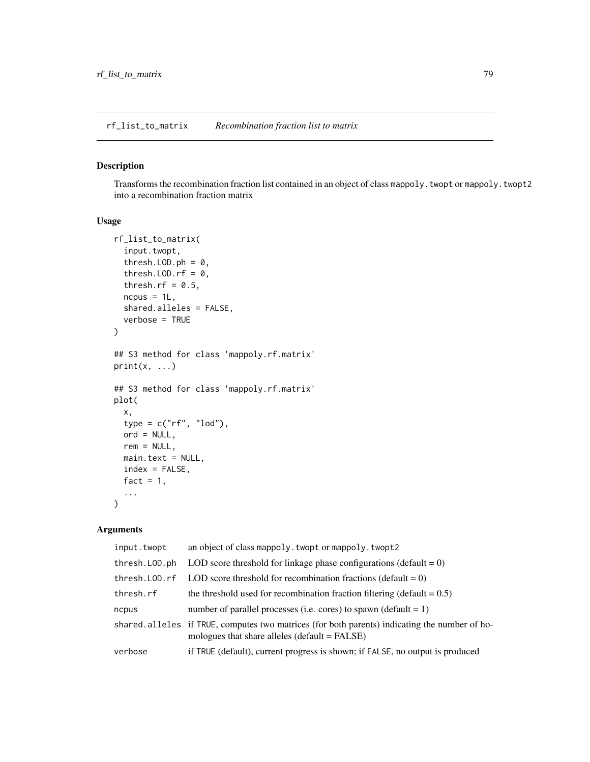<span id="page-78-0"></span>rf\_list\_to\_matrix *Recombination fraction list to matrix*

# Description

Transforms the recombination fraction list contained in an object of class mappoly.twopt or mappoly.twopt2 into a recombination fraction matrix

# Usage

```
rf_list_to_matrix(
  input.twopt,
  thresh.LOD.ph = 0,
  thresh.LOD.rf = 0,
  thresh.rf = 0.5,
  ncpus = 1L,shared.alleles = FALSE,
  verbose = TRUE
)
## S3 method for class 'mappoly.rf.matrix'
print(x, \ldots)## S3 method for class 'mappoly.rf.matrix'
plot(
 x,
  type = c("rf", "lod"),
 ord = NULL,rem = NULL,main.text = NULL,
  index = FALSE,
  fact = 1,...
\mathcal{L}
```
# Arguments

| input.twopt     | an object of class mappoly. twopt or mappoly. twopt2                                                                                             |
|-----------------|--------------------------------------------------------------------------------------------------------------------------------------------------|
| thresh.LOD.ph   | LOD score threshold for linkage phase configurations (default $= 0$ )                                                                            |
| thresh. LOD. rf | LOD score threshold for recombination fractions (default $= 0$ )                                                                                 |
| thresh.rf       | the threshold used for recombination fraction filtering (default $= 0.5$ )                                                                       |
| ncpus           | number of parallel processes (i.e. cores) to spawn (default $= 1$ )                                                                              |
|                 | shared alleles if TRUE, computes two matrices (for both parents) indicating the number of ho-<br>mologues that share alleles $(default = FALSE)$ |
| verbose         | if TRUE (default), current progress is shown; if FALSE, no output is produced                                                                    |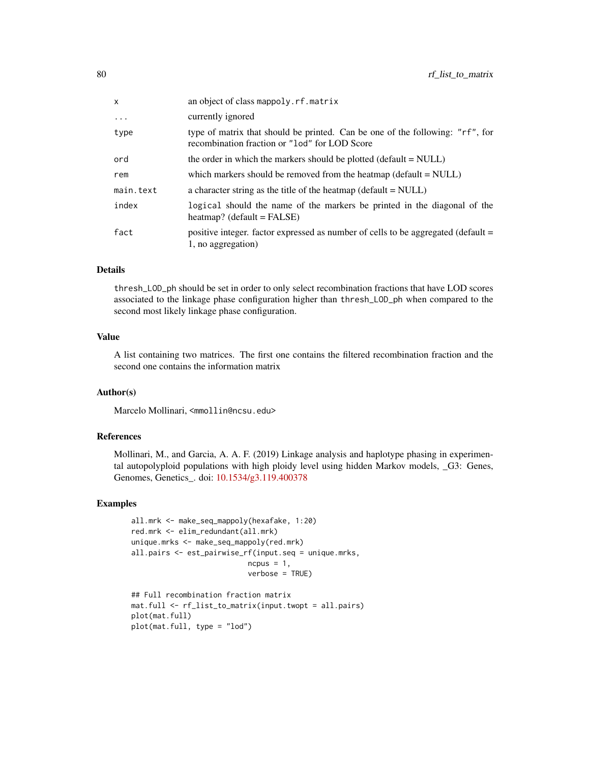| x         | an object of class mappoly.rf.matrix                                                                                           |
|-----------|--------------------------------------------------------------------------------------------------------------------------------|
| $\ddots$  | currently ignored                                                                                                              |
| type      | type of matrix that should be printed. Can be one of the following: "rf", for<br>recombination fraction or "lod" for LOD Score |
| ord       | the order in which the markers should be plotted (default $= NULL$ )                                                           |
| rem       | which markers should be removed from the heatmap (default $=$ NULL)                                                            |
| main.text | a character string as the title of the heatmap (default $=$ NULL)                                                              |
| index     | logical should the name of the markers be printed in the diagonal of the<br>heatmap? (default = $FALSE$ )                      |
| fact      | positive integer. factor expressed as number of cells to be aggregated (default =<br>1, no aggregation)                        |

# Details

thresh\_LOD\_ph should be set in order to only select recombination fractions that have LOD scores associated to the linkage phase configuration higher than thresh\_LOD\_ph when compared to the second most likely linkage phase configuration.

# Value

A list containing two matrices. The first one contains the filtered recombination fraction and the second one contains the information matrix

# Author(s)

Marcelo Mollinari, <mmollin@ncsu.edu>

# References

Mollinari, M., and Garcia, A. A. F. (2019) Linkage analysis and haplotype phasing in experimental autopolyploid populations with high ploidy level using hidden Markov models, \_G3: Genes, Genomes, Genetics\_. doi: [10.1534/g3.119.400378](https://doi.org/10.1534/g3.119.400378)

```
all.mrk <- make_seq_mappoly(hexafake, 1:20)
red.mrk <- elim_redundant(all.mrk)
unique.mrks <- make_seq_mappoly(red.mrk)
all.pairs <- est_pairwise_rf(input.seq = unique.mrks,
                           ncpus = 1,
                           verbose = TRUE)
## Full recombination fraction matrix
```

```
mat.full <- rf_list_to_matrix(input.twopt = all.pairs)
plot(mat.full)
plot(mat.full, type = "lod")
```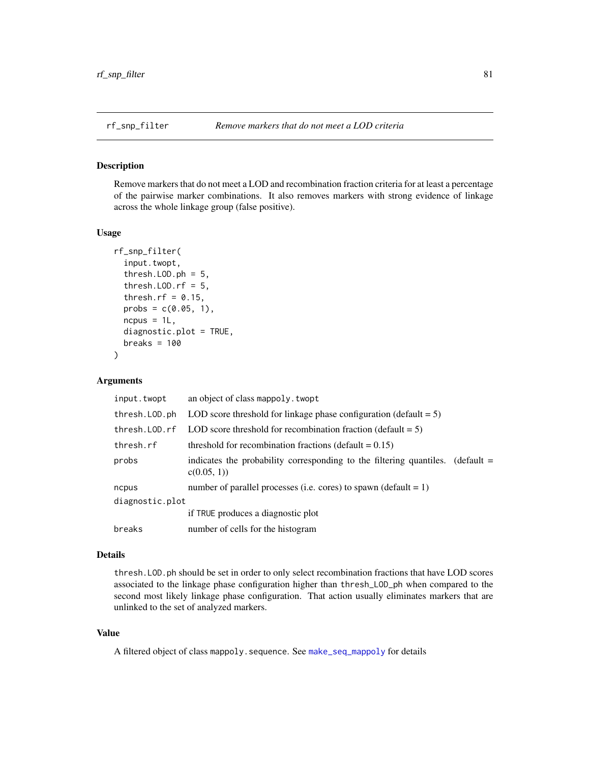<span id="page-80-0"></span>

#### Description

Remove markers that do not meet a LOD and recombination fraction criteria for at least a percentage of the pairwise marker combinations. It also removes markers with strong evidence of linkage across the whole linkage group (false positive).

## Usage

```
rf_snp_filter(
  input.twopt,
  thresh. LOD.ph = 5,
  thresh.LOD.rf = 5,
  thresh.rf = 0.15,
  probs = c(0.05, 1),
  ncpus = 1L,
  diagnostic.plot = TRUE,
  breaks = 100)
```
### Arguments

| input.twopt     | an object of class mappoly. twopt                                                                        |  |
|-----------------|----------------------------------------------------------------------------------------------------------|--|
| thresh. LOD.ph  | LOD score threshold for linkage phase configuration (default $= 5$ )                                     |  |
| thresh. LOD. rf | LOD score threshold for recombination fraction (default $= 5$ )                                          |  |
| thresh.rf       | threshold for recombination fractions (default $= 0.15$ )                                                |  |
| probs           | indicates the probability corresponding to the filtering quantiles.<br>$\delta$ (default =<br>c(0.05, 1) |  |
| ncpus           | number of parallel processes (i.e. cores) to spawn (default $= 1$ )                                      |  |
| diagnostic.plot |                                                                                                          |  |
|                 | if TRUE produces a diagnostic plot                                                                       |  |
| breaks          | number of cells for the histogram                                                                        |  |
|                 |                                                                                                          |  |

# Details

thresh.LOD.ph should be set in order to only select recombination fractions that have LOD scores associated to the linkage phase configuration higher than thresh\_LOD\_ph when compared to the second most likely linkage phase configuration. That action usually eliminates markers that are unlinked to the set of analyzed markers.

# Value

A filtered object of class mappoly.sequence. See [make\\_seq\\_mappoly](#page-49-0) for details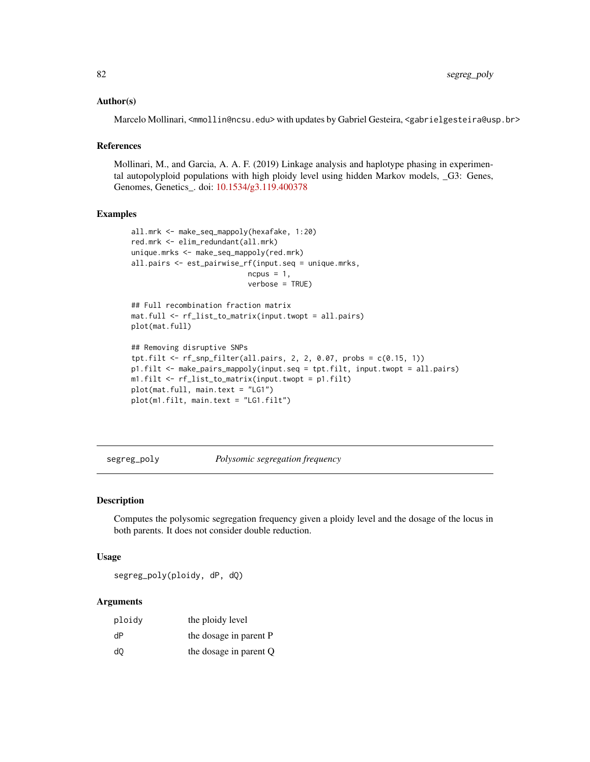## <span id="page-81-1"></span>Author(s)

Marcelo Mollinari, <mmollin@ncsu.edu> with updates by Gabriel Gesteira, <gabrielgesteira@usp.br>

#### References

Mollinari, M., and Garcia, A. A. F. (2019) Linkage analysis and haplotype phasing in experimental autopolyploid populations with high ploidy level using hidden Markov models, \_G3: Genes, Genomes, Genetics\_. doi: [10.1534/g3.119.400378](https://doi.org/10.1534/g3.119.400378)

# Examples

```
all.mrk <- make_seq_mappoly(hexafake, 1:20)
red.mrk <- elim_redundant(all.mrk)
unique.mrks <- make_seq_mappoly(red.mrk)
all.pairs <- est_pairwise_rf(input.seq = unique.mrks,
                           ncpus = 1,verbose = TRUE)
```

```
## Full recombination fraction matrix
mat.full <- rf_list_to_matrix(input.twopt = all.pairs)
plot(mat.full)
```

```
## Removing disruptive SNPs
tpt.filt <- rf\_snp_finter(all.pairs, 2, 2, 0.07, probs = c(0.15, 1))p1.filt <- make_pairs_mappoly(input.seq = tpt.filt, input.twopt = all.pairs)
m1.filt <- rf_list_to_matrix(input.twopt = p1.filt)
plot(mat.full, main.text = "LG1")
plot(m1.filt, main.text = "LG1.filt")
```
<span id="page-81-0"></span>segreg\_poly *Polysomic segregation frequency*

#### Description

Computes the polysomic segregation frequency given a ploidy level and the dosage of the locus in both parents. It does not consider double reduction.

# Usage

segreg\_poly(ploidy, dP, dQ)

#### Arguments

| ploidy | the ploidy level       |
|--------|------------------------|
| dP     | the dosage in parent P |
| d0     | the dosage in parent Q |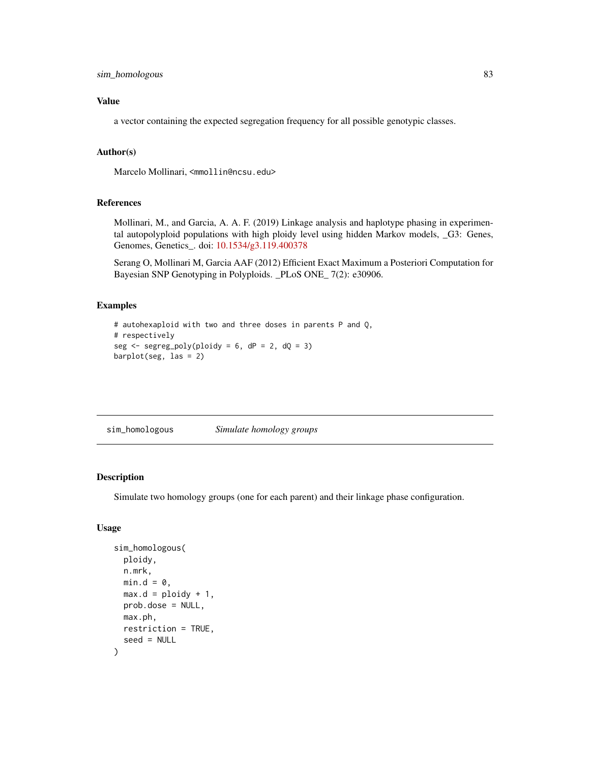# <span id="page-82-0"></span>sim\_homologous 83

# Value

a vector containing the expected segregation frequency for all possible genotypic classes.

# Author(s)

Marcelo Mollinari, <mmollin@ncsu.edu>

### References

Mollinari, M., and Garcia, A. A. F. (2019) Linkage analysis and haplotype phasing in experimental autopolyploid populations with high ploidy level using hidden Markov models, \_G3: Genes, Genomes, Genetics\_. doi: [10.1534/g3.119.400378](https://doi.org/10.1534/g3.119.400378)

Serang O, Mollinari M, Garcia AAF (2012) Efficient Exact Maximum a Posteriori Computation for Bayesian SNP Genotyping in Polyploids. \_PLoS ONE\_ 7(2): e30906.

## Examples

```
# autohexaploid with two and three doses in parents P and Q,
# respectively
seg \leq segreg_poly(ploidy = 6, dP = 2, dQ = 3)
barplot(seg, las = 2)
```
sim\_homologous *Simulate homology groups*

## Description

Simulate two homology groups (one for each parent) and their linkage phase configuration.

## Usage

```
sim_homologous(
 ploidy,
 n.mrk,
 min.d = 0,max.d = ploidy + 1,
 prob.dose = NULL,
 max.ph,
 restriction = TRUE,
  seed = NULL
)
```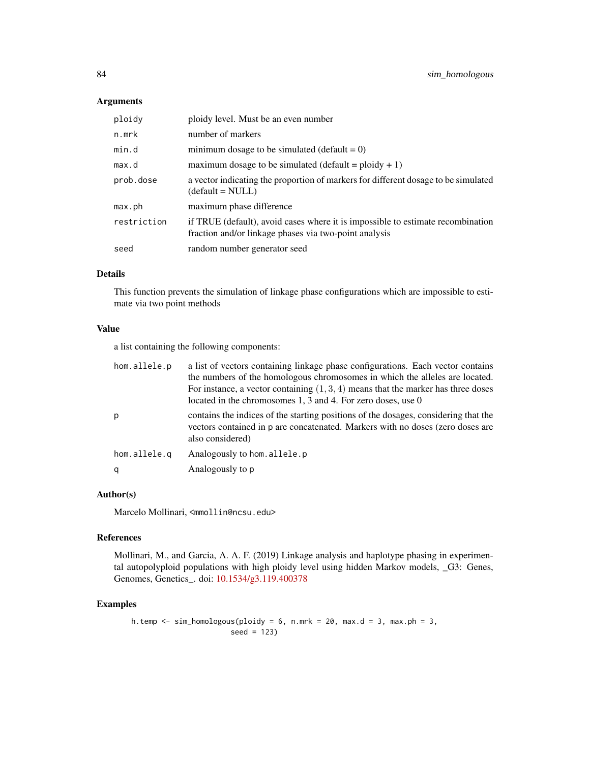# Arguments

| ploidy      | ploidy level. Must be an even number                                                                                                     |
|-------------|------------------------------------------------------------------------------------------------------------------------------------------|
| n.mrk       | number of markers                                                                                                                        |
| min.d       | minimum dosage to be simulated (default = $0$ )                                                                                          |
| max.d       | maximum dosage to be simulated (default = $ploidy + 1$ )                                                                                 |
| prob.dose   | a vector indicating the proportion of markers for different dosage to be simulated<br>$(detault = NULL)$                                 |
| max.ph      | maximum phase difference                                                                                                                 |
| restriction | if TRUE (default), avoid cases where it is impossible to estimate recombination<br>fraction and/or linkage phases via two-point analysis |
| seed        | random number generator seed                                                                                                             |

# Details

This function prevents the simulation of linkage phase configurations which are impossible to estimate via two point methods

# Value

a list containing the following components:

| hom.allele.p | a list of vectors containing linkage phase configurations. Each vector contains<br>the numbers of the homologous chromosomes in which the alleles are located.<br>For instance, a vector containing $(1,3,4)$ means that the marker has three doses<br>located in the chromosomes 1, 3 and 4. For zero doses, use 0 |
|--------------|---------------------------------------------------------------------------------------------------------------------------------------------------------------------------------------------------------------------------------------------------------------------------------------------------------------------|
| p            | contains the indices of the starting positions of the dosages, considering that the<br>vectors contained in p are concatenated. Markers with no doses (zero doses are<br>also considered)                                                                                                                           |
| hom.allele.g | Analogously to hom. allele.p                                                                                                                                                                                                                                                                                        |
| q            | Analogously to p                                                                                                                                                                                                                                                                                                    |

# Author(s)

Marcelo Mollinari, <mmollin@ncsu.edu>

# References

Mollinari, M., and Garcia, A. A. F. (2019) Linkage analysis and haplotype phasing in experimental autopolyploid populations with high ploidy level using hidden Markov models, \_G3: Genes, Genomes, Genetics\_. doi: [10.1534/g3.119.400378](https://doi.org/10.1534/g3.119.400378)

```
h.temp \le sim_homologous(ploidy = 6, n.mrk = 20, max.d = 3, max.ph = 3,
                      seed = 123)
```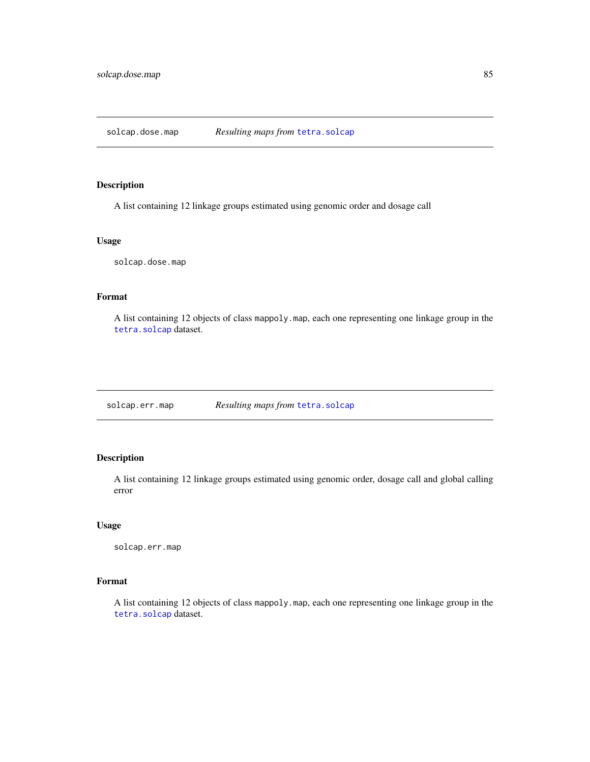<span id="page-84-0"></span>solcap.dose.map *Resulting maps from* [tetra.solcap](#page-88-0)

# Description

A list containing 12 linkage groups estimated using genomic order and dosage call

#### Usage

solcap.dose.map

# Format

A list containing 12 objects of class mappoly.map, each one representing one linkage group in the [tetra.solcap](#page-88-0) dataset.

solcap.err.map *Resulting maps from* [tetra.solcap](#page-88-0)

# Description

A list containing 12 linkage groups estimated using genomic order, dosage call and global calling error

## Usage

solcap.err.map

# Format

A list containing 12 objects of class mappoly.map, each one representing one linkage group in the [tetra.solcap](#page-88-0) dataset.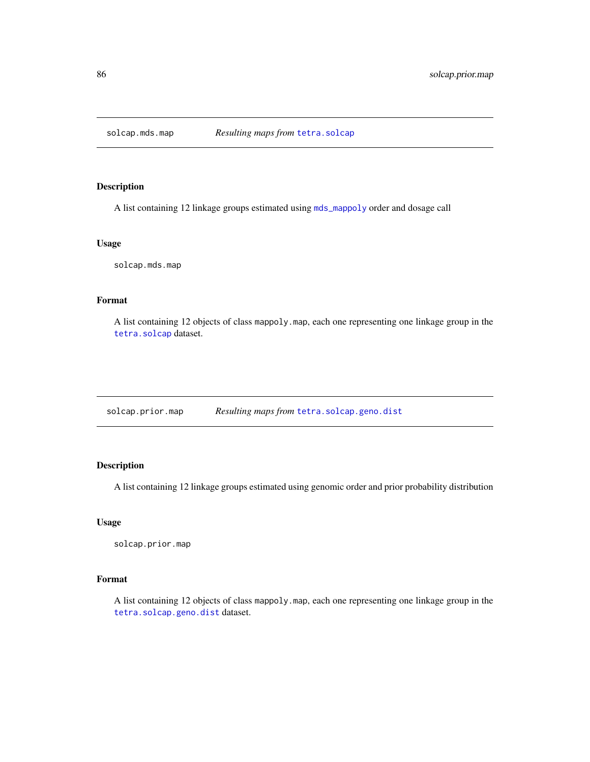<span id="page-85-0"></span>

# Description

A list containing 12 linkage groups estimated using [mds\\_mappoly](#page-51-0) order and dosage call

# Usage

solcap.mds.map

# Format

A list containing 12 objects of class mappoly.map, each one representing one linkage group in the [tetra.solcap](#page-88-0) dataset.

solcap.prior.map *Resulting maps from* [tetra.solcap.geno.dist](#page-89-0)

# Description

A list containing 12 linkage groups estimated using genomic order and prior probability distribution

#### Usage

solcap.prior.map

# Format

A list containing 12 objects of class mappoly.map, each one representing one linkage group in the [tetra.solcap.geno.dist](#page-89-0) dataset.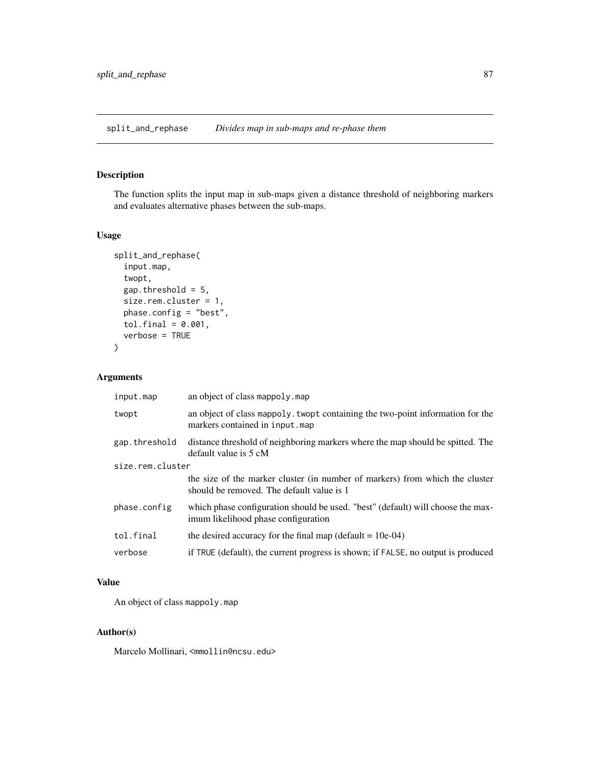<span id="page-86-0"></span>split\_and\_rephase *Divides map in sub-maps and re-phase them*

# Description

The function splits the input map in sub-maps given a distance threshold of neighboring markers and evaluates alternative phases between the sub-maps.

## Usage

```
split_and_rephase(
  input.map,
  twopt,
  gap.threshold = 5,
 size.rem.cluster = 1,
 phase.config = "best",
 tol.find = 0.001,verbose = TRUE
)
```
## Arguments

| input.map        | an object of class mappoly. map                                                                                           |  |
|------------------|---------------------------------------------------------------------------------------------------------------------------|--|
| twopt            | an object of class mappoly. twopt containing the two-point information for the<br>markers contained in input.map          |  |
| gap.threshold    | distance threshold of neighboring markers where the map should be spitted. The<br>default value is 5 cM                   |  |
| size.rem.cluster |                                                                                                                           |  |
|                  | the size of the marker cluster (in number of markers) from which the cluster<br>should be removed. The default value is 1 |  |
| phase.config     | which phase configuration should be used. "best" (default) will choose the max-<br>imum likelihood phase configuration    |  |
| tol.final        | the desired accuracy for the final map (default $= 10e-04$ )                                                              |  |
| verbose          | if TRUE (default), the current progress is shown; if FALSE, no output is produced                                         |  |

# Value

An object of class mappoly.map

## Author(s)

Marcelo Mollinari, <mmollin@ncsu.edu>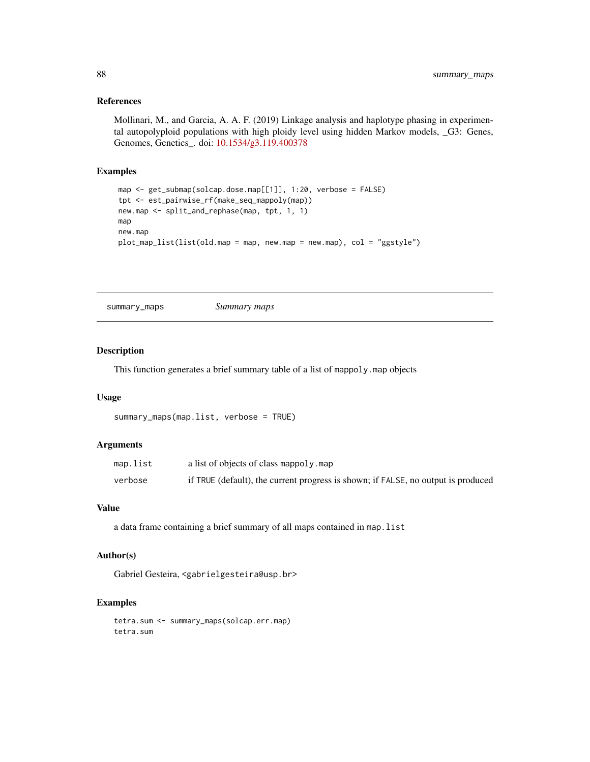# References

Mollinari, M., and Garcia, A. A. F. (2019) Linkage analysis and haplotype phasing in experimental autopolyploid populations with high ploidy level using hidden Markov models, \_G3: Genes, Genomes, Genetics\_. doi: [10.1534/g3.119.400378](https://doi.org/10.1534/g3.119.400378)

## Examples

```
map <- get_submap(solcap.dose.map[[1]], 1:20, verbose = FALSE)
tpt <- est_pairwise_rf(make_seq_mappoly(map))
new.map <- split_and_rephase(map, tpt, 1, 1)
map
new.map
plot_map_list(list(old.map = map, new.map = new.map), col = "ggstyle")
```
summary\_maps *Summary maps*

## Description

This function generates a brief summary table of a list of mappoly.map objects

# Usage

```
summary_maps(map.list, verbose = TRUE)
```
# Arguments

| map.list | a list of objects of class mappoly.map                                            |
|----------|-----------------------------------------------------------------------------------|
| verbose  | if TRUE (default), the current progress is shown; if FALSE, no output is produced |

## Value

a data frame containing a brief summary of all maps contained in map.list

# Author(s)

Gabriel Gesteira, <gabrielgesteira@usp.br>

```
tetra.sum <- summary_maps(solcap.err.map)
tetra.sum
```
<span id="page-87-0"></span>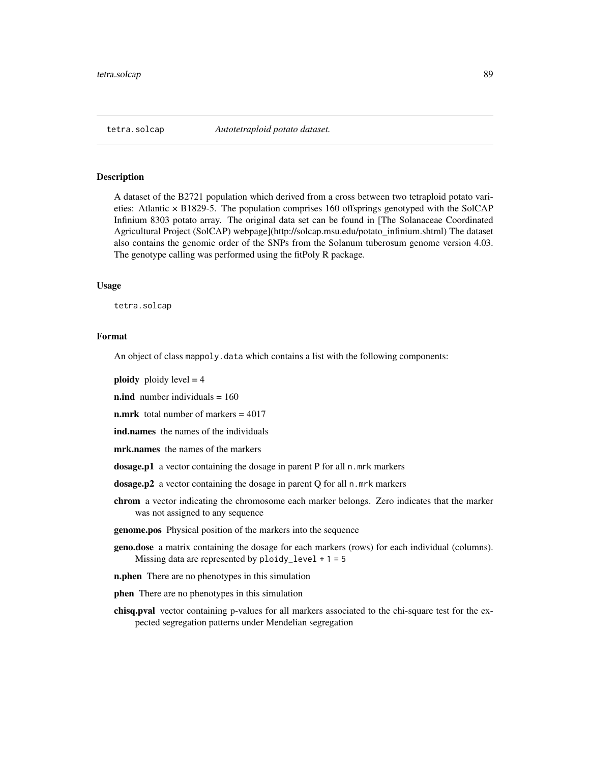<span id="page-88-1"></span><span id="page-88-0"></span>

#### Description

A dataset of the B2721 population which derived from a cross between two tetraploid potato varieties: Atlantic  $\times$  B1829-5. The population comprises 160 offsprings genotyped with the SolCAP Infinium 8303 potato array. The original data set can be found in [The Solanaceae Coordinated Agricultural Project (SolCAP) webpage](http://solcap.msu.edu/potato\_infinium.shtml) The dataset also contains the genomic order of the SNPs from the Solanum tuberosum genome version 4.03. The genotype calling was performed using the fitPoly R package.

#### Usage

tetra.solcap

## Format

An object of class mappoly.data which contains a list with the following components:

**ploidy** ploidy level  $= 4$ 

**n.ind** number individuals  $= 160$ 

n.mrk total number of markers = 4017

ind.names the names of the individuals

mrk.names the names of the markers

dosage.p1 a vector containing the dosage in parent P for all n.mrk markers

dosage.p2 a vector containing the dosage in parent Q for all n.mrk markers

chrom a vector indicating the chromosome each marker belongs. Zero indicates that the marker was not assigned to any sequence

genome.pos Physical position of the markers into the sequence

- geno.dose a matrix containing the dosage for each markers (rows) for each individual (columns). Missing data are represented by  $ploidy\_level + 1 = 5$
- **n.phen** There are no phenotypes in this simulation

phen There are no phenotypes in this simulation

chisq.pval vector containing p-values for all markers associated to the chi-square test for the expected segregation patterns under Mendelian segregation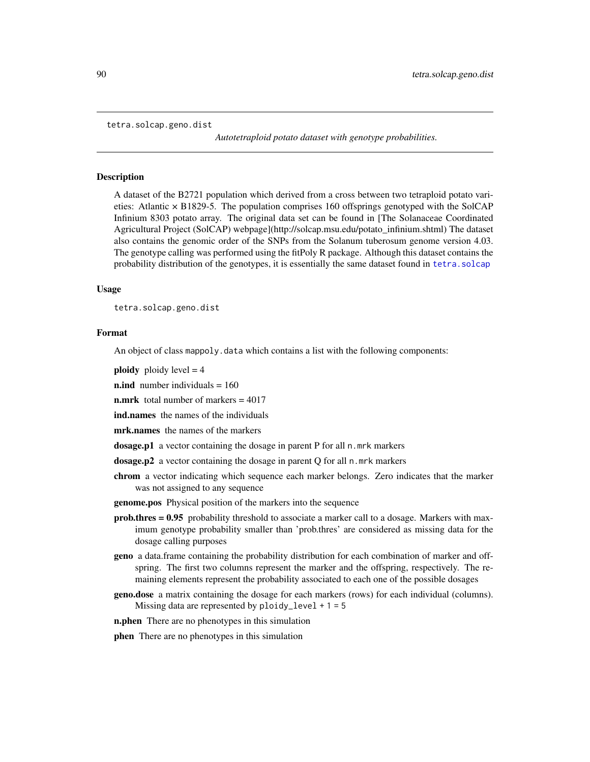```
tetra.solcap.geno.dist
```
*Autotetraploid potato dataset with genotype probabilities.*

#### Description

A dataset of the B2721 population which derived from a cross between two tetraploid potato varieties: Atlantic × B1829-5. The population comprises 160 offsprings genotyped with the SolCAP Infinium 8303 potato array. The original data set can be found in [The Solanaceae Coordinated Agricultural Project (SolCAP) webpage](http://solcap.msu.edu/potato\_infinium.shtml) The dataset also contains the genomic order of the SNPs from the Solanum tuberosum genome version 4.03. The genotype calling was performed using the fitPoly R package. Although this dataset contains the probability distribution of the genotypes, it is essentially the same dataset found in [tetra.solcap](#page-88-0)

#### Usage

tetra.solcap.geno.dist

# Format

An object of class mappoly.data which contains a list with the following components:

**ploidy** ploidy level  $= 4$ 

**n.ind** number individuals  $= 160$ 

**n.mrk** total number of markers  $= 4017$ 

ind.names the names of the individuals

mrk.names the names of the markers

dosage.p1 a vector containing the dosage in parent P for all n.mrk markers

dosage.p2 a vector containing the dosage in parent Q for all n.mrk markers

- chrom a vector indicating which sequence each marker belongs. Zero indicates that the marker was not assigned to any sequence
- genome.pos Physical position of the markers into the sequence
- prob.thres = 0.95 probability threshold to associate a marker call to a dosage. Markers with maximum genotype probability smaller than 'prob.thres' are considered as missing data for the dosage calling purposes
- geno a data.frame containing the probability distribution for each combination of marker and offspring. The first two columns represent the marker and the offspring, respectively. The remaining elements represent the probability associated to each one of the possible dosages
- geno.dose a matrix containing the dosage for each markers (rows) for each individual (columns). Missing data are represented by  $ploidy\_level + 1 = 5$

**n.phen** There are no phenotypes in this simulation

phen There are no phenotypes in this simulation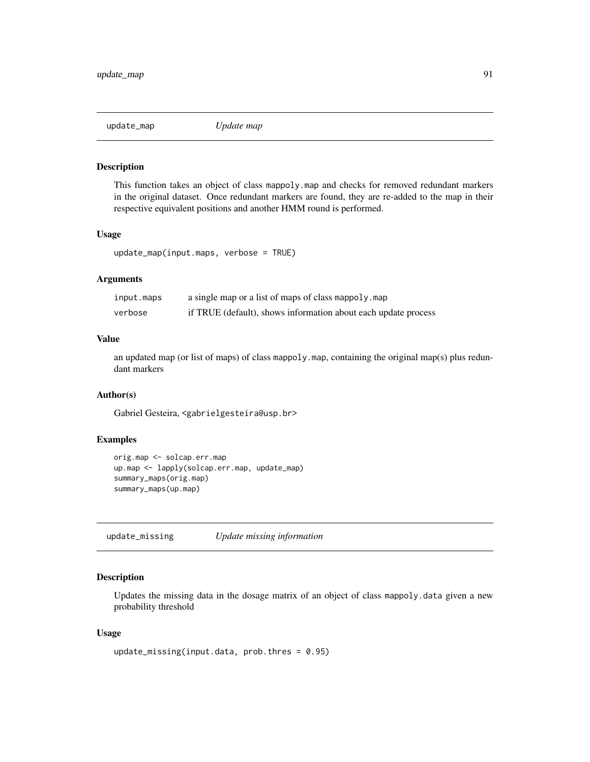<span id="page-90-0"></span>

#### Description

This function takes an object of class mappoly.map and checks for removed redundant markers in the original dataset. Once redundant markers are found, they are re-added to the map in their respective equivalent positions and another HMM round is performed.

# Usage

update\_map(input.maps, verbose = TRUE)

# Arguments

| input.maps | a single map or a list of maps of class mappoly. map           |
|------------|----------------------------------------------------------------|
| verbose    | if TRUE (default), shows information about each update process |

# Value

an updated map (or list of maps) of class mappoly.map, containing the original map(s) plus redundant markers

## Author(s)

Gabriel Gesteira, <gabrielgesteira@usp.br>

## Examples

```
orig.map <- solcap.err.map
up.map <- lapply(solcap.err.map, update_map)
summary_maps(orig.map)
summary_maps(up.map)
```
update\_missing *Update missing information*

# Description

Updates the missing data in the dosage matrix of an object of class mappoly.data given a new probability threshold

## Usage

```
update_missing(input.data, prob.thres = 0.95)
```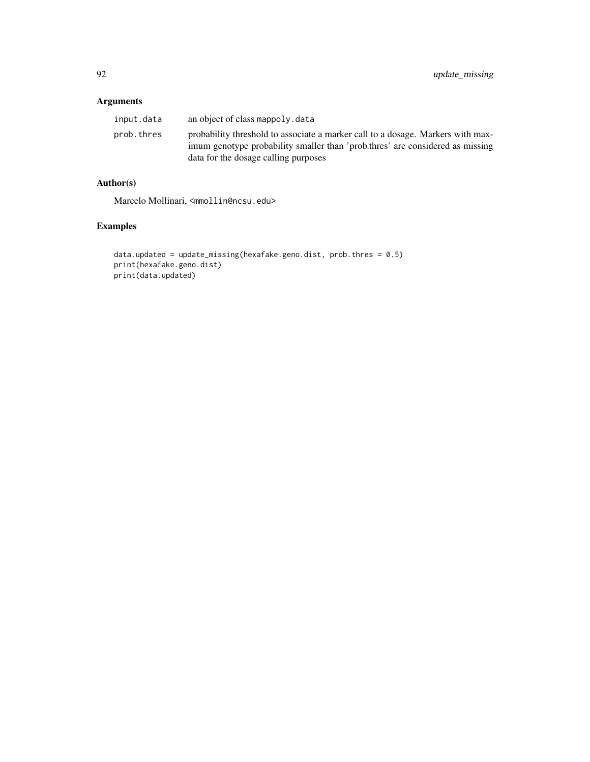# Arguments

| input.data | an object of class mappoly. data                                                                                                                                                                         |
|------------|----------------------------------------------------------------------------------------------------------------------------------------------------------------------------------------------------------|
| prob.thres | probability threshold to associate a marker call to a dosage. Markers with max-<br>imum genotype probability smaller than 'prob.thres' are considered as missing<br>data for the dosage calling purposes |

# Author(s)

Marcelo Mollinari, <mmollin@ncsu.edu>

```
data.updated = update_missing(hexafake.geno.dist, prob.thres = 0.5)
print(hexafake.geno.dist)
print(data.updated)
```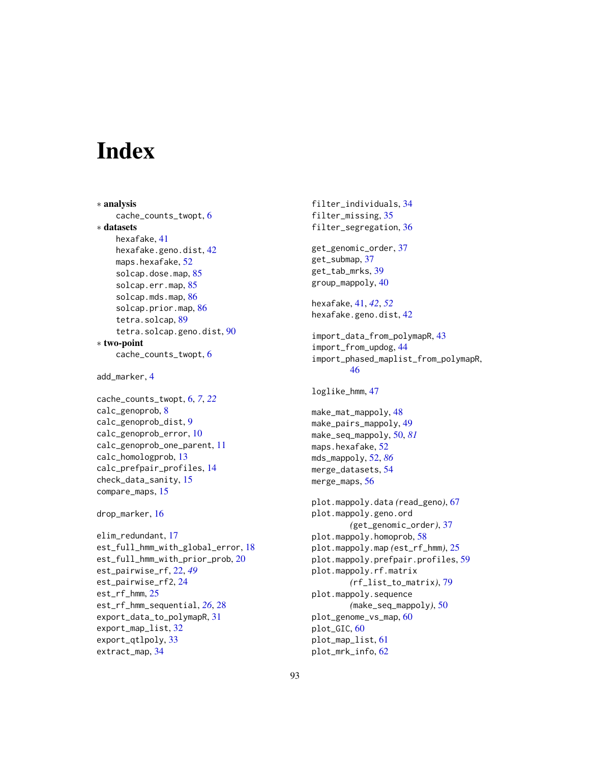# **Index**

```
∗ analysis
    cache_counts_twopt, 6
∗ datasets
    hexafake, 41
    hexafake.geno.dist, 42
    maps.hexafake, 52
    85
    solcap.err.map, 85
    86
    solcap.prior.map, 86
    tetra.solcap, 89
    tetra.solcap.geno.dist, 90
∗ two-point
    cache_counts_twopt, 6
add_marker, 4
cache_counts_twopt, 6, 7, 22
calc_genoprob, 8
calc_genoprob_dist, 9
calc_genoprob_error, 10
calc_genoprob_one_parent, 11
calc_homologprob, 13
calc_prefpair_profiles, 14
check_data_sanity, 15
compare_maps, 15
drop_marker, 16
elim_redundant, 17
est_full_hmm_with_global_error, 18
est_full_hmm_with_prior_prob, 20
est_pairwise_rf, 22, 49
est_pairwise_rf2, 24
est_rf_hmm, 25
est_rf_hmm_sequential, 26, 28
export_data_to_polymapR, 31
export_map_list, 32
export_qtlpoly, 33
extract_map, 34
```
filter\_individuals, [34](#page-33-0) filter\_missing, [35](#page-34-0) filter\_segregation, [36](#page-35-0) get\_genomic\_order, [37](#page-36-0) get\_submap, [37](#page-36-0) get\_tab\_mrks, [39](#page-38-0) group\_mappoly, [40](#page-39-0) hexafake, [41,](#page-40-0) *[42](#page-41-0)*, *[52](#page-51-1)* hexafake.geno.dist, [42](#page-41-0) import\_data\_from\_polymapR, [43](#page-42-0) import\_from\_updog, [44](#page-43-0) import\_phased\_maplist\_from\_polymapR, [46](#page-45-0) loglike\_hmm, [47](#page-46-0) make\_mat\_mappoly, [48](#page-47-0) make\_pairs\_mappoly, [49](#page-48-0) make\_seq\_mappoly, [50,](#page-49-1) *[81](#page-80-0)* maps.hexafake, [52](#page-51-1) mds\_mappoly, [52,](#page-51-1) *[86](#page-85-0)* merge\_datasets, [54](#page-53-0) merge\_maps, [56](#page-55-0) plot.mappoly.data *(*read\_geno*)*, [67](#page-66-0) plot.mappoly.geno.ord *(*get\_genomic\_order*)*, [37](#page-36-0) plot.mappoly.homoprob, [58](#page-57-0) plot.mappoly.map *(*est\_rf\_hmm*)*, [25](#page-24-0) plot.mappoly.prefpair.profiles, [59](#page-58-0) plot.mappoly.rf.matrix *(*rf\_list\_to\_matrix*)*, [79](#page-78-0) plot.mappoly.sequence *(*make\_seq\_mappoly*)*, [50](#page-49-1) plot\_genome\_vs\_map, [60](#page-59-0) plot\_GIC, [60](#page-59-0) plot\_map\_list, [61](#page-60-0) plot\_mrk\_info, [62](#page-61-0)